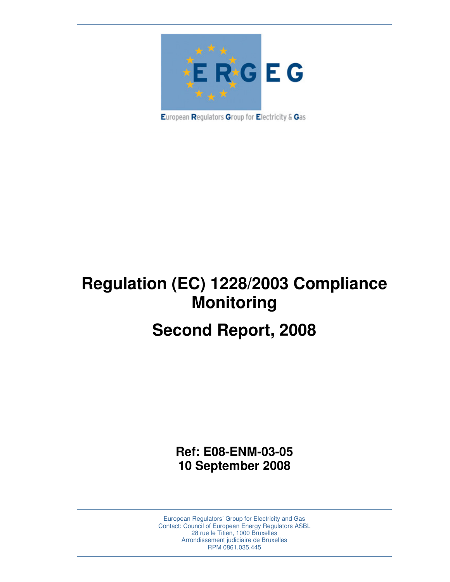

**Regulation (EC) 1228/2003 Compliance Monitoring** 

# **Second Report, 2008**

**Ref: E08-ENM-03-05 10 September 2008** 

European Regulators' Group for Electricity and Gas Contact: Council of European Energy Regulators ASBL 28 rue le Titien, 1000 Bruxelles Arrondissement judiciaire de Bruxelles RPM 0861.035.445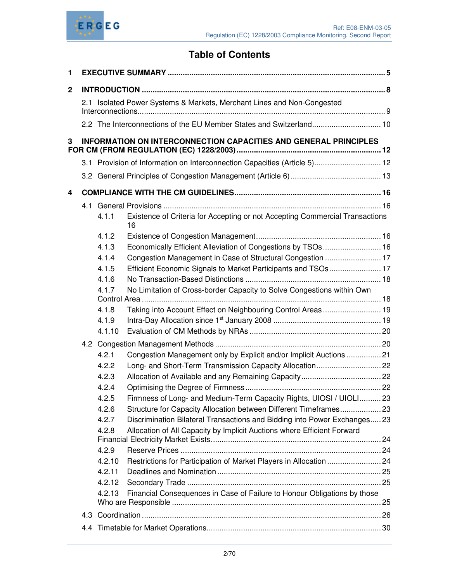

# **Table of Contents**

| 1           |  |        |                                                                                    |  |  |  |  |
|-------------|--|--------|------------------------------------------------------------------------------------|--|--|--|--|
| $\mathbf 2$ |  |        |                                                                                    |  |  |  |  |
|             |  |        | 2.1 Isolated Power Systems & Markets, Merchant Lines and Non-Congested             |  |  |  |  |
|             |  |        | 2.2 The Interconnections of the EU Member States and Switzerland 10                |  |  |  |  |
| 3           |  |        | <b>INFORMATION ON INTERCONNECTION CAPACITIES AND GENERAL PRINCIPLES</b>            |  |  |  |  |
|             |  |        | 3.1 Provision of Information on Interconnection Capacities (Article 5) 12          |  |  |  |  |
|             |  |        |                                                                                    |  |  |  |  |
| 4           |  |        |                                                                                    |  |  |  |  |
|             |  |        |                                                                                    |  |  |  |  |
|             |  | 4.1.1  | Existence of Criteria for Accepting or not Accepting Commercial Transactions<br>16 |  |  |  |  |
|             |  | 4.1.2  |                                                                                    |  |  |  |  |
|             |  | 4.1.3  | Economically Efficient Alleviation of Congestions by TSOs 16                       |  |  |  |  |
| 4.1.4       |  |        | Congestion Management in Case of Structural Congestion  17                         |  |  |  |  |
|             |  | 4.1.5  | Efficient Economic Signals to Market Participants and TSOs 17                      |  |  |  |  |
|             |  | 4.1.6  |                                                                                    |  |  |  |  |
|             |  | 4.1.7  | No Limitation of Cross-border Capacity to Solve Congestions within Own             |  |  |  |  |
|             |  | 4.1.8  | Taking into Account Effect on Neighbouring Control Areas 19                        |  |  |  |  |
|             |  | 4.1.9  |                                                                                    |  |  |  |  |
|             |  | 4.1.10 |                                                                                    |  |  |  |  |
|             |  |        |                                                                                    |  |  |  |  |
|             |  | 4.2.1  | Congestion Management only by Explicit and/or Implicit Auctions  21                |  |  |  |  |
|             |  | 4.2.2  |                                                                                    |  |  |  |  |
|             |  | 4.2.3  |                                                                                    |  |  |  |  |
|             |  | 4.2.4  |                                                                                    |  |  |  |  |
|             |  | 4.2.5  | Firmness of Long- and Medium-Term Capacity Rights, UIOSI / UIOLI 23                |  |  |  |  |
|             |  | 4.2.6  | Structure for Capacity Allocation between Different Timeframes 23                  |  |  |  |  |
|             |  | 4.2.7  | Discrimination Bilateral Transactions and Bidding into Power Exchanges 23          |  |  |  |  |
|             |  | 4.2.8  | Allocation of All Capacity by Implicit Auctions where Efficient Forward            |  |  |  |  |
|             |  | 4.2.9  |                                                                                    |  |  |  |  |
|             |  | 4.2.10 |                                                                                    |  |  |  |  |
|             |  | 4.2.11 |                                                                                    |  |  |  |  |
|             |  | 4.2.12 |                                                                                    |  |  |  |  |
|             |  | 4.2.13 | Financial Consequences in Case of Failure to Honour Obligations by those           |  |  |  |  |
|             |  |        |                                                                                    |  |  |  |  |
|             |  |        |                                                                                    |  |  |  |  |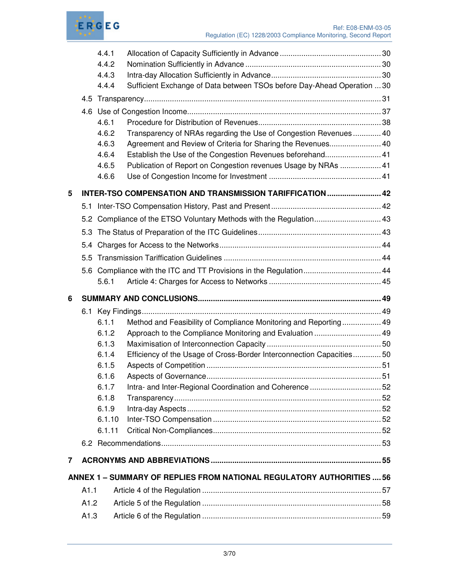

|   |      | 4.4.1  |                                                                         |  |  |  |  |
|---|------|--------|-------------------------------------------------------------------------|--|--|--|--|
|   |      | 4.4.2  |                                                                         |  |  |  |  |
|   |      | 4.4.3  |                                                                         |  |  |  |  |
|   |      | 4.4.4  | Sufficient Exchange of Data between TSOs before Day-Ahead Operation  30 |  |  |  |  |
|   |      |        |                                                                         |  |  |  |  |
|   |      |        |                                                                         |  |  |  |  |
|   |      | 4.6.1  |                                                                         |  |  |  |  |
|   |      | 4.6.2  | Transparency of NRAs regarding the Use of Congestion Revenues 40        |  |  |  |  |
|   |      | 4.6.3  | Agreement and Review of Criteria for Sharing the Revenues 40            |  |  |  |  |
|   |      | 4.6.4  | Establish the Use of the Congestion Revenues beforehand 41              |  |  |  |  |
|   |      | 4.6.5  | Publication of Report on Congestion revenues Usage by NRAs  41          |  |  |  |  |
|   |      | 4.6.6  |                                                                         |  |  |  |  |
| 5 |      |        | INTER-TSO COMPENSATION AND TRANSMISSION TARIFFICATION  42               |  |  |  |  |
|   |      |        |                                                                         |  |  |  |  |
|   | 5.2  |        |                                                                         |  |  |  |  |
|   |      |        |                                                                         |  |  |  |  |
|   | 5.4  |        |                                                                         |  |  |  |  |
|   |      |        |                                                                         |  |  |  |  |
|   |      |        | 5.6 Compliance with the ITC and TT Provisions in the Regulation 44      |  |  |  |  |
|   |      | 5.6.1  |                                                                         |  |  |  |  |
|   |      |        |                                                                         |  |  |  |  |
| 6 |      |        |                                                                         |  |  |  |  |
|   |      |        |                                                                         |  |  |  |  |
|   |      | 6.1.1  | Method and Feasibility of Compliance Monitoring and Reporting 49        |  |  |  |  |
|   |      | 6.1.2  | Approach to the Compliance Monitoring and Evaluation  49                |  |  |  |  |
|   |      | 6.1.3  |                                                                         |  |  |  |  |
|   |      | 6.1.4  | Efficiency of the Usage of Cross-Border Interconnection Capacities50    |  |  |  |  |
|   |      | 6.1.5  |                                                                         |  |  |  |  |
|   |      | 6.1.6  |                                                                         |  |  |  |  |
|   |      | 6.1.7  | Intra- and Inter-Regional Coordination and Coherence 52                 |  |  |  |  |
|   |      | 6.1.8  |                                                                         |  |  |  |  |
|   |      | 6.1.9  |                                                                         |  |  |  |  |
|   |      | 6.1.10 |                                                                         |  |  |  |  |
|   |      | 6.1.11 |                                                                         |  |  |  |  |
|   |      |        |                                                                         |  |  |  |  |
| 7 |      |        |                                                                         |  |  |  |  |
|   |      |        | ANNEX 1 - SUMMARY OF REPLIES FROM NATIONAL REGULATORY AUTHORITIES  56   |  |  |  |  |
|   | A1.1 |        |                                                                         |  |  |  |  |
|   | A1.2 |        |                                                                         |  |  |  |  |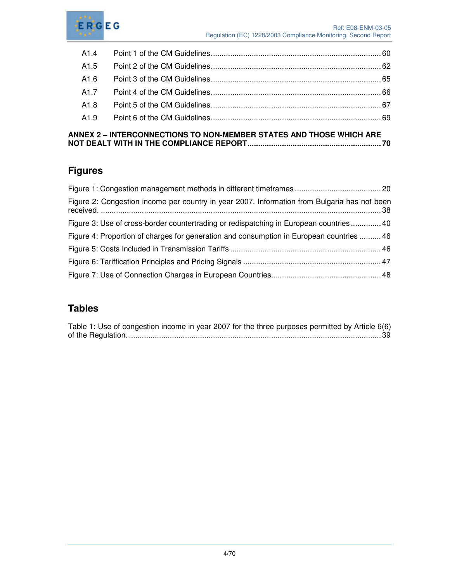

| A1.4             |  |
|------------------|--|
| A1.5             |  |
| A1.6             |  |
| A1.7             |  |
| A1.8             |  |
| A <sub>1.9</sub> |  |
|                  |  |

### **ANNEX 2 – INTERCONNECTIONS TO NON-MEMBER STATES AND THOSE WHICH ARE NOT DEALT WITH IN THE COMPLIANCE REPORT.............................................................. 70**

# **Figures**

| Figure 2: Congestion income per country in year 2007. Information from Bulgaria has not been |  |
|----------------------------------------------------------------------------------------------|--|
| Figure 3: Use of cross-border countertrading or redispatching in European countries 40       |  |
| Figure 4: Proportion of charges for generation and consumption in European countries  46     |  |
|                                                                                              |  |
|                                                                                              |  |
|                                                                                              |  |

# **Tables**

| Table 1: Use of congestion income in year 2007 for the three purposes permitted by Article 6(6) |  |
|-------------------------------------------------------------------------------------------------|--|
|                                                                                                 |  |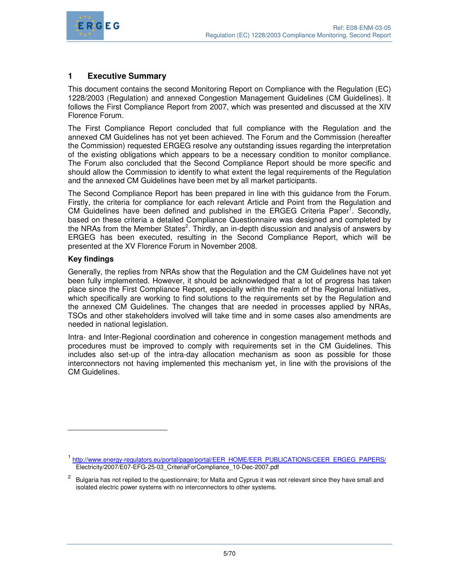

# **1 Executive Summary**

This document contains the second Monitoring Report on Compliance with the Regulation (EC) 1228/2003 (Regulation) and annexed Congestion Management Guidelines (CM Guidelines). It follows the First Compliance Report from 2007, which was presented and discussed at the XIV Florence Forum.

The First Compliance Report concluded that full compliance with the Regulation and the annexed CM Guidelines has not yet been achieved. The Forum and the Commission (hereafter the Commission) requested ERGEG resolve any outstanding issues regarding the interpretation of the existing obligations which appears to be a necessary condition to monitor compliance. The Forum also concluded that the Second Compliance Report should be more specific and should allow the Commission to identify to what extent the legal requirements of the Regulation and the annexed CM Guidelines have been met by all market participants.

The Second Compliance Report has been prepared in line with this guidance from the Forum. Firstly, the criteria for compliance for each relevant Article and Point from the Regulation and CM Guidelines have been defined and published in the ERGEG Criteria Paper<sup>1</sup>. Secondly, based on these criteria a detailed Compliance Questionnaire was designed and completed by the NRAs from the Member States<sup>2</sup>. Thirdly, an in-depth discussion and analysis of answers by ERGEG has been executed, resulting in the Second Compliance Report, which will be presented at the XV Florence Forum in November 2008.

#### **Key findings**

-

Generally, the replies from NRAs show that the Regulation and the CM Guidelines have not yet been fully implemented. However, it should be acknowledged that a lot of progress has taken place since the First Compliance Report, especially within the realm of the Regional Initiatives, which specifically are working to find solutions to the requirements set by the Regulation and the annexed CM Guidelines. The changes that are needed in processes applied by NRAs, TSOs and other stakeholders involved will take time and in some cases also amendments are needed in national legislation.

Intra- and Inter-Regional coordination and coherence in congestion management methods and procedures must be improved to comply with requirements set in the CM Guidelines. This includes also set-up of the intra-day allocation mechanism as soon as possible for those interconnectors not having implemented this mechanism yet, in line with the provisions of the CM Guidelines.

<sup>&</sup>lt;sup>1</sup> http://www.energy-regulators.eu/portal/page/portal/EER\_HOME/EER\_PUBLICATIONS/CEER\_ERGEG\_PAPERS/ Electricity/2007/E07-EFG-25-03\_CriteriaForCompliance\_10-Dec-2007.pdf

<sup>2</sup> Bulgaria has not replied to the questionnaire; for Malta and Cyprus it was not relevant since they have small and isolated electric power systems with no interconnectors to other systems.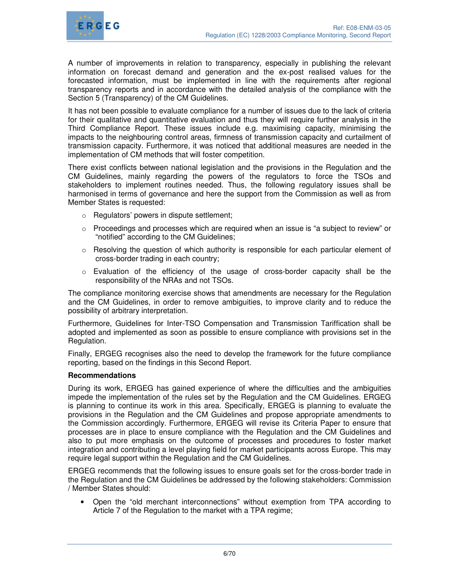

A number of improvements in relation to transparency, especially in publishing the relevant information on forecast demand and generation and the ex-post realised values for the forecasted information, must be implemented in line with the requirements after regional transparency reports and in accordance with the detailed analysis of the compliance with the Section 5 (Transparency) of the CM Guidelines.

It has not been possible to evaluate compliance for a number of issues due to the lack of criteria for their qualitative and quantitative evaluation and thus they will require further analysis in the Third Compliance Report. These issues include e.g. maximising capacity, minimising the impacts to the neighbouring control areas, firmness of transmission capacity and curtailment of transmission capacity. Furthermore, it was noticed that additional measures are needed in the implementation of CM methods that will foster competition.

There exist conflicts between national legislation and the provisions in the Regulation and the CM Guidelines, mainly regarding the powers of the regulators to force the TSOs and stakeholders to implement routines needed. Thus, the following regulatory issues shall be harmonised in terms of governance and here the support from the Commission as well as from Member States is requested:

- o Regulators' powers in dispute settlement;
- $\circ$  Proceedings and processes which are required when an issue is "a subject to review" or "notified" according to the CM Guidelines;
- $\circ$  Resolving the question of which authority is responsible for each particular element of cross-border trading in each country;
- $\circ$  Evaluation of the efficiency of the usage of cross-border capacity shall be the responsibility of the NRAs and not TSOs.

The compliance monitoring exercise shows that amendments are necessary for the Regulation and the CM Guidelines, in order to remove ambiguities, to improve clarity and to reduce the possibility of arbitrary interpretation.

Furthermore, Guidelines for Inter-TSO Compensation and Transmission Tariffication shall be adopted and implemented as soon as possible to ensure compliance with provisions set in the Regulation.

Finally, ERGEG recognises also the need to develop the framework for the future compliance reporting, based on the findings in this Second Report.

#### **Recommendations**

During its work, ERGEG has gained experience of where the difficulties and the ambiguities impede the implementation of the rules set by the Regulation and the CM Guidelines. ERGEG is planning to continue its work in this area. Specifically, ERGEG is planning to evaluate the provisions in the Regulation and the CM Guidelines and propose appropriate amendments to the Commission accordingly. Furthermore, ERGEG will revise its Criteria Paper to ensure that processes are in place to ensure compliance with the Regulation and the CM Guidelines and also to put more emphasis on the outcome of processes and procedures to foster market integration and contributing a level playing field for market participants across Europe. This may require legal support within the Regulation and the CM Guidelines.

ERGEG recommends that the following issues to ensure goals set for the cross-border trade in the Regulation and the CM Guidelines be addressed by the following stakeholders: Commission / Member States should:

• Open the "old merchant interconnections" without exemption from TPA according to Article 7 of the Regulation to the market with a TPA regime;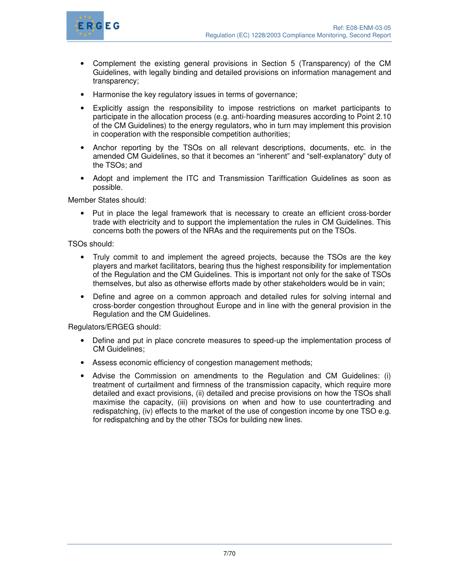

- Complement the existing general provisions in Section 5 (Transparency) of the CM Guidelines, with legally binding and detailed provisions on information management and transparency;
- Harmonise the key regulatory issues in terms of governance;
- Explicitly assign the responsibility to impose restrictions on market participants to participate in the allocation process (e.g. anti-hoarding measures according to Point 2.10 of the CM Guidelines) to the energy regulators, who in turn may implement this provision in cooperation with the responsible competition authorities;
- Anchor reporting by the TSOs on all relevant descriptions, documents, etc. in the amended CM Guidelines, so that it becomes an "inherent" and "self-explanatory" duty of the TSOs; and
- Adopt and implement the ITC and Transmission Tariffication Guidelines as soon as possible.

Member States should:

• Put in place the legal framework that is necessary to create an efficient cross-border trade with electricity and to support the implementation the rules in CM Guidelines. This concerns both the powers of the NRAs and the requirements put on the TSOs.

TSOs should:

- Truly commit to and implement the agreed projects, because the TSOs are the key players and market facilitators, bearing thus the highest responsibility for implementation of the Regulation and the CM Guidelines. This is important not only for the sake of TSOs themselves, but also as otherwise efforts made by other stakeholders would be in vain;
- Define and agree on a common approach and detailed rules for solving internal and cross-border congestion throughout Europe and in line with the general provision in the Regulation and the CM Guidelines.

Regulators/ERGEG should:

- Define and put in place concrete measures to speed-up the implementation process of CM Guidelines;
- Assess economic efficiency of congestion management methods;
- Advise the Commission on amendments to the Regulation and CM Guidelines: (i) treatment of curtailment and firmness of the transmission capacity, which require more detailed and exact provisions, (ii) detailed and precise provisions on how the TSOs shall maximise the capacity, (iii) provisions on when and how to use countertrading and redispatching, (iv) effects to the market of the use of congestion income by one TSO e.g. for redispatching and by the other TSOs for building new lines.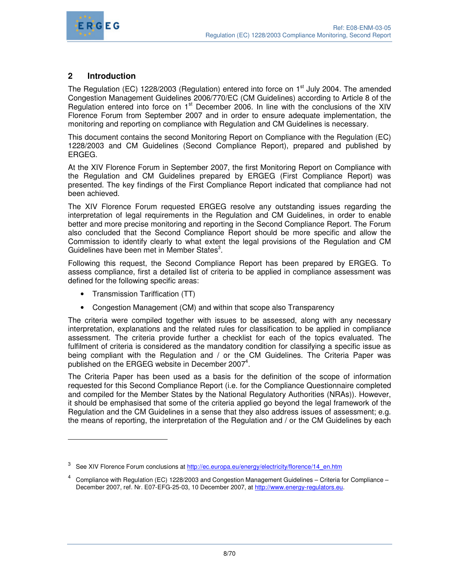

# **2 Introduction**

The Regulation (EC) 1228/2003 (Regulation) entered into force on 1<sup>st</sup> July 2004. The amended Congestion Management Guidelines 2006/770/EC (CM Guidelines) according to Article 8 of the Regulation entered into force on 1<sup>st</sup> December 2006. In line with the conclusions of the XIV Florence Forum from September 2007 and in order to ensure adequate implementation, the monitoring and reporting on compliance with Regulation and CM Guidelines is necessary.

This document contains the second Monitoring Report on Compliance with the Regulation (EC) 1228/2003 and CM Guidelines (Second Compliance Report), prepared and published by ERGEG.

At the XIV Florence Forum in September 2007, the first Monitoring Report on Compliance with the Regulation and CM Guidelines prepared by ERGEG (First Compliance Report) was presented. The key findings of the First Compliance Report indicated that compliance had not been achieved.

The XIV Florence Forum requested ERGEG resolve any outstanding issues regarding the interpretation of legal requirements in the Regulation and CM Guidelines, in order to enable better and more precise monitoring and reporting in the Second Compliance Report. The Forum also concluded that the Second Compliance Report should be more specific and allow the Commission to identify clearly to what extent the legal provisions of the Regulation and CM Guidelines have been met in Member States<sup>3</sup>.

Following this request, the Second Compliance Report has been prepared by ERGEG. To assess compliance, first a detailed list of criteria to be applied in compliance assessment was defined for the following specific areas:

• Transmission Tariffication (TT)

 $\overline{a}$ 

• Congestion Management (CM) and within that scope also Transparency

The criteria were compiled together with issues to be assessed, along with any necessary interpretation, explanations and the related rules for classification to be applied in compliance assessment. The criteria provide further a checklist for each of the topics evaluated. The fulfilment of criteria is considered as the mandatory condition for classifying a specific issue as being compliant with the Regulation and / or the CM Guidelines. The Criteria Paper was published on the ERGEG website in December 2007<sup>4</sup>.

The Criteria Paper has been used as a basis for the definition of the scope of information requested for this Second Compliance Report (i.e. for the Compliance Questionnaire completed and compiled for the Member States by the National Regulatory Authorities (NRAs)). However, it should be emphasised that some of the criteria applied go beyond the legal framework of the Regulation and the CM Guidelines in a sense that they also address issues of assessment; e.g. the means of reporting, the interpretation of the Regulation and / or the CM Guidelines by each

<sup>3</sup> See XIV Florence Forum conclusions at http://ec.europa.eu/energy/electricity/florence/14\_en.htm

<sup>4</sup> Compliance with Regulation (EC) 1228/2003 and Congestion Management Guidelines – Criteria for Compliance – December 2007, ref. Nr. E07-EFG-25-03, 10 December 2007, at http://www.energy-regulators.eu.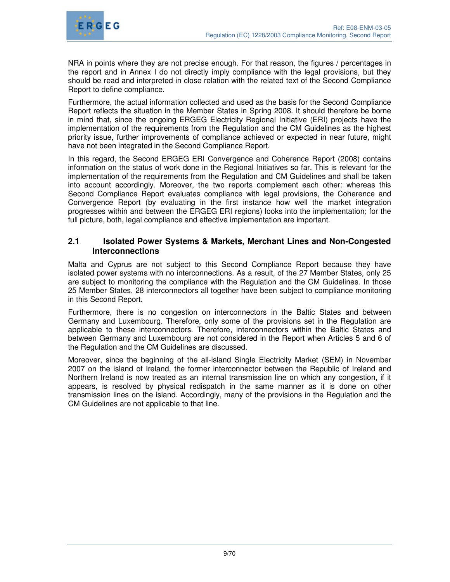

NRA in points where they are not precise enough. For that reason, the figures / percentages in the report and in Annex I do not directly imply compliance with the legal provisions, but they should be read and interpreted in close relation with the related text of the Second Compliance Report to define compliance.

Furthermore, the actual information collected and used as the basis for the Second Compliance Report reflects the situation in the Member States in Spring 2008. It should therefore be borne in mind that, since the ongoing ERGEG Electricity Regional Initiative (ERI) projects have the implementation of the requirements from the Regulation and the CM Guidelines as the highest priority issue, further improvements of compliance achieved or expected in near future, might have not been integrated in the Second Compliance Report.

In this regard, the Second ERGEG ERI Convergence and Coherence Report (2008) contains information on the status of work done in the Regional Initiatives so far. This is relevant for the implementation of the requirements from the Regulation and CM Guidelines and shall be taken into account accordingly. Moreover, the two reports complement each other: whereas this Second Compliance Report evaluates compliance with legal provisions, the Coherence and Convergence Report (by evaluating in the first instance how well the market integration progresses within and between the ERGEG ERI regions) looks into the implementation; for the full picture, both, legal compliance and effective implementation are important.

# **2.1 Isolated Power Systems & Markets, Merchant Lines and Non-Congested Interconnections**

Malta and Cyprus are not subject to this Second Compliance Report because they have isolated power systems with no interconnections. As a result, of the 27 Member States, only 25 are subject to monitoring the compliance with the Regulation and the CM Guidelines. In those 25 Member States, 28 interconnectors all together have been subject to compliance monitoring in this Second Report.

Furthermore, there is no congestion on interconnectors in the Baltic States and between Germany and Luxembourg. Therefore, only some of the provisions set in the Regulation are applicable to these interconnectors. Therefore, interconnectors within the Baltic States and between Germany and Luxembourg are not considered in the Report when Articles 5 and 6 of the Regulation and the CM Guidelines are discussed.

Moreover, since the beginning of the all-island Single Electricity Market (SEM) in November 2007 on the island of Ireland, the former interconnector between the Republic of Ireland and Northern Ireland is now treated as an internal transmission line on which any congestion, if it appears, is resolved by physical redispatch in the same manner as it is done on other transmission lines on the island. Accordingly, many of the provisions in the Regulation and the CM Guidelines are not applicable to that line.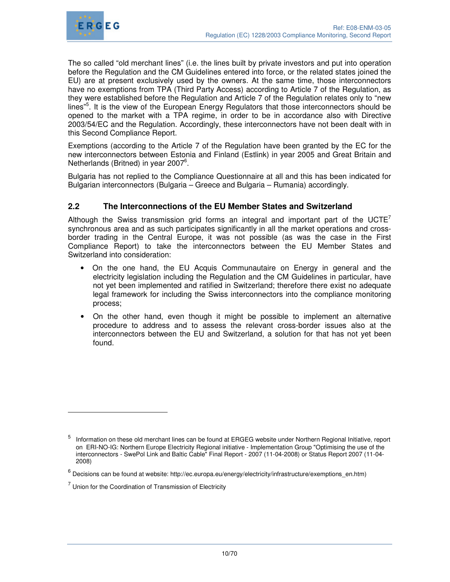

The so called "old merchant lines" (i.e. the lines built by private investors and put into operation before the Regulation and the CM Guidelines entered into force, or the related states joined the EU) are at present exclusively used by the owners. At the same time, those interconnectors have no exemptions from TPA (Third Party Access) according to Article 7 of the Regulation, as they were established before the Regulation and Article 7 of the Regulation relates only to "new lines"<sup>5</sup>. It is the view of the European Energy Regulators that those interconnectors should be opened to the market with a TPA regime, in order to be in accordance also with Directive 2003/54/EC and the Regulation. Accordingly, these interconnectors have not been dealt with in this Second Compliance Report.

Exemptions (according to the Article 7 of the Regulation have been granted by the EC for the new interconnectors between Estonia and Finland (Estlink) in year 2005 and Great Britain and Netherlands (Britned) in year 2007<sup>6</sup>.

Bulgaria has not replied to the Compliance Questionnaire at all and this has been indicated for Bulgarian interconnectors (Bulgaria – Greece and Bulgaria – Rumania) accordingly.

# **2.2 The Interconnections of the EU Member States and Switzerland**

Although the Swiss transmission grid forms an integral and important part of the  $UCTE<sup>7</sup>$ synchronous area and as such participates significantly in all the market operations and crossborder trading in the Central Europe, it was not possible (as was the case in the First Compliance Report) to take the interconnectors between the EU Member States and Switzerland into consideration:

- On the one hand, the EU Acquis Communautaire on Energy in general and the electricity legislation including the Regulation and the CM Guidelines in particular, have not yet been implemented and ratified in Switzerland; therefore there exist no adequate legal framework for including the Swiss interconnectors into the compliance monitoring process;
- On the other hand, even though it might be possible to implement an alternative procedure to address and to assess the relevant cross-border issues also at the interconnectors between the EU and Switzerland, a solution for that has not yet been found.

-

<sup>5</sup> Information on these old merchant lines can be found at ERGEG website under Northern Regional Initiative, report on ERI-NO-IG: Northern Europe Electricity Regional initiative - Implementation Group "Optimising the use of the interconnectors - SwePol Link and Baltic Cable" Final Report - 2007 (11-04-2008) or Status Report 2007 (11-04- 2008)

 $^6$  Decisions can be found at website: http://ec.europa.eu/energy/electricity/infrastructure/exemptions\_en.htm)

 $7$  Union for the Coordination of Transmission of Electricity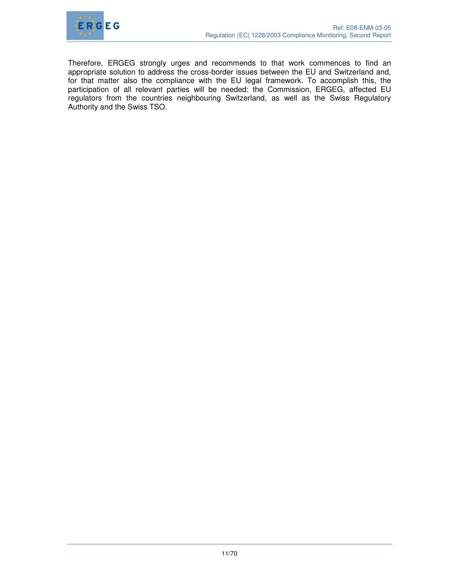

Therefore, ERGEG strongly urges and recommends to that work commences to find an appropriate solution to address the cross-border issues between the EU and Switzerland and, for that matter also the compliance with the EU legal framework. To accomplish this, the participation of all relevant parties will be needed: the Commission, ERGEG, affected EU regulators from the countries neighbouring Switzerland, as well as the Swiss Regulatory Authority and the Swiss TSO.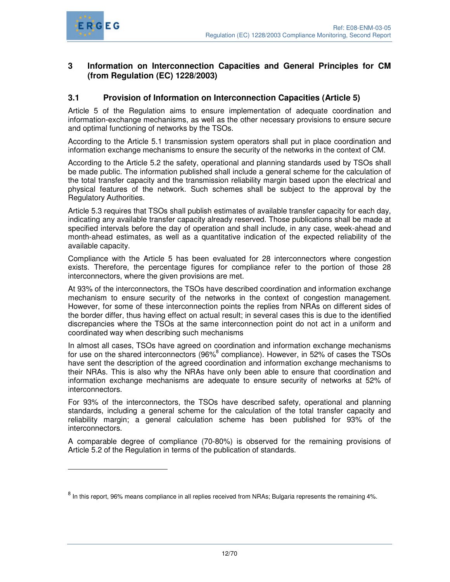

-

# **3 Information on Interconnection Capacities and General Principles for CM (from Regulation (EC) 1228/2003)**

# **3.1 Provision of Information on Interconnection Capacities (Article 5)**

Article 5 of the Regulation aims to ensure implementation of adequate coordination and information-exchange mechanisms, as well as the other necessary provisions to ensure secure and optimal functioning of networks by the TSOs.

According to the Article 5.1 transmission system operators shall put in place coordination and information exchange mechanisms to ensure the security of the networks in the context of CM.

According to the Article 5.2 the safety, operational and planning standards used by TSOs shall be made public. The information published shall include a general scheme for the calculation of the total transfer capacity and the transmission reliability margin based upon the electrical and physical features of the network. Such schemes shall be subject to the approval by the Regulatory Authorities.

Article 5.3 requires that TSOs shall publish estimates of available transfer capacity for each day, indicating any available transfer capacity already reserved. Those publications shall be made at specified intervals before the day of operation and shall include, in any case, week-ahead and month-ahead estimates, as well as a quantitative indication of the expected reliability of the available capacity.

Compliance with the Article 5 has been evaluated for 28 interconnectors where congestion exists. Therefore, the percentage figures for compliance refer to the portion of those 28 interconnectors, where the given provisions are met.

At 93% of the interconnectors, the TSOs have described coordination and information exchange mechanism to ensure security of the networks in the context of congestion management. However, for some of these interconnection points the replies from NRAs on different sides of the border differ, thus having effect on actual result; in several cases this is due to the identified discrepancies where the TSOs at the same interconnection point do not act in a uniform and coordinated way when describing such mechanisms

In almost all cases, TSOs have agreed on coordination and information exchange mechanisms for use on the shared interconnectors (96%<sup>8</sup> compliance). However, in 52% of cases the TSOs have sent the description of the agreed coordination and information exchange mechanisms to their NRAs. This is also why the NRAs have only been able to ensure that coordination and information exchange mechanisms are adequate to ensure security of networks at 52% of interconnectors.

For 93% of the interconnectors, the TSOs have described safety, operational and planning standards, including a general scheme for the calculation of the total transfer capacity and reliability margin; a general calculation scheme has been published for 93% of the interconnectors.

A comparable degree of compliance (70-80%) is observed for the remaining provisions of Article 5.2 of the Regulation in terms of the publication of standards.

 $^8$  In this report, 96% means compliance in all replies received from NRAs; Bulgaria represents the remaining 4%.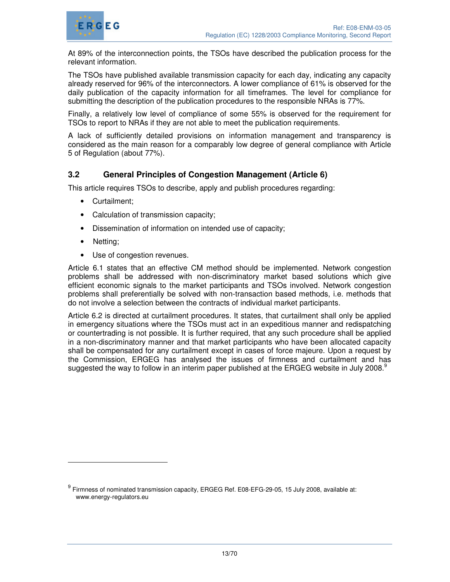

At 89% of the interconnection points, the TSOs have described the publication process for the relevant information.

The TSOs have published available transmission capacity for each day, indicating any capacity already reserved for 96% of the interconnectors. A lower compliance of 61% is observed for the daily publication of the capacity information for all timeframes. The level for compliance for submitting the description of the publication procedures to the responsible NRAs is 77%.

Finally, a relatively low level of compliance of some 55% is observed for the requirement for TSOs to report to NRAs if they are not able to meet the publication requirements.

A lack of sufficiently detailed provisions on information management and transparency is considered as the main reason for a comparably low degree of general compliance with Article 5 of Regulation (about 77%).

# **3.2 General Principles of Congestion Management (Article 6)**

This article requires TSOs to describe, apply and publish procedures regarding:

- Curtailment;
- Calculation of transmission capacity;
- Dissemination of information on intended use of capacity;
- Netting;

-

• Use of congestion revenues.

Article 6.1 states that an effective CM method should be implemented. Network congestion problems shall be addressed with non-discriminatory market based solutions which give efficient economic signals to the market participants and TSOs involved. Network congestion problems shall preferentially be solved with non-transaction based methods, i.e. methods that do not involve a selection between the contracts of individual market participants.

Article 6.2 is directed at curtailment procedures. It states, that curtailment shall only be applied in emergency situations where the TSOs must act in an expeditious manner and redispatching or countertrading is not possible. It is further required, that any such procedure shall be applied in a non-discriminatory manner and that market participants who have been allocated capacity shall be compensated for any curtailment except in cases of force majeure. Upon a request by the Commission, ERGEG has analysed the issues of firmness and curtailment and has suggested the way to follow in an interim paper published at the ERGEG website in July 2008. $^9$ 

 $^9$  Firmness of nominated transmission capacity, ERGEG Ref. E08-EFG-29-05, 15 July 2008, available at: www.energy-regulators.eu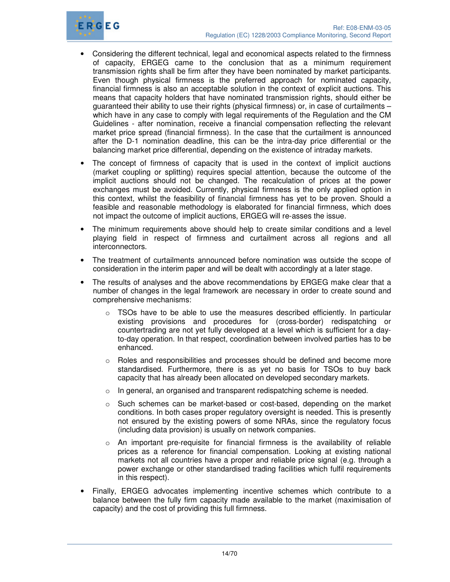

- Considering the different technical, legal and economical aspects related to the firmness of capacity, ERGEG came to the conclusion that as a minimum requirement transmission rights shall be firm after they have been nominated by market participants. Even though physical firmness is the preferred approach for nominated capacity, financial firmness is also an acceptable solution in the context of explicit auctions. This means that capacity holders that have nominated transmission rights, should either be guaranteed their ability to use their rights (physical firmness) or, in case of curtailments – which have in any case to comply with legal requirements of the Regulation and the CM Guidelines - after nomination, receive a financial compensation reflecting the relevant market price spread (financial firmness). In the case that the curtailment is announced after the D-1 nomination deadline, this can be the intra-day price differential or the balancing market price differential, depending on the existence of intraday markets.
- The concept of firmness of capacity that is used in the context of implicit auctions (market coupling or splitting) requires special attention, because the outcome of the implicit auctions should not be changed. The recalculation of prices at the power exchanges must be avoided. Currently, physical firmness is the only applied option in this context, whilst the feasibility of financial firmness has yet to be proven. Should a feasible and reasonable methodology is elaborated for financial firmness, which does not impact the outcome of implicit auctions, ERGEG will re-asses the issue.
- The minimum requirements above should help to create similar conditions and a level playing field in respect of firmness and curtailment across all regions and all interconnectors.
- The treatment of curtailments announced before nomination was outside the scope of consideration in the interim paper and will be dealt with accordingly at a later stage.
- The results of analyses and the above recommendations by ERGEG make clear that a number of changes in the legal framework are necessary in order to create sound and comprehensive mechanisms:
	- $\circ$  TSOs have to be able to use the measures described efficiently. In particular existing provisions and procedures for (cross-border) redispatching or countertrading are not yet fully developed at a level which is sufficient for a dayto-day operation. In that respect, coordination between involved parties has to be enhanced.
	- o Roles and responsibilities and processes should be defined and become more standardised. Furthermore, there is as yet no basis for TSOs to buy back capacity that has already been allocated on developed secondary markets.
	- $\circ$  In general, an organised and transparent redispatching scheme is needed.
	- $\circ$  Such schemes can be market-based or cost-based, depending on the market conditions. In both cases proper regulatory oversight is needed. This is presently not ensured by the existing powers of some NRAs, since the regulatory focus (including data provision) is usually on network companies.
	- o An important pre-requisite for financial firmness is the availability of reliable prices as a reference for financial compensation. Looking at existing national markets not all countries have a proper and reliable price signal (e.g. through a power exchange or other standardised trading facilities which fulfil requirements in this respect).
- Finally, ERGEG advocates implementing incentive schemes which contribute to a balance between the fully firm capacity made available to the market (maximisation of capacity) and the cost of providing this full firmness.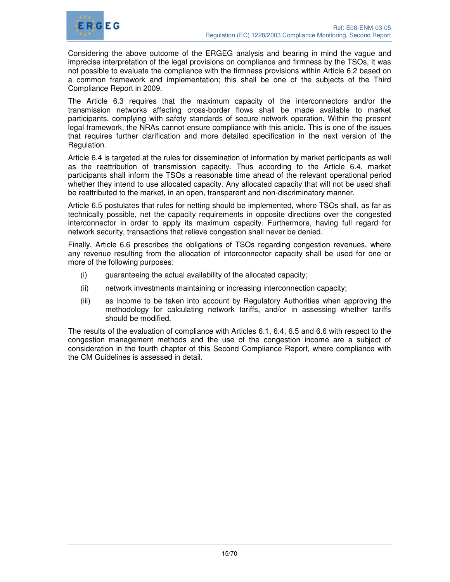

Considering the above outcome of the ERGEG analysis and bearing in mind the vague and imprecise interpretation of the legal provisions on compliance and firmness by the TSOs, it was not possible to evaluate the compliance with the firmness provisions within Article 6.2 based on a common framework and implementation; this shall be one of the subjects of the Third Compliance Report in 2009.

The Article 6.3 requires that the maximum capacity of the interconnectors and/or the transmission networks affecting cross-border flows shall be made available to market participants, complying with safety standards of secure network operation. Within the present legal framework, the NRAs cannot ensure compliance with this article. This is one of the issues that requires further clarification and more detailed specification in the next version of the Regulation.

Article 6.4 is targeted at the rules for dissemination of information by market participants as well as the reattribution of transmission capacity. Thus according to the Article 6.4, market participants shall inform the TSOs a reasonable time ahead of the relevant operational period whether they intend to use allocated capacity. Any allocated capacity that will not be used shall be reattributed to the market, in an open, transparent and non-discriminatory manner.

Article 6.5 postulates that rules for netting should be implemented, where TSOs shall, as far as technically possible, net the capacity requirements in opposite directions over the congested interconnector in order to apply its maximum capacity. Furthermore, having full regard for network security, transactions that relieve congestion shall never be denied.

Finally, Article 6.6 prescribes the obligations of TSOs regarding congestion revenues, where any revenue resulting from the allocation of interconnector capacity shall be used for one or more of the following purposes:

- (i) guaranteeing the actual availability of the allocated capacity;
- (ii) network investments maintaining or increasing interconnection capacity;
- (iii) as income to be taken into account by Regulatory Authorities when approving the methodology for calculating network tariffs, and/or in assessing whether tariffs should be modified.

The results of the evaluation of compliance with Articles 6.1, 6.4, 6.5 and 6.6 with respect to the congestion management methods and the use of the congestion income are a subject of consideration in the fourth chapter of this Second Compliance Report, where compliance with the CM Guidelines is assessed in detail.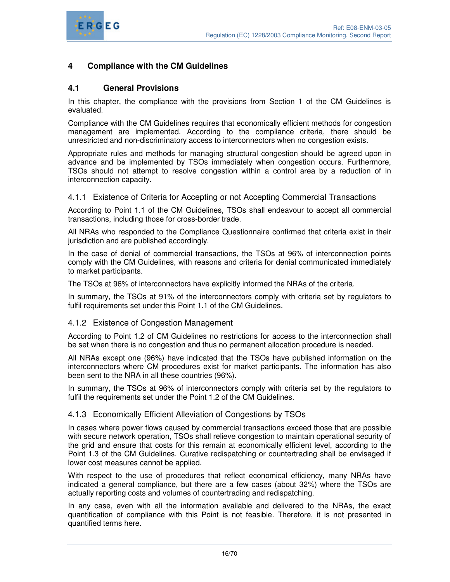

# **4 Compliance with the CM Guidelines**

### **4.1 General Provisions**

In this chapter, the compliance with the provisions from Section 1 of the CM Guidelines is evaluated.

Compliance with the CM Guidelines requires that economically efficient methods for congestion management are implemented. According to the compliance criteria, there should be unrestricted and non-discriminatory access to interconnectors when no congestion exists.

Appropriate rules and methods for managing structural congestion should be agreed upon in advance and be implemented by TSOs immediately when congestion occurs. Furthermore, TSOs should not attempt to resolve congestion within a control area by a reduction of in interconnection capacity.

#### 4.1.1 Existence of Criteria for Accepting or not Accepting Commercial Transactions

According to Point 1.1 of the CM Guidelines, TSOs shall endeavour to accept all commercial transactions, including those for cross-border trade.

All NRAs who responded to the Compliance Questionnaire confirmed that criteria exist in their jurisdiction and are published accordingly.

In the case of denial of commercial transactions, the TSOs at 96% of interconnection points comply with the CM Guidelines, with reasons and criteria for denial communicated immediately to market participants.

The TSOs at 96% of interconnectors have explicitly informed the NRAs of the criteria.

In summary, the TSOs at 91% of the interconnectors comply with criteria set by regulators to fulfil requirements set under this Point 1.1 of the CM Guidelines.

#### 4.1.2 Existence of Congestion Management

According to Point 1.2 of CM Guidelines no restrictions for access to the interconnection shall be set when there is no congestion and thus no permanent allocation procedure is needed.

All NRAs except one (96%) have indicated that the TSOs have published information on the interconnectors where CM procedures exist for market participants. The information has also been sent to the NRA in all these countries (96%).

In summary, the TSOs at 96% of interconnectors comply with criteria set by the regulators to fulfil the requirements set under the Point 1.2 of the CM Guidelines.

#### 4.1.3 Economically Efficient Alleviation of Congestions by TSOs

In cases where power flows caused by commercial transactions exceed those that are possible with secure network operation, TSOs shall relieve congestion to maintain operational security of the grid and ensure that costs for this remain at economically efficient level, according to the Point 1.3 of the CM Guidelines. Curative redispatching or countertrading shall be envisaged if lower cost measures cannot be applied.

With respect to the use of procedures that reflect economical efficiency, many NRAs have indicated a general compliance, but there are a few cases (about 32%) where the TSOs are actually reporting costs and volumes of countertrading and redispatching.

In any case, even with all the information available and delivered to the NRAs, the exact quantification of compliance with this Point is not feasible. Therefore, it is not presented in quantified terms here.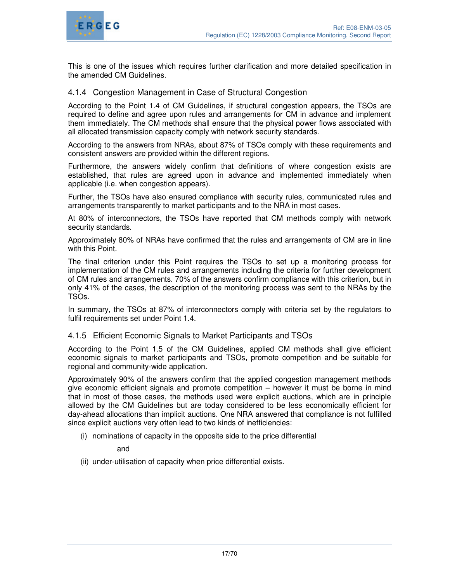

This is one of the issues which requires further clarification and more detailed specification in the amended CM Guidelines.

### 4.1.4 Congestion Management in Case of Structural Congestion

According to the Point 1.4 of CM Guidelines, if structural congestion appears, the TSOs are required to define and agree upon rules and arrangements for CM in advance and implement them immediately. The CM methods shall ensure that the physical power flows associated with all allocated transmission capacity comply with network security standards.

According to the answers from NRAs, about 87% of TSOs comply with these requirements and consistent answers are provided within the different regions.

Furthermore, the answers widely confirm that definitions of where congestion exists are established, that rules are agreed upon in advance and implemented immediately when applicable (i.e. when congestion appears).

Further, the TSOs have also ensured compliance with security rules, communicated rules and arrangements transparently to market participants and to the NRA in most cases.

At 80% of interconnectors, the TSOs have reported that CM methods comply with network security standards.

Approximately 80% of NRAs have confirmed that the rules and arrangements of CM are in line with this Point.

The final criterion under this Point requires the TSOs to set up a monitoring process for implementation of the CM rules and arrangements including the criteria for further development of CM rules and arrangements. 70% of the answers confirm compliance with this criterion, but in only 41% of the cases, the description of the monitoring process was sent to the NRAs by the TSOs.

In summary, the TSOs at 87% of interconnectors comply with criteria set by the regulators to fulfil requirements set under Point 1.4.

#### 4.1.5 Efficient Economic Signals to Market Participants and TSOs

According to the Point 1.5 of the CM Guidelines, applied CM methods shall give efficient economic signals to market participants and TSOs, promote competition and be suitable for regional and community-wide application.

Approximately 90% of the answers confirm that the applied congestion management methods give economic efficient signals and promote competition – however it must be borne in mind that in most of those cases, the methods used were explicit auctions, which are in principle allowed by the CM Guidelines but are today considered to be less economically efficient for day-ahead allocations than implicit auctions. One NRA answered that compliance is not fulfilled since explicit auctions very often lead to two kinds of inefficiencies:

(i) nominations of capacity in the opposite side to the price differential

and

(ii) under-utilisation of capacity when price differential exists.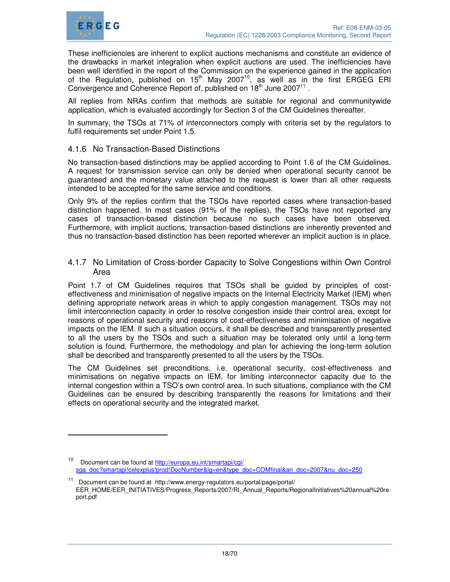

 $\ddot{ }$ 

These inefficiencies are inherent to explicit auctions mechanisms and constitute an evidence of the drawbacks in market integration when explicit auctions are used. The inefficiencies have been well identified in the report of the Commission on the experience gained in the application of the Regulation, published on  $15<sup>th</sup>$  May 2007<sup>10</sup>, as well as in the first ERGEG ERI Convergence and Coherence Report of, published on  $18<sup>th</sup>$  June 2007 $<sup>11</sup>$ .</sup>

All replies from NRAs confirm that methods are suitable for regional and communitywide application, which is evaluated accordingly for Section 3 of the CM Guidelines thereafter.

In summary, the TSOs at 71% of interconnectors comply with criteria set by the regulators to fulfil requirements set under Point 1.5.

# 4.1.6 No Transaction-Based Distinctions

No transaction-based distinctions may be applied according to Point 1.6 of the CM Guidelines. A request for transmission service can only be denied when operational security cannot be guaranteed and the monetary value attached to the request is lower than all other requests intended to be accepted for the same service and conditions.

Only 9% of the replies confirm that the TSOs have reported cases where transaction-based distinction happened. In most cases (91% of the replies), the TSOs have not reported any cases of transaction-based distinction because no such cases have been observed. Furthermore, with implicit auctions, transaction-based distinctions are inherently prevented and thus no transaction-based distinction has been reported wherever an implicit auction is in place.

# 4.1.7 No Limitation of Cross-border Capacity to Solve Congestions within Own Control Area

Point 1.7 of CM Guidelines requires that TSOs shall be guided by principles of costeffectiveness and minimisation of negative impacts on the Internal Electricity Market (IEM) when defining appropriate network areas in which to apply congestion management. TSOs may not limit interconnection capacity in order to resolve congestion inside their control area, except for reasons of operational security and reasons of cost-effectiveness and minimisation of negative impacts on the IEM. If such a situation occurs, it shall be described and transparently presented to all the users by the TSOs and such a situation may be tolerated only until a long-term solution is found. Furthermore, the methodology and plan for achieving the long-term solution shall be described and transparently presented to all the users by the TSOs.

The CM Guidelines set preconditions, i.e. operational security, cost-effectiveness and minimisations on negative impacts on IEM, for limiting interconnector capacity due to the internal congestion within a TSO's own control area. In such situations, compliance with the CM Guidelines can be ensured by describing transparently the reasons for limitations and their effects on operational security and the integrated market.

Document can be found at http://europa.eu.int/smartapi/cgi/ sga\_doc?smartapi!celexplus!prod!DocNumber&lg=en&type\_doc=COMfinal&an\_doc=2007&nu\_doc=250

<sup>11</sup> Document can be found at http://www.energy-regulators.eu/portal/page/portal/ EER\_HOME/EER\_INITIATIVES/Progress\_Reports/2007/RI\_Annual\_Reports/RegionalInitiatives%20annual%20re port.pdf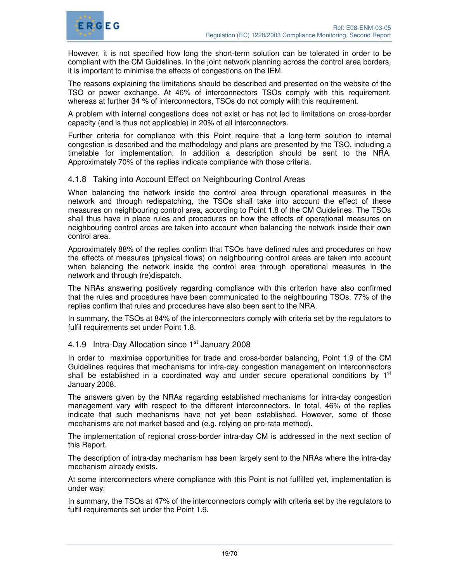

However, it is not specified how long the short-term solution can be tolerated in order to be compliant with the CM Guidelines. In the joint network planning across the control area borders, it is important to minimise the effects of congestions on the IEM.

The reasons explaining the limitations should be described and presented on the website of the TSO or power exchange. At 46% of interconnectors TSOs comply with this requirement, whereas at further 34 % of interconnectors, TSOs do not comply with this requirement.

A problem with internal congestions does not exist or has not led to limitations on cross-border capacity (and is thus not applicable) in 20% of all interconnectors.

Further criteria for compliance with this Point require that a long-term solution to internal congestion is described and the methodology and plans are presented by the TSO, including a timetable for implementation. In addition a description should be sent to the NRA. Approximately 70% of the replies indicate compliance with those criteria.

# 4.1.8 Taking into Account Effect on Neighbouring Control Areas

When balancing the network inside the control area through operational measures in the network and through redispatching, the TSOs shall take into account the effect of these measures on neighbouring control area, according to Point 1.8 of the CM Guidelines. The TSOs shall thus have in place rules and procedures on how the effects of operational measures on neighbouring control areas are taken into account when balancing the network inside their own control area.

Approximately 88% of the replies confirm that TSOs have defined rules and procedures on how the effects of measures (physical flows) on neighbouring control areas are taken into account when balancing the network inside the control area through operational measures in the network and through (re)dispatch.

The NRAs answering positively regarding compliance with this criterion have also confirmed that the rules and procedures have been communicated to the neighbouring TSOs. 77% of the replies confirm that rules and procedures have also been sent to the NRA.

In summary, the TSOs at 84% of the interconnectors comply with criteria set by the regulators to fulfil requirements set under Point 1.8.

# 4.1.9 Intra-Day Allocation since 1<sup>st</sup> January 2008

In order to maximise opportunities for trade and cross-border balancing, Point 1.9 of the CM Guidelines requires that mechanisms for intra-day congestion management on interconnectors shall be established in a coordinated way and under secure operational conditions by 1<sup>st</sup> January 2008.

The answers given by the NRAs regarding established mechanisms for intra-day congestion management vary with respect to the different interconnectors. In total, 46% of the replies indicate that such mechanisms have not yet been established. However, some of those mechanisms are not market based and (e.g. relying on pro-rata method).

The implementation of regional cross-border intra-day CM is addressed in the next section of this Report.

The description of intra-day mechanism has been largely sent to the NRAs where the intra-day mechanism already exists.

At some interconnectors where compliance with this Point is not fulfilled yet, implementation is under way.

In summary, the TSOs at 47% of the interconnectors comply with criteria set by the regulators to fulfil requirements set under the Point 1.9.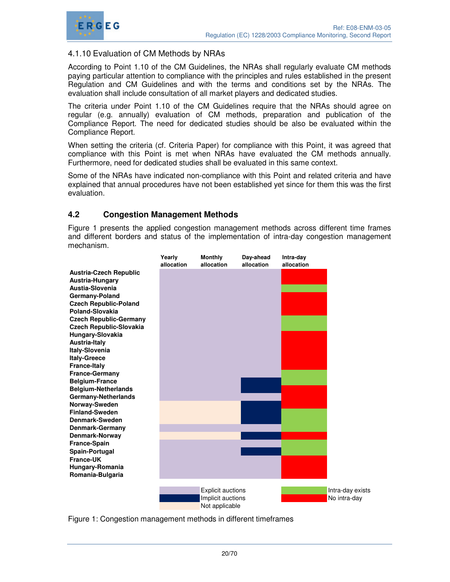

# 4.1.10 Evaluation of CM Methods by NRAs

According to Point 1.10 of the CM Guidelines, the NRAs shall regularly evaluate CM methods paying particular attention to compliance with the principles and rules established in the present Regulation and CM Guidelines and with the terms and conditions set by the NRAs. The evaluation shall include consultation of all market players and dedicated studies.

The criteria under Point 1.10 of the CM Guidelines require that the NRAs should agree on regular (e.g. annually) evaluation of CM methods, preparation and publication of the Compliance Report. The need for dedicated studies should be also be evaluated within the Compliance Report.

When setting the criteria (cf. Criteria Paper) for compliance with this Point, it was agreed that compliance with this Point is met when NRAs have evaluated the CM methods annually. Furthermore, need for dedicated studies shall be evaluated in this same context.

Some of the NRAs have indicated non-compliance with this Point and related criteria and have explained that annual procedures have not been established yet since for them this was the first evaluation.

# **4.2 Congestion Management Methods**

Figure 1 presents the applied congestion management methods across different time frames and different borders and status of the implementation of intra-day congestion management mechanism.

|                                                    | Yearly     | <b>Monthly</b>                      | Day-ahead  | Intra-day  |                  |
|----------------------------------------------------|------------|-------------------------------------|------------|------------|------------------|
|                                                    | allocation | allocation                          | allocation | allocation |                  |
| <b>Austria-Czech Republic</b>                      |            |                                     |            |            |                  |
| Austria-Hungary<br>Austia-Slovenia                 |            |                                     |            |            |                  |
|                                                    |            |                                     |            |            |                  |
| Germany-Poland                                     |            |                                     |            |            |                  |
| <b>Czech Republic-Poland</b><br>Poland-Slovakia    |            |                                     |            |            |                  |
|                                                    |            |                                     |            |            |                  |
| <b>Czech Republic-Germany</b>                      |            |                                     |            |            |                  |
| <b>Czech Republic-Slovakia</b><br>Hungary-Slovakia |            |                                     |            |            |                  |
| Austria-Italy                                      |            |                                     |            |            |                  |
| <b>Italy-Slovenia</b>                              |            |                                     |            |            |                  |
| <b>Italy-Greece</b>                                |            |                                     |            |            |                  |
| <b>France-Italy</b>                                |            |                                     |            |            |                  |
| <b>France-Germany</b>                              |            |                                     |            |            |                  |
| <b>Belgium-France</b>                              |            |                                     |            |            |                  |
| <b>Belgium-Netherlands</b>                         |            |                                     |            |            |                  |
| Germany-Netherlands                                |            |                                     |            |            |                  |
| Norway-Sweden                                      |            |                                     |            |            |                  |
| <b>Finland-Sweden</b>                              |            |                                     |            |            |                  |
| Denmark-Sweden                                     |            |                                     |            |            |                  |
| <b>Denmark-Germany</b>                             |            |                                     |            |            |                  |
| Denmark-Norway                                     |            |                                     |            |            |                  |
| France-Spain                                       |            |                                     |            |            |                  |
| Spain-Portugal                                     |            |                                     |            |            |                  |
| <b>France-UK</b>                                   |            |                                     |            |            |                  |
| Hungary-Romania                                    |            |                                     |            |            |                  |
| Romania-Bulgaria                                   |            |                                     |            |            |                  |
|                                                    |            |                                     |            |            |                  |
|                                                    |            | <b>Explicit auctions</b>            |            |            | Intra-day exists |
|                                                    |            | Implicit auctions<br>Not applicable |            |            | No intra-day     |

Figure 1: Congestion management methods in different timeframes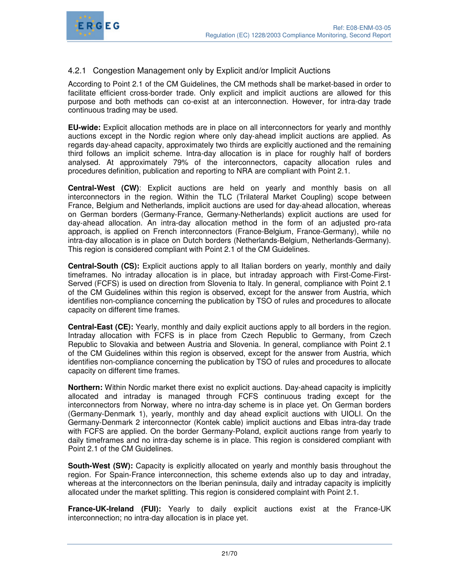

# 4.2.1 Congestion Management only by Explicit and/or Implicit Auctions

According to Point 2.1 of the CM Guidelines, the CM methods shall be market-based in order to facilitate efficient cross-border trade. Only explicit and implicit auctions are allowed for this purpose and both methods can co-exist at an interconnection. However, for intra-day trade continuous trading may be used.

**EU-wide:** Explicit allocation methods are in place on all interconnectors for yearly and monthly auctions except in the Nordic region where only day-ahead implicit auctions are applied. As regards day-ahead capacity, approximately two thirds are explicitly auctioned and the remaining third follows an implicit scheme. Intra-day allocation is in place for roughly half of borders analysed. At approximately 79% of the interconnectors, capacity allocation rules and procedures definition, publication and reporting to NRA are compliant with Point 2.1.

**Central-West (CW)**: Explicit auctions are held on yearly and monthly basis on all interconnectors in the region. Within the TLC (Trilateral Market Coupling) scope between France, Belgium and Netherlands, implicit auctions are used for day-ahead allocation, whereas on German borders (Germany-France, Germany-Netherlands) explicit auctions are used for day-ahead allocation. An intra-day allocation method in the form of an adjusted pro-rata approach, is applied on French interconnectors (France-Belgium, France-Germany), while no intra-day allocation is in place on Dutch borders (Netherlands-Belgium, Netherlands-Germany). This region is considered compliant with Point 2.1 of the CM Guidelines.

**Central-South (CS):** Explicit auctions apply to all Italian borders on yearly, monthly and daily timeframes. No intraday allocation is in place, but intraday approach with First-Come-First-Served (FCFS) is used on direction from Slovenia to Italy. In general, compliance with Point 2.1 of the CM Guidelines within this region is observed, except for the answer from Austria, which identifies non-compliance concerning the publication by TSO of rules and procedures to allocate capacity on different time frames.

**Central-East (CE):** Yearly, monthly and daily explicit auctions apply to all borders in the region. Intraday allocation with FCFS is in place from Czech Republic to Germany, from Czech Republic to Slovakia and between Austria and Slovenia. In general, compliance with Point 2.1 of the CM Guidelines within this region is observed, except for the answer from Austria, which identifies non-compliance concerning the publication by TSO of rules and procedures to allocate capacity on different time frames.

**Northern:** Within Nordic market there exist no explicit auctions. Day-ahead capacity is implicitly allocated and intraday is managed through FCFS continuous trading except for the interconnectors from Norway, where no intra-day scheme is in place yet. On German borders (Germany-Denmark 1), yearly, monthly and day ahead explicit auctions with UIOLI. On the Germany-Denmark 2 interconnector (Kontek cable) implicit auctions and Elbas intra-day trade with FCFS are applied. On the border Germany-Poland, explicit auctions range from yearly to daily timeframes and no intra-day scheme is in place. This region is considered compliant with Point 2.1 of the CM Guidelines.

**South-West (SW):** Capacity is explicitly allocated on yearly and monthly basis throughout the region. For Spain-France interconnection, this scheme extends also up to day and intraday, whereas at the interconnectors on the Iberian peninsula, daily and intraday capacity is implicitly allocated under the market splitting. This region is considered complaint with Point 2.1.

**France-UK-Ireland (FUI):** Yearly to daily explicit auctions exist at the France-UK interconnection; no intra-day allocation is in place yet.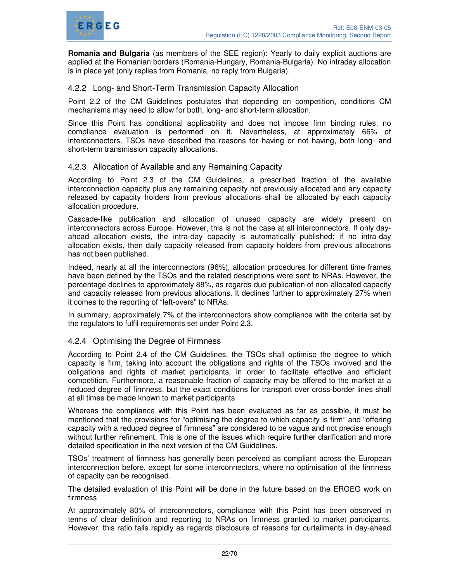

**Romania and Bulgaria** (as members of the SEE region): Yearly to daily explicit auctions are applied at the Romanian borders (Romania-Hungary, Romania-Bulgaria). No intraday allocation is in place yet (only replies from Romania, no reply from Bulgaria).

#### 4.2.2 Long- and Short-Term Transmission Capacity Allocation

Point 2.2 of the CM Guidelines postulates that depending on competition, conditions CM mechanisms may need to allow for both, long- and short-term allocation.

Since this Point has conditional applicability and does not impose firm binding rules, no compliance evaluation is performed on it. Nevertheless, at approximately 66% of interconnectors, TSOs have described the reasons for having or not having, both long- and short-term transmission capacity allocations.

#### 4.2.3 Allocation of Available and any Remaining Capacity

According to Point 2.3 of the CM Guidelines, a prescribed fraction of the available interconnection capacity plus any remaining capacity not previously allocated and any capacity released by capacity holders from previous allocations shall be allocated by each capacity allocation procedure.

Cascade-like publication and allocation of unused capacity are widely present on interconnectors across Europe. However, this is not the case at all interconnectors. If only dayahead allocation exists, the intra-day capacity is automatically published; if no intra-day allocation exists, then daily capacity released from capacity holders from previous allocations has not been published.

Indeed, nearly at all the interconnectors (96%), allocation procedures for different time frames have been defined by the TSOs and the related descriptions were sent to NRAs. However, the percentage declines to approximately 88%, as regards due publication of non-allocated capacity and capacity released from previous allocations. It declines further to approximately 27% when it comes to the reporting of "left-overs" to NRAs.

In summary, approximately 7% of the interconnectors show compliance with the criteria set by the regulators to fulfil requirements set under Point 2.3.

#### 4.2.4 Optimising the Degree of Firmness

According to Point 2.4 of the CM Guidelines, the TSOs shall optimise the degree to which capacity is firm, taking into account the obligations and rights of the TSOs involved and the obligations and rights of market participants, in order to facilitate effective and efficient competition. Furthermore, a reasonable fraction of capacity may be offered to the market at a reduced degree of firmness, but the exact conditions for transport over cross-border lines shall at all times be made known to market participants.

Whereas the compliance with this Point has been evaluated as far as possible, it must be mentioned that the provisions for "optimising the degree to which capacity is firm" and "offering capacity with a reduced degree of firmness" are considered to be vague and not precise enough without further refinement. This is one of the issues which require further clarification and more detailed specification in the next version of the CM Guidelines.

TSOs' treatment of firmness has generally been perceived as compliant across the European interconnection before, except for some interconnectors, where no optimisation of the firmness of capacity can be recognised.

The detailed evaluation of this Point will be done in the future based on the ERGEG work on firmness

At approximately 80% of interconnectors, compliance with this Point has been observed in terms of clear definition and reporting to NRAs on firmness granted to market participants. However, this ratio falls rapidly as regards disclosure of reasons for curtailments in day-ahead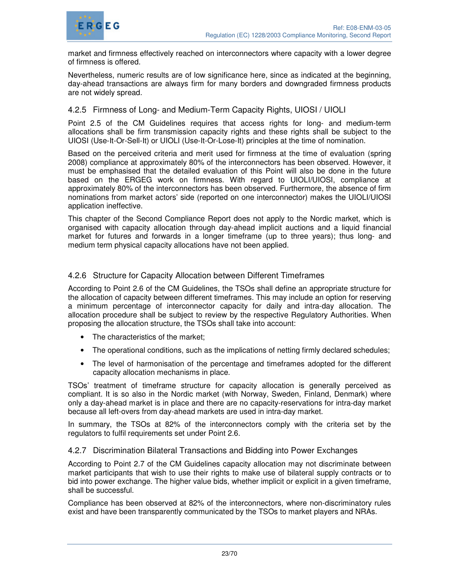

market and firmness effectively reached on interconnectors where capacity with a lower degree of firmness is offered.

Nevertheless, numeric results are of low significance here, since as indicated at the beginning, day-ahead transactions are always firm for many borders and downgraded firmness products are not widely spread.

# 4.2.5 Firmness of Long- and Medium-Term Capacity Rights, UIOSI / UIOLI

Point 2.5 of the CM Guidelines requires that access rights for long- and medium-term allocations shall be firm transmission capacity rights and these rights shall be subject to the UIOSI (Use-It-Or-Sell-It) or UIOLI (Use-It-Or-Lose-It) principles at the time of nomination.

Based on the perceived criteria and merit used for firmness at the time of evaluation (spring 2008) compliance at approximately 80% of the interconnectors has been observed. However, it must be emphasised that the detailed evaluation of this Point will also be done in the future based on the ERGEG work on firmness. With regard to UIOLI/UIOSI, compliance at approximately 80% of the interconnectors has been observed. Furthermore, the absence of firm nominations from market actors' side (reported on one interconnector) makes the UIOLI/UIOSI application ineffective.

This chapter of the Second Compliance Report does not apply to the Nordic market, which is organised with capacity allocation through day-ahead implicit auctions and a liquid financial market for futures and forwards in a longer timeframe (up to three years); thus long- and medium term physical capacity allocations have not been applied.

### 4.2.6 Structure for Capacity Allocation between Different Timeframes

According to Point 2.6 of the CM Guidelines, the TSOs shall define an appropriate structure for the allocation of capacity between different timeframes. This may include an option for reserving a minimum percentage of interconnector capacity for daily and intra-day allocation. The allocation procedure shall be subject to review by the respective Regulatory Authorities. When proposing the allocation structure, the TSOs shall take into account:

- The characteristics of the market;
- The operational conditions, such as the implications of netting firmly declared schedules;
- The level of harmonisation of the percentage and timeframes adopted for the different capacity allocation mechanisms in place.

TSOs' treatment of timeframe structure for capacity allocation is generally perceived as compliant. It is so also in the Nordic market (with Norway, Sweden, Finland, Denmark) where only a day-ahead market is in place and there are no capacity-reservations for intra-day market because all left-overs from day-ahead markets are used in intra-day market.

In summary, the TSOs at 82% of the interconnectors comply with the criteria set by the regulators to fulfil requirements set under Point 2.6.

#### 4.2.7 Discrimination Bilateral Transactions and Bidding into Power Exchanges

According to Point 2.7 of the CM Guidelines capacity allocation may not discriminate between market participants that wish to use their rights to make use of bilateral supply contracts or to bid into power exchange. The higher value bids, whether implicit or explicit in a given timeframe, shall be successful.

Compliance has been observed at 82% of the interconnectors, where non-discriminatory rules exist and have been transparently communicated by the TSOs to market players and NRAs.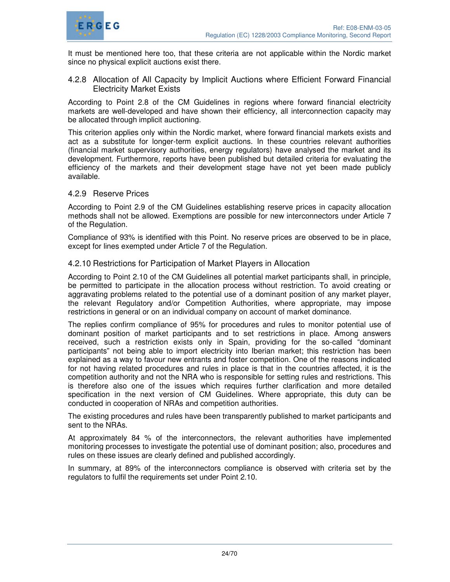

It must be mentioned here too, that these criteria are not applicable within the Nordic market since no physical explicit auctions exist there.

# 4.2.8 Allocation of All Capacity by Implicit Auctions where Efficient Forward Financial Electricity Market Exists

According to Point 2.8 of the CM Guidelines in regions where forward financial electricity markets are well-developed and have shown their efficiency, all interconnection capacity may be allocated through implicit auctioning.

This criterion applies only within the Nordic market, where forward financial markets exists and act as a substitute for longer-term explicit auctions. In these countries relevant authorities (financial market supervisory authorities, energy regulators) have analysed the market and its development. Furthermore, reports have been published but detailed criteria for evaluating the efficiency of the markets and their development stage have not yet been made publicly available.

### 4.2.9 Reserve Prices

According to Point 2.9 of the CM Guidelines establishing reserve prices in capacity allocation methods shall not be allowed. Exemptions are possible for new interconnectors under Article 7 of the Regulation.

Compliance of 93% is identified with this Point. No reserve prices are observed to be in place, except for lines exempted under Article 7 of the Regulation.

### 4.2.10 Restrictions for Participation of Market Players in Allocation

According to Point 2.10 of the CM Guidelines all potential market participants shall, in principle, be permitted to participate in the allocation process without restriction. To avoid creating or aggravating problems related to the potential use of a dominant position of any market player, the relevant Regulatory and/or Competition Authorities, where appropriate, may impose restrictions in general or on an individual company on account of market dominance.

The replies confirm compliance of 95% for procedures and rules to monitor potential use of dominant position of market participants and to set restrictions in place. Among answers received, such a restriction exists only in Spain, providing for the so-called "dominant participants" not being able to import electricity into Iberian market; this restriction has been explained as a way to favour new entrants and foster competition. One of the reasons indicated for not having related procedures and rules in place is that in the countries affected, it is the competition authority and not the NRA who is responsible for setting rules and restrictions. This is therefore also one of the issues which requires further clarification and more detailed specification in the next version of CM Guidelines. Where appropriate, this duty can be conducted in cooperation of NRAs and competition authorities.

The existing procedures and rules have been transparently published to market participants and sent to the NRAs.

At approximately 84 % of the interconnectors, the relevant authorities have implemented monitoring processes to investigate the potential use of dominant position; also, procedures and rules on these issues are clearly defined and published accordingly.

In summary, at 89% of the interconnectors compliance is observed with criteria set by the regulators to fulfil the requirements set under Point 2.10.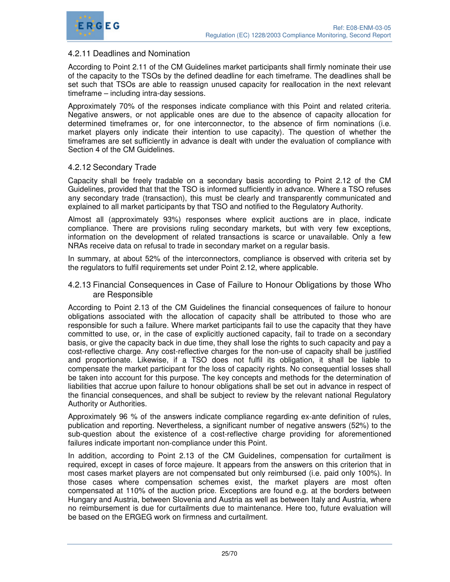

### 4.2.11 Deadlines and Nomination

According to Point 2.11 of the CM Guidelines market participants shall firmly nominate their use of the capacity to the TSOs by the defined deadline for each timeframe. The deadlines shall be set such that TSOs are able to reassign unused capacity for reallocation in the next relevant timeframe – including intra-day sessions.

Approximately 70% of the responses indicate compliance with this Point and related criteria. Negative answers, or not applicable ones are due to the absence of capacity allocation for determined timeframes or, for one interconnector, to the absence of firm nominations (i.e. market players only indicate their intention to use capacity). The question of whether the timeframes are set sufficiently in advance is dealt with under the evaluation of compliance with Section 4 of the CM Guidelines.

#### 4.2.12 Secondary Trade

Capacity shall be freely tradable on a secondary basis according to Point 2.12 of the CM Guidelines, provided that that the TSO is informed sufficiently in advance. Where a TSO refuses any secondary trade (transaction), this must be clearly and transparently communicated and explained to all market participants by that TSO and notified to the Regulatory Authority.

Almost all (approximately 93%) responses where explicit auctions are in place, indicate compliance. There are provisions ruling secondary markets, but with very few exceptions, information on the development of related transactions is scarce or unavailable. Only a few NRAs receive data on refusal to trade in secondary market on a regular basis.

In summary, at about 52% of the interconnectors, compliance is observed with criteria set by the regulators to fulfil requirements set under Point 2.12, where applicable.

#### 4.2.13 Financial Consequences in Case of Failure to Honour Obligations by those Who are Responsible

According to Point 2.13 of the CM Guidelines the financial consequences of failure to honour obligations associated with the allocation of capacity shall be attributed to those who are responsible for such a failure. Where market participants fail to use the capacity that they have committed to use, or, in the case of explicitly auctioned capacity, fail to trade on a secondary basis, or give the capacity back in due time, they shall lose the rights to such capacity and pay a cost-reflective charge. Any cost-reflective charges for the non-use of capacity shall be justified and proportionate. Likewise, if a TSO does not fulfil its obligation, it shall be liable to compensate the market participant for the loss of capacity rights. No consequential losses shall be taken into account for this purpose. The key concepts and methods for the determination of liabilities that accrue upon failure to honour obligations shall be set out in advance in respect of the financial consequences, and shall be subject to review by the relevant national Regulatory Authority or Authorities.

Approximately 96 % of the answers indicate compliance regarding ex-ante definition of rules, publication and reporting. Nevertheless, a significant number of negative answers (52%) to the sub-question about the existence of a cost-reflective charge providing for aforementioned failures indicate important non-compliance under this Point.

In addition, according to Point 2.13 of the CM Guidelines, compensation for curtailment is required, except in cases of force majeure. It appears from the answers on this criterion that in most cases market players are not compensated but only reimbursed (i.e. paid only 100%). In those cases where compensation schemes exist, the market players are most often compensated at 110% of the auction price. Exceptions are found e.g. at the borders between Hungary and Austria, between Slovenia and Austria as well as between Italy and Austria, where no reimbursement is due for curtailments due to maintenance. Here too, future evaluation will be based on the ERGEG work on firmness and curtailment.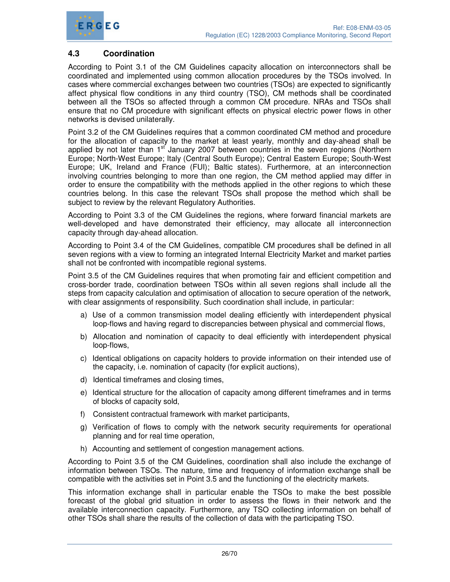

# **4.3 Coordination**

According to Point 3.1 of the CM Guidelines capacity allocation on interconnectors shall be coordinated and implemented using common allocation procedures by the TSOs involved. In cases where commercial exchanges between two countries (TSOs) are expected to significantly affect physical flow conditions in any third country (TSO), CM methods shall be coordinated between all the TSOs so affected through a common CM procedure. NRAs and TSOs shall ensure that no CM procedure with significant effects on physical electric power flows in other networks is devised unilaterally.

Point 3.2 of the CM Guidelines requires that a common coordinated CM method and procedure for the allocation of capacity to the market at least yearly, monthly and day-ahead shall be applied by not later than  $1<sup>st</sup>$  January 2007 between countries in the seven regions (Northern Europe; North-West Europe; Italy (Central South Europe); Central Eastern Europe; South-West Europe; UK, Ireland and France (FUI); Baltic states). Furthermore, at an interconnection involving countries belonging to more than one region, the CM method applied may differ in order to ensure the compatibility with the methods applied in the other regions to which these countries belong. In this case the relevant TSOs shall propose the method which shall be subject to review by the relevant Regulatory Authorities.

According to Point 3.3 of the CM Guidelines the regions, where forward financial markets are well-developed and have demonstrated their efficiency, may allocate all interconnection capacity through day-ahead allocation.

According to Point 3.4 of the CM Guidelines, compatible CM procedures shall be defined in all seven regions with a view to forming an integrated Internal Electricity Market and market parties shall not be confronted with incompatible regional systems.

Point 3.5 of the CM Guidelines requires that when promoting fair and efficient competition and cross-border trade, coordination between TSOs within all seven regions shall include all the steps from capacity calculation and optimisation of allocation to secure operation of the network, with clear assignments of responsibility. Such coordination shall include, in particular:

- a) Use of a common transmission model dealing efficiently with interdependent physical loop-flows and having regard to discrepancies between physical and commercial flows,
- b) Allocation and nomination of capacity to deal efficiently with interdependent physical loop-flows,
- c) Identical obligations on capacity holders to provide information on their intended use of the capacity, i.e. nomination of capacity (for explicit auctions),
- d) Identical timeframes and closing times,
- e) Identical structure for the allocation of capacity among different timeframes and in terms of blocks of capacity sold,
- f) Consistent contractual framework with market participants,
- g) Verification of flows to comply with the network security requirements for operational planning and for real time operation,
- h) Accounting and settlement of congestion management actions.

According to Point 3.5 of the CM Guidelines, coordination shall also include the exchange of information between TSOs. The nature, time and frequency of information exchange shall be compatible with the activities set in Point 3.5 and the functioning of the electricity markets.

This information exchange shall in particular enable the TSOs to make the best possible forecast of the global grid situation in order to assess the flows in their network and the available interconnection capacity. Furthermore, any TSO collecting information on behalf of other TSOs shall share the results of the collection of data with the participating TSO.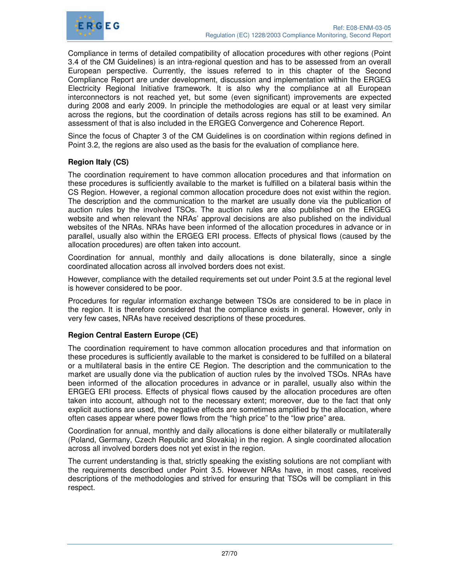

Compliance in terms of detailed compatibility of allocation procedures with other regions (Point 3.4 of the CM Guidelines) is an intra-regional question and has to be assessed from an overall European perspective. Currently, the issues referred to in this chapter of the Second Compliance Report are under development, discussion and implementation within the ERGEG Electricity Regional Initiative framework. It is also why the compliance at all European interconnectors is not reached yet, but some (even significant) improvements are expected during 2008 and early 2009. In principle the methodologies are equal or at least very similar across the regions, but the coordination of details across regions has still to be examined. An assessment of that is also included in the ERGEG Convergence and Coherence Report.

Since the focus of Chapter 3 of the CM Guidelines is on coordination within regions defined in Point 3.2, the regions are also used as the basis for the evaluation of compliance here.

### **Region Italy (CS)**

The coordination requirement to have common allocation procedures and that information on these procedures is sufficiently available to the market is fulfilled on a bilateral basis within the CS Region. However, a regional common allocation procedure does not exist within the region. The description and the communication to the market are usually done via the publication of auction rules by the involved TSOs. The auction rules are also published on the ERGEG website and when relevant the NRAs' approval decisions are also published on the individual websites of the NRAs. NRAs have been informed of the allocation procedures in advance or in parallel, usually also within the ERGEG ERI process. Effects of physical flows (caused by the allocation procedures) are often taken into account.

Coordination for annual, monthly and daily allocations is done bilaterally, since a single coordinated allocation across all involved borders does not exist.

However, compliance with the detailed requirements set out under Point 3.5 at the regional level is however considered to be poor.

Procedures for regular information exchange between TSOs are considered to be in place in the region. It is therefore considered that the compliance exists in general. However, only in very few cases, NRAs have received descriptions of these procedures.

#### **Region Central Eastern Europe (CE)**

The coordination requirement to have common allocation procedures and that information on these procedures is sufficiently available to the market is considered to be fulfilled on a bilateral or a multilateral basis in the entire CE Region. The description and the communication to the market are usually done via the publication of auction rules by the involved TSOs. NRAs have been informed of the allocation procedures in advance or in parallel, usually also within the ERGEG ERI process. Effects of physical flows caused by the allocation procedures are often taken into account, although not to the necessary extent; moreover, due to the fact that only explicit auctions are used, the negative effects are sometimes amplified by the allocation, where often cases appear where power flows from the "high price" to the "low price" area.

Coordination for annual, monthly and daily allocations is done either bilaterally or multilaterally (Poland, Germany, Czech Republic and Slovakia) in the region. A single coordinated allocation across all involved borders does not yet exist in the region.

The current understanding is that, strictly speaking the existing solutions are not compliant with the requirements described under Point 3.5. However NRAs have, in most cases, received descriptions of the methodologies and strived for ensuring that TSOs will be compliant in this respect.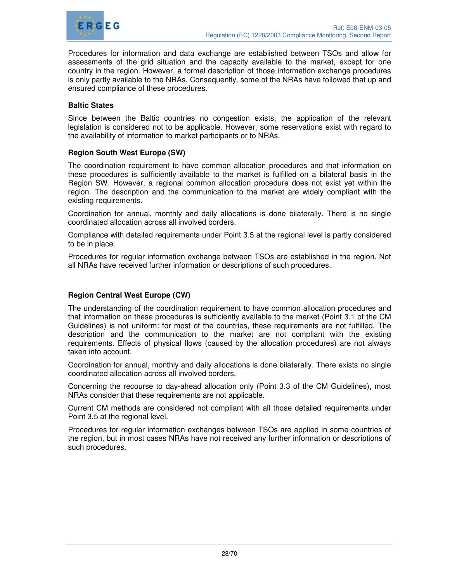

Procedures for information and data exchange are established between TSOs and allow for assessments of the grid situation and the capacity available to the market, except for one country in the region. However, a formal description of those information exchange procedures is only partly available to the NRAs. Consequently, some of the NRAs have followed that up and ensured compliance of these procedures.

#### **Baltic States**

Since between the Baltic countries no congestion exists, the application of the relevant legislation is considered not to be applicable. However, some reservations exist with regard to the availability of information to market participants or to NRAs.

#### **Region South West Europe (SW)**

The coordination requirement to have common allocation procedures and that information on these procedures is sufficiently available to the market is fulfilled on a bilateral basis in the Region SW. However, a regional common allocation procedure does not exist yet within the region. The description and the communication to the market are widely compliant with the existing requirements.

Coordination for annual, monthly and daily allocations is done bilaterally. There is no single coordinated allocation across all involved borders.

Compliance with detailed requirements under Point 3.5 at the regional level is partly considered to be in place.

Procedures for regular information exchange between TSOs are established in the region. Not all NRAs have received further information or descriptions of such procedures.

# **Region Central West Europe (CW)**

The understanding of the coordination requirement to have common allocation procedures and that information on these procedures is sufficiently available to the market (Point 3.1 of the CM Guidelines) is not uniform: for most of the countries, these requirements are not fulfilled. The description and the communication to the market are not compliant with the existing requirements. Effects of physical flows (caused by the allocation procedures) are not always taken into account.

Coordination for annual, monthly and daily allocations is done bilaterally. There exists no single coordinated allocation across all involved borders.

Concerning the recourse to day-ahead allocation only (Point 3.3 of the CM Guidelines), most NRAs consider that these requirements are not applicable.

Current CM methods are considered not compliant with all those detailed requirements under Point 3.5 at the regional level.

Procedures for regular information exchanges between TSOs are applied in some countries of the region, but in most cases NRAs have not received any further information or descriptions of such procedures.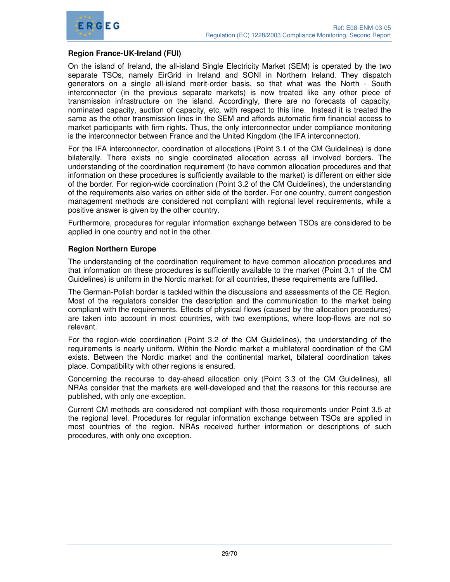

#### **Region France-UK-Ireland (FUI)**

On the island of Ireland, the all-island Single Electricity Market (SEM) is operated by the two separate TSOs, namely EirGrid in Ireland and SONI in Northern Ireland. They dispatch generators on a single all-island merit-order basis, so that what was the North - South interconnector (in the previous separate markets) is now treated like any other piece of transmission infrastructure on the island. Accordingly, there are no forecasts of capacity, nominated capacity, auction of capacity, etc, with respect to this line. Instead it is treated the same as the other transmission lines in the SEM and affords automatic firm financial access to market participants with firm rights. Thus, the only interconnector under compliance monitoring is the interconnector between France and the United Kingdom (the IFA interconnector).

For the IFA interconnector, coordination of allocations (Point 3.1 of the CM Guidelines) is done bilaterally. There exists no single coordinated allocation across all involved borders. The understanding of the coordination requirement (to have common allocation procedures and that information on these procedures is sufficiently available to the market) is different on either side of the border. For region-wide coordination (Point 3.2 of the CM Guidelines), the understanding of the requirements also varies on either side of the border. For one country, current congestion management methods are considered not compliant with regional level requirements, while a positive answer is given by the other country.

Furthermore, procedures for regular information exchange between TSOs are considered to be applied in one country and not in the other.

#### **Region Northern Europe**

The understanding of the coordination requirement to have common allocation procedures and that information on these procedures is sufficiently available to the market (Point 3.1 of the CM Guidelines) is uniform in the Nordic market: for all countries, these requirements are fulfilled.

The German-Polish border is tackled within the discussions and assessments of the CE Region. Most of the regulators consider the description and the communication to the market being compliant with the requirements. Effects of physical flows (caused by the allocation procedures) are taken into account in most countries, with two exemptions, where loop-flows are not so relevant.

For the region-wide coordination (Point 3.2 of the CM Guidelines), the understanding of the requirements is nearly uniform. Within the Nordic market a multilateral coordination of the CM exists. Between the Nordic market and the continental market, bilateral coordination takes place. Compatibility with other regions is ensured.

Concerning the recourse to day-ahead allocation only (Point 3.3 of the CM Guidelines), all NRAs consider that the markets are well-developed and that the reasons for this recourse are published, with only one exception.

Current CM methods are considered not compliant with those requirements under Point 3.5 at the regional level. Procedures for regular information exchange between TSOs are applied in most countries of the region. NRAs received further information or descriptions of such procedures, with only one exception.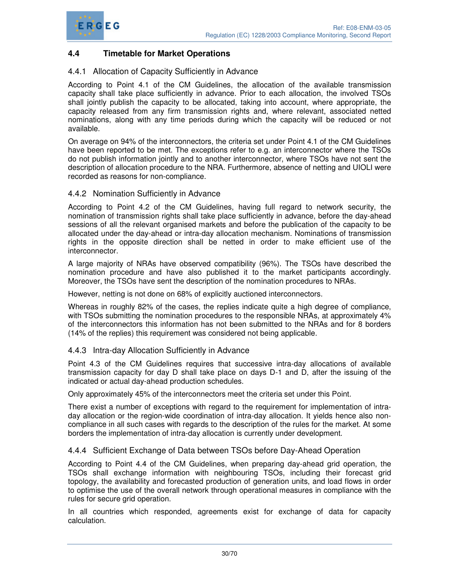



# **4.4 Timetable for Market Operations**

#### 4.4.1 Allocation of Capacity Sufficiently in Advance

According to Point 4.1 of the CM Guidelines, the allocation of the available transmission capacity shall take place sufficiently in advance. Prior to each allocation, the involved TSOs shall jointly publish the capacity to be allocated, taking into account, where appropriate, the capacity released from any firm transmission rights and, where relevant, associated netted nominations, along with any time periods during which the capacity will be reduced or not available.

On average on 94% of the interconnectors, the criteria set under Point 4.1 of the CM Guidelines have been reported to be met. The exceptions refer to e.g. an interconnector where the TSOs do not publish information jointly and to another interconnector, where TSOs have not sent the description of allocation procedure to the NRA. Furthermore, absence of netting and UIOLI were recorded as reasons for non-compliance.

#### 4.4.2 Nomination Sufficiently in Advance

According to Point 4.2 of the CM Guidelines, having full regard to network security, the nomination of transmission rights shall take place sufficiently in advance, before the day-ahead sessions of all the relevant organised markets and before the publication of the capacity to be allocated under the day-ahead or intra-day allocation mechanism. Nominations of transmission rights in the opposite direction shall be netted in order to make efficient use of the interconnector.

A large majority of NRAs have observed compatibility (96%). The TSOs have described the nomination procedure and have also published it to the market participants accordingly. Moreover, the TSOs have sent the description of the nomination procedures to NRAs.

However, netting is not done on 68% of explicitly auctioned interconnectors.

Whereas in roughly 82% of the cases, the replies indicate quite a high degree of compliance, with TSOs submitting the nomination procedures to the responsible NRAs, at approximately 4% of the interconnectors this information has not been submitted to the NRAs and for 8 borders (14% of the replies) this requirement was considered not being applicable.

#### 4.4.3 Intra-day Allocation Sufficiently in Advance

Point 4.3 of the CM Guidelines requires that successive intra-day allocations of available transmission capacity for day D shall take place on days D-1 and D, after the issuing of the indicated or actual day-ahead production schedules.

Only approximately 45% of the interconnectors meet the criteria set under this Point.

There exist a number of exceptions with regard to the requirement for implementation of intraday allocation or the region-wide coordination of intra-day allocation. It yields hence also noncompliance in all such cases with regards to the description of the rules for the market. At some borders the implementation of intra-day allocation is currently under development.

#### 4.4.4 Sufficient Exchange of Data between TSOs before Day-Ahead Operation

According to Point 4.4 of the CM Guidelines, when preparing day-ahead grid operation, the TSOs shall exchange information with neighbouring TSOs, including their forecast grid topology, the availability and forecasted production of generation units, and load flows in order to optimise the use of the overall network through operational measures in compliance with the rules for secure grid operation.

In all countries which responded, agreements exist for exchange of data for capacity calculation.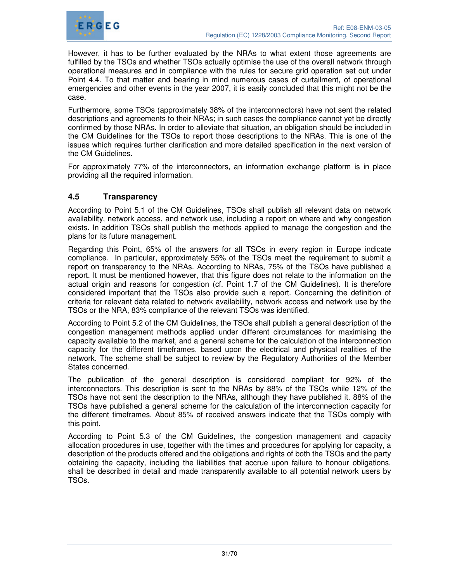

However, it has to be further evaluated by the NRAs to what extent those agreements are fulfilled by the TSOs and whether TSOs actually optimise the use of the overall network through operational measures and in compliance with the rules for secure grid operation set out under Point 4.4. To that matter and bearing in mind numerous cases of curtailment, of operational emergencies and other events in the year 2007, it is easily concluded that this might not be the case.

Furthermore, some TSOs (approximately 38% of the interconnectors) have not sent the related descriptions and agreements to their NRAs; in such cases the compliance cannot yet be directly confirmed by those NRAs. In order to alleviate that situation, an obligation should be included in the CM Guidelines for the TSOs to report those descriptions to the NRAs. This is one of the issues which requires further clarification and more detailed specification in the next version of the CM Guidelines.

For approximately 77% of the interconnectors, an information exchange platform is in place providing all the required information.

# **4.5 Transparency**

According to Point 5.1 of the CM Guidelines, TSOs shall publish all relevant data on network availability, network access, and network use, including a report on where and why congestion exists. In addition TSOs shall publish the methods applied to manage the congestion and the plans for its future management.

Regarding this Point, 65% of the answers for all TSOs in every region in Europe indicate compliance. In particular, approximately 55% of the TSOs meet the requirement to submit a report on transparency to the NRAs. According to NRAs, 75% of the TSOs have published a report. It must be mentioned however, that this figure does not relate to the information on the actual origin and reasons for congestion (cf. Point 1.7 of the CM Guidelines). It is therefore considered important that the TSOs also provide such a report. Concerning the definition of criteria for relevant data related to network availability, network access and network use by the TSOs or the NRA, 83% compliance of the relevant TSOs was identified.

According to Point 5.2 of the CM Guidelines, the TSOs shall publish a general description of the congestion management methods applied under different circumstances for maximising the capacity available to the market, and a general scheme for the calculation of the interconnection capacity for the different timeframes, based upon the electrical and physical realities of the network. The scheme shall be subject to review by the Regulatory Authorities of the Member States concerned.

The publication of the general description is considered compliant for 92% of the interconnectors. This description is sent to the NRAs by 88% of the TSOs while 12% of the TSOs have not sent the description to the NRAs, although they have published it. 88% of the TSOs have published a general scheme for the calculation of the interconnection capacity for the different timeframes. About 85% of received answers indicate that the TSOs comply with this point.

According to Point 5.3 of the CM Guidelines, the congestion management and capacity allocation procedures in use, together with the times and procedures for applying for capacity, a description of the products offered and the obligations and rights of both the TSOs and the party obtaining the capacity, including the liabilities that accrue upon failure to honour obligations, shall be described in detail and made transparently available to all potential network users by TSOs.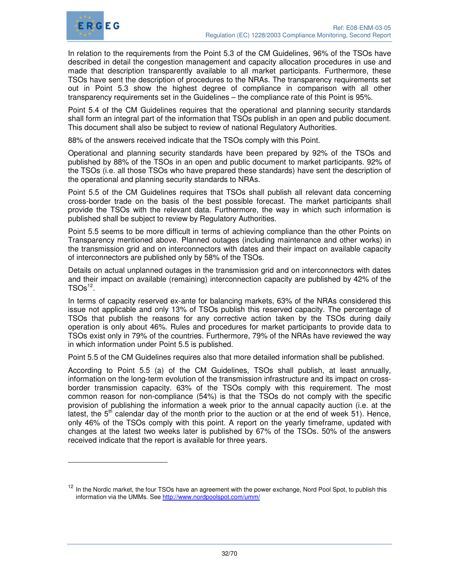

-

In relation to the requirements from the Point 5.3 of the CM Guidelines, 96% of the TSOs have described in detail the congestion management and capacity allocation procedures in use and made that description transparently available to all market participants. Furthermore, these TSOs have sent the description of procedures to the NRAs. The transparency requirements set out in Point 5.3 show the highest degree of compliance in comparison with all other transparency requirements set in the Guidelines – the compliance rate of this Point is 95%.

Point 5.4 of the CM Guidelines requires that the operational and planning security standards shall form an integral part of the information that TSOs publish in an open and public document. This document shall also be subject to review of national Regulatory Authorities.

88% of the answers received indicate that the TSOs comply with this Point.

Operational and planning security standards have been prepared by 92% of the TSOs and published by 88% of the TSOs in an open and public document to market participants. 92% of the TSOs (i.e. all those TSOs who have prepared these standards) have sent the description of the operational and planning security standards to NRAs.

Point 5.5 of the CM Guidelines requires that TSOs shall publish all relevant data concerning cross-border trade on the basis of the best possible forecast. The market participants shall provide the TSOs with the relevant data. Furthermore, the way in which such information is published shall be subject to review by Regulatory Authorities.

Point 5.5 seems to be more difficult in terms of achieving compliance than the other Points on Transparency mentioned above. Planned outages (including maintenance and other works) in the transmission grid and on interconnectors with dates and their impact on available capacity of interconnectors are published only by 58% of the TSOs.

Details on actual unplanned outages in the transmission grid and on interconnectors with dates and their impact on available (remaining) interconnection capacity are published by 42% of the  $TSOs^{12}$ .

In terms of capacity reserved ex-ante for balancing markets, 63% of the NRAs considered this issue not applicable and only 13% of TSOs publish this reserved capacity. The percentage of TSOs that publish the reasons for any corrective action taken by the TSOs during daily operation is only about 46%. Rules and procedures for market participants to provide data to TSOs exist only in 79% of the countries. Furthermore, 79% of the NRAs have reviewed the way in which information under Point 5.5 is published.

Point 5.5 of the CM Guidelines requires also that more detailed information shall be published.

According to Point 5.5 (a) of the CM Guidelines, TSOs shall publish, at least annually, information on the long-term evolution of the transmission infrastructure and its impact on crossborder transmission capacity. 63% of the TSOs comply with this requirement. The most common reason for non-compliance (54%) is that the TSOs do not comply with the specific provision of publishing the information a week prior to the annual capacity auction (i.e. at the latest, the  $5<sup>th</sup>$  calendar day of the month prior to the auction or at the end of week 51). Hence, only 46% of the TSOs comply with this point. A report on the yearly timeframe, updated with changes at the latest two weeks later is published by 67% of the TSOs. 50% of the answers received indicate that the report is available for three years.

<sup>&</sup>lt;sup>12</sup> In the Nordic market, the four TSOs have an agreement with the power exchange, Nord Pool Spot, to publish this information via the UMMs. See http://www.nordpoolspot.com/umm/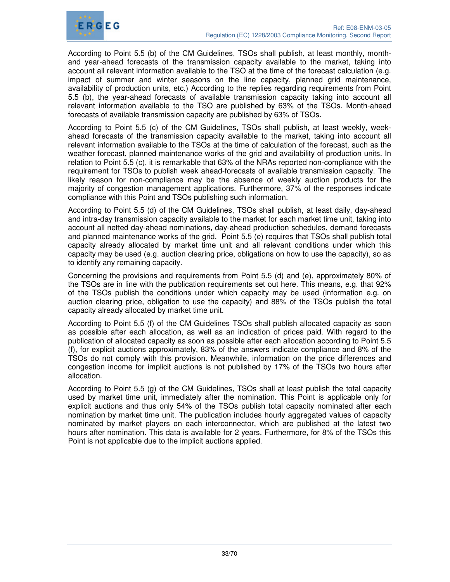

According to Point 5.5 (b) of the CM Guidelines, TSOs shall publish, at least monthly, monthand year-ahead forecasts of the transmission capacity available to the market, taking into account all relevant information available to the TSO at the time of the forecast calculation (e.g. impact of summer and winter seasons on the line capacity, planned grid maintenance, availability of production units, etc.) According to the replies regarding requirements from Point 5.5 (b), the year-ahead forecasts of available transmission capacity taking into account all relevant information available to the TSO are published by 63% of the TSOs. Month-ahead forecasts of available transmission capacity are published by 63% of TSOs.

According to Point 5.5 (c) of the CM Guidelines, TSOs shall publish, at least weekly, weekahead forecasts of the transmission capacity available to the market, taking into account all relevant information available to the TSOs at the time of calculation of the forecast, such as the weather forecast, planned maintenance works of the grid and availability of production units. In relation to Point 5.5 (c), it is remarkable that 63% of the NRAs reported non-compliance with the requirement for TSOs to publish week ahead-forecasts of available transmission capacity. The likely reason for non-compliance may be the absence of weekly auction products for the majority of congestion management applications. Furthermore, 37% of the responses indicate compliance with this Point and TSOs publishing such information.

According to Point 5.5 (d) of the CM Guidelines, TSOs shall publish, at least daily, day-ahead and intra-day transmission capacity available to the market for each market time unit, taking into account all netted day-ahead nominations, day-ahead production schedules, demand forecasts and planned maintenance works of the grid. Point 5.5 (e) requires that TSOs shall publish total capacity already allocated by market time unit and all relevant conditions under which this capacity may be used (e.g. auction clearing price, obligations on how to use the capacity), so as to identify any remaining capacity.

Concerning the provisions and requirements from Point 5.5 (d) and (e), approximately 80% of the TSOs are in line with the publication requirements set out here. This means, e.g. that 92% of the TSOs publish the conditions under which capacity may be used (information e.g. on auction clearing price, obligation to use the capacity) and 88% of the TSOs publish the total capacity already allocated by market time unit.

According to Point 5.5 (f) of the CM Guidelines TSOs shall publish allocated capacity as soon as possible after each allocation, as well as an indication of prices paid. With regard to the publication of allocated capacity as soon as possible after each allocation according to Point 5.5 (f), for explicit auctions approximately, 83% of the answers indicate compliance and 8% of the TSOs do not comply with this provision. Meanwhile, information on the price differences and congestion income for implicit auctions is not published by 17% of the TSOs two hours after allocation.

According to Point 5.5 (g) of the CM Guidelines, TSOs shall at least publish the total capacity used by market time unit, immediately after the nomination. This Point is applicable only for explicit auctions and thus only 54% of the TSOs publish total capacity nominated after each nomination by market time unit. The publication includes hourly aggregated values of capacity nominated by market players on each interconnector, which are published at the latest two hours after nomination. This data is available for 2 years. Furthermore, for 8% of the TSOs this Point is not applicable due to the implicit auctions applied.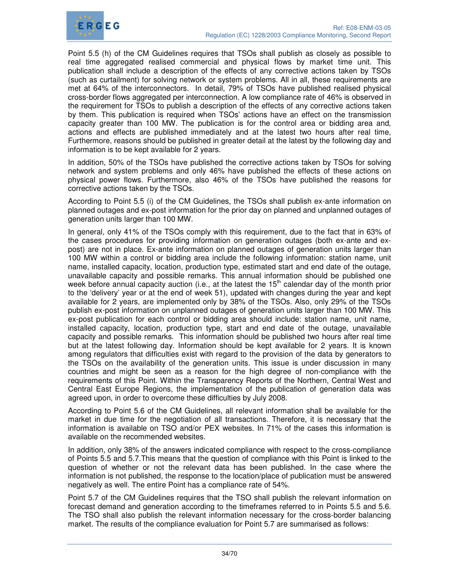

Point 5.5 (h) of the CM Guidelines requires that TSOs shall publish as closely as possible to real time aggregated realised commercial and physical flows by market time unit. This publication shall include a description of the effects of any corrective actions taken by TSOs (such as curtailment) for solving network or system problems. All in all, these requirements are met at 64% of the interconnectors. In detail, 79% of TSOs have published realised physical cross-border flows aggregated per interconnection. A low compliance rate of 46% is observed in the requirement for TSOs to publish a description of the effects of any corrective actions taken by them. This publication is required when TSOs' actions have an effect on the transmission capacity greater than 100 MW. The publication is for the control area or bidding area and, actions and effects are published immediately and at the latest two hours after real time, Furthermore, reasons should be published in greater detail at the latest by the following day and information is to be kept available for 2 years.

In addition, 50% of the TSOs have published the corrective actions taken by TSOs for solving network and system problems and only 46% have published the effects of these actions on physical power flows. Furthermore, also 46% of the TSOs have published the reasons for corrective actions taken by the TSOs.

According to Point 5.5 (i) of the CM Guidelines, the TSOs shall publish ex-ante information on planned outages and ex-post information for the prior day on planned and unplanned outages of generation units larger than 100 MW.

In general, only 41% of the TSOs comply with this requirement, due to the fact that in 63% of the cases procedures for providing information on generation outages (both ex-ante and expost) are not in place. Ex-ante information on planned outages of generation units larger than 100 MW within a control or bidding area include the following information: station name, unit name, installed capacity, location, production type, estimated start and end date of the outage, unavailable capacity and possible remarks. This annual information should be published one week before annual capacity auction (i.e., at the latest the  $15<sup>th</sup>$  calendar day of the month prior to the 'delivery' year or at the end of week 51), updated with changes during the year and kept available for 2 years, are implemented only by 38% of the TSOs. Also, only 29% of the TSOs publish ex-post information on unplanned outages of generation units larger than 100 MW. This ex-post publication for each control or bidding area should include: station name, unit name, installed capacity, location, production type, start and end date of the outage, unavailable capacity and possible remarks. This information should be published two hours after real time but at the latest following day. Information should be kept available for 2 years. It is known among regulators that difficulties exist with regard to the provision of the data by generators to the TSOs on the availability of the generation units. This issue is under discussion in many countries and might be seen as a reason for the high degree of non-compliance with the requirements of this Point. Within the Transparency Reports of the Northern, Central West and Central East Europe Regions, the implementation of the publication of generation data was agreed upon, in order to overcome these difficulties by July 2008.

According to Point 5.6 of the CM Guidelines, all relevant information shall be available for the market in due time for the negotiation of all transactions. Therefore, it is necessary that the information is available on TSO and/or PEX websites. In 71% of the cases this information is available on the recommended websites.

In addition, only 38% of the answers indicated compliance with respect to the cross-compliance of Points 5.5 and 5.7.This means that the question of compliance with this Point is linked to the question of whether or not the relevant data has been published. In the case where the information is not published, the response to the location/place of publication must be answered negatively as well. The entire Point has a compliance rate of 54%.

Point 5.7 of the CM Guidelines requires that the TSO shall publish the relevant information on forecast demand and generation according to the timeframes referred to in Points 5.5 and 5.6. The TSO shall also publish the relevant information necessary for the cross-border balancing market. The results of the compliance evaluation for Point 5.7 are summarised as follows: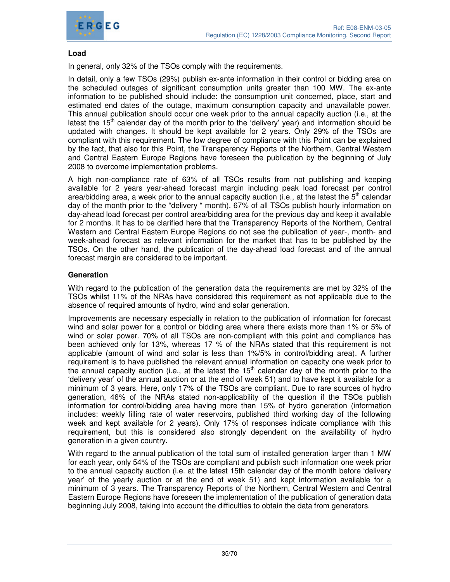

#### **Load**

In general, only 32% of the TSOs comply with the requirements.

In detail, only a few TSOs (29%) publish ex-ante information in their control or bidding area on the scheduled outages of significant consumption units greater than 100 MW. The ex-ante information to be published should include: the consumption unit concerned, place, start and estimated end dates of the outage, maximum consumption capacity and unavailable power. This annual publication should occur one week prior to the annual capacity auction (i.e., at the latest the  $15<sup>th</sup>$  calendar day of the month prior to the 'delivery' year) and information should be updated with changes. It should be kept available for 2 years. Only 29% of the TSOs are compliant with this requirement. The low degree of compliance with this Point can be explained by the fact, that also for this Point, the Transparency Reports of the Northern, Central Western and Central Eastern Europe Regions have foreseen the publication by the beginning of July 2008 to overcome implementation problems.

A high non-compliance rate of 63% of all TSOs results from not publishing and keeping available for 2 years year-ahead forecast margin including peak load forecast per control area/bidding area, a week prior to the annual capacity auction (i.e., at the latest the  $5<sup>th</sup>$  calendar day of the month prior to the "delivery " month). 67% of all TSOs publish hourly information on day-ahead load forecast per control area/bidding area for the previous day and keep it available for 2 months. It has to be clarified here that the Transparency Reports of the Northern, Central Western and Central Eastern Europe Regions do not see the publication of year-, month- and week-ahead forecast as relevant information for the market that has to be published by the TSOs. On the other hand, the publication of the day-ahead load forecast and of the annual forecast margin are considered to be important.

#### **Generation**

With regard to the publication of the generation data the requirements are met by 32% of the TSOs whilst 11% of the NRAs have considered this requirement as not applicable due to the absence of required amounts of hydro, wind and solar generation.

Improvements are necessary especially in relation to the publication of information for forecast wind and solar power for a control or bidding area where there exists more than 1% or 5% of wind or solar power. 70% of all TSOs are non-compliant with this point and compliance has been achieved only for 13%, whereas 17 % of the NRAs stated that this requirement is not applicable (amount of wind and solar is less than 1%/5% in control/bidding area). A further requirement is to have published the relevant annual information on capacity one week prior to the annual capacity auction (i.e., at the latest the 15<sup>th</sup> calendar day of the month prior to the 'delivery year' of the annual auction or at the end of week 51) and to have kept it available for a minimum of 3 years. Here, only 17% of the TSOs are compliant. Due to rare sources of hydro generation, 46% of the NRAs stated non-applicability of the question if the TSOs publish information for control/bidding area having more than 15% of hydro generation (information includes: weekly filling rate of water reservoirs, published third working day of the following week and kept available for 2 years). Only 17% of responses indicate compliance with this requirement, but this is considered also strongly dependent on the availability of hydro generation in a given country.

With regard to the annual publication of the total sum of installed generation larger than 1 MW for each year, only 54% of the TSOs are compliant and publish such information one week prior to the annual capacity auction (i.e. at the latest 15th calendar day of the month before 'delivery year' of the yearly auction or at the end of week 51) and kept information available for a minimum of 3 years. The Transparency Reports of the Northern, Central Western and Central Eastern Europe Regions have foreseen the implementation of the publication of generation data beginning July 2008, taking into account the difficulties to obtain the data from generators.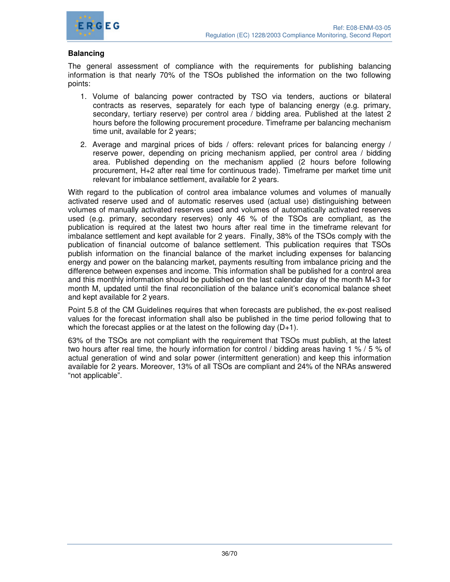

#### **Balancing**

The general assessment of compliance with the requirements for publishing balancing information is that nearly 70% of the TSOs published the information on the two following points:

- 1. Volume of balancing power contracted by TSO via tenders, auctions or bilateral contracts as reserves, separately for each type of balancing energy (e.g. primary, secondary, tertiary reserve) per control area / bidding area. Published at the latest 2 hours before the following procurement procedure. Timeframe per balancing mechanism time unit, available for 2 years;
- 2. Average and marginal prices of bids / offers: relevant prices for balancing energy / reserve power, depending on pricing mechanism applied, per control area / bidding area. Published depending on the mechanism applied (2 hours before following procurement, H+2 after real time for continuous trade). Timeframe per market time unit relevant for imbalance settlement, available for 2 years.

With regard to the publication of control area imbalance volumes and volumes of manually activated reserve used and of automatic reserves used (actual use) distinguishing between volumes of manually activated reserves used and volumes of automatically activated reserves used (e.g. primary, secondary reserves) only 46 % of the TSOs are compliant, as the publication is required at the latest two hours after real time in the timeframe relevant for imbalance settlement and kept available for 2 years. Finally, 38% of the TSOs comply with the publication of financial outcome of balance settlement. This publication requires that TSOs publish information on the financial balance of the market including expenses for balancing energy and power on the balancing market, payments resulting from imbalance pricing and the difference between expenses and income. This information shall be published for a control area and this monthly information should be published on the last calendar day of the month M+3 for month M, updated until the final reconciliation of the balance unit's economical balance sheet and kept available for 2 years.

Point 5.8 of the CM Guidelines requires that when forecasts are published, the ex-post realised values for the forecast information shall also be published in the time period following that to which the forecast applies or at the latest on the following day  $(D+1)$ .

63% of the TSOs are not compliant with the requirement that TSOs must publish, at the latest two hours after real time, the hourly information for control / bidding areas having 1 % / 5 % of actual generation of wind and solar power (intermittent generation) and keep this information available for 2 years. Moreover, 13% of all TSOs are compliant and 24% of the NRAs answered "not applicable".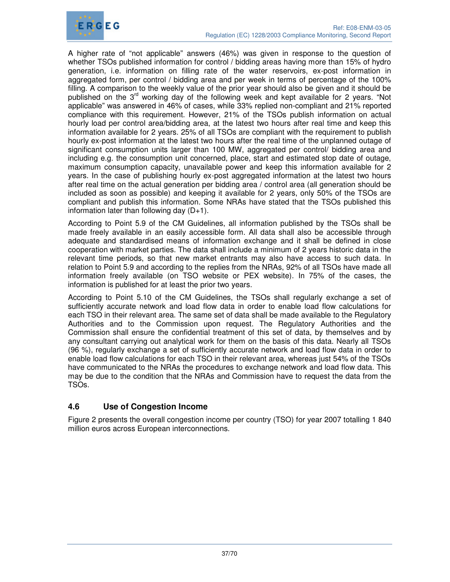

A higher rate of "not applicable" answers (46%) was given in response to the question of whether TSOs published information for control / bidding areas having more than 15% of hydro generation, i.e. information on filling rate of the water reservoirs, ex-post information in aggregated form, per control / bidding area and per week in terms of percentage of the 100% filling. A comparison to the weekly value of the prior year should also be given and it should be published on the 3<sup>rd</sup> working day of the following week and kept available for 2 years. "Not applicable" was answered in 46% of cases, while 33% replied non-compliant and 21% reported compliance with this requirement. However, 21% of the TSOs publish information on actual hourly load per control area/bidding area, at the latest two hours after real time and keep this information available for 2 years. 25% of all TSOs are compliant with the requirement to publish hourly ex-post information at the latest two hours after the real time of the unplanned outage of significant consumption units larger than 100 MW, aggregated per control/ bidding area and including e.g. the consumption unit concerned, place, start and estimated stop date of outage, maximum consumption capacity, unavailable power and keep this information available for 2 years. In the case of publishing hourly ex-post aggregated information at the latest two hours after real time on the actual generation per bidding area / control area (all generation should be included as soon as possible) and keeping it available for 2 years, only 50% of the TSOs are compliant and publish this information. Some NRAs have stated that the TSOs published this information later than following day  $(D+1)$ .

According to Point 5.9 of the CM Guidelines, all information published by the TSOs shall be made freely available in an easily accessible form. All data shall also be accessible through adequate and standardised means of information exchange and it shall be defined in close cooperation with market parties. The data shall include a minimum of 2 years historic data in the relevant time periods, so that new market entrants may also have access to such data. In relation to Point 5.9 and according to the replies from the NRAs, 92% of all TSOs have made all information freely available (on TSO website or PEX website). In 75% of the cases, the information is published for at least the prior two years.

According to Point 5.10 of the CM Guidelines, the TSOs shall regularly exchange a set of sufficiently accurate network and load flow data in order to enable load flow calculations for each TSO in their relevant area. The same set of data shall be made available to the Regulatory Authorities and to the Commission upon request. The Regulatory Authorities and the Commission shall ensure the confidential treatment of this set of data, by themselves and by any consultant carrying out analytical work for them on the basis of this data. Nearly all TSOs (96 %), regularly exchange a set of sufficiently accurate network and load flow data in order to enable load flow calculations for each TSO in their relevant area, whereas just 54% of the TSOs have communicated to the NRAs the procedures to exchange network and load flow data. This may be due to the condition that the NRAs and Commission have to request the data from the TSOs.

# **4.6 Use of Congestion Income**

Figure 2 presents the overall congestion income per country (TSO) for year 2007 totalling 1 840 million euros across European interconnections.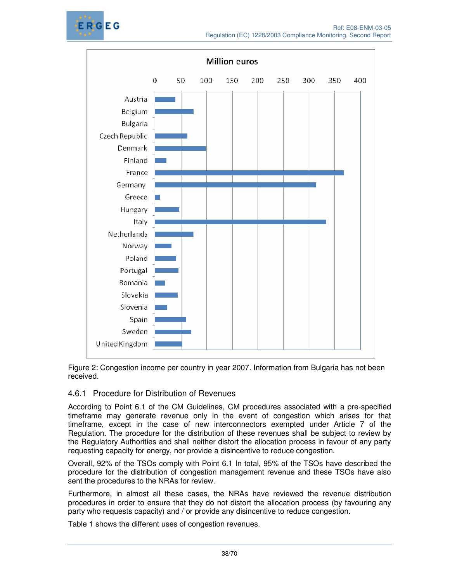



Figure 2: Congestion income per country in year 2007. Information from Bulgaria has not been received.

# 4.6.1 Procedure for Distribution of Revenues

According to Point 6.1 of the CM Guidelines, CM procedures associated with a pre-specified timeframe may generate revenue only in the event of congestion which arises for that timeframe, except in the case of new interconnectors exempted under Article 7 of the Regulation. The procedure for the distribution of these revenues shall be subject to review by the Regulatory Authorities and shall neither distort the allocation process in favour of any party requesting capacity for energy, nor provide a disincentive to reduce congestion.

Overall, 92% of the TSOs comply with Point 6.1 In total, 95% of the TSOs have described the procedure for the distribution of congestion management revenue and these TSOs have also sent the procedures to the NRAs for review.

Furthermore, in almost all these cases, the NRAs have reviewed the revenue distribution procedures in order to ensure that they do not distort the allocation process (by favouring any party who requests capacity) and / or provide any disincentive to reduce congestion.

Table 1 shows the different uses of congestion revenues.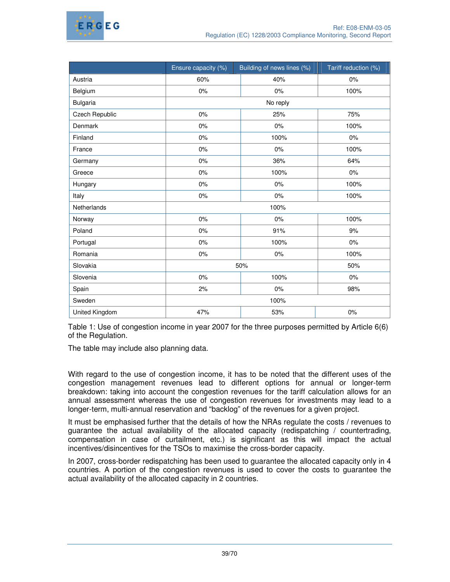

|                 | Ensure capacity (%) | Building of news lines (%) | Tariff reduction (%) |
|-----------------|---------------------|----------------------------|----------------------|
| Austria         | 60%                 | 40%                        | 0%                   |
| Belgium         | 0%                  | 0%                         | 100%                 |
| <b>Bulgaria</b> |                     | No reply                   |                      |
| Czech Republic  | 0%                  | 25%                        | 75%                  |
| Denmark         | 0%                  | 0%                         | 100%                 |
| Finland         | 0%                  | 100%                       | 0%                   |
| France          | 0%                  | 0%                         | 100%                 |
| Germany         | 0%                  | 36%                        | 64%                  |
| Greece          | 0%                  | 100%                       | 0%                   |
| Hungary         | 0%                  | 0%                         | 100%                 |
| Italy           | 0%                  | 0%                         | 100%                 |
| Netherlands     |                     |                            |                      |
| Norway          | 0%                  | 0%                         | 100%                 |
| Poland          | 0%                  | 91%                        | 9%                   |
| Portugal        | 0%                  | 100%                       | 0%                   |
| Romania         | 0%                  | 0%                         | 100%                 |
| Slovakia        |                     | 50%                        | 50%                  |
| Slovenia        | 0%                  | 100%                       | 0%                   |
| Spain           | 2%                  | 0%                         | 98%                  |
| Sweden          |                     |                            |                      |
| United Kingdom  | 47%                 | 53%                        | 0%                   |

Table 1: Use of congestion income in year 2007 for the three purposes permitted by Article 6(6) of the Regulation.

The table may include also planning data.

With regard to the use of congestion income, it has to be noted that the different uses of the congestion management revenues lead to different options for annual or longer-term breakdown: taking into account the congestion revenues for the tariff calculation allows for an annual assessment whereas the use of congestion revenues for investments may lead to a longer-term, multi-annual reservation and "backlog" of the revenues for a given project.

It must be emphasised further that the details of how the NRAs regulate the costs / revenues to guarantee the actual availability of the allocated capacity (redispatching / countertrading, compensation in case of curtailment, etc.) is significant as this will impact the actual incentives/disincentives for the TSOs to maximise the cross-border capacity.

In 2007, cross-border redispatching has been used to guarantee the allocated capacity only in 4 countries. A portion of the congestion revenues is used to cover the costs to guarantee the actual availability of the allocated capacity in 2 countries.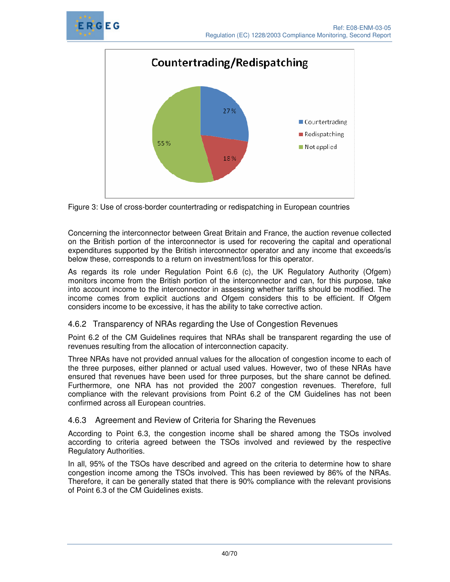





Concerning the interconnector between Great Britain and France, the auction revenue collected on the British portion of the interconnector is used for recovering the capital and operational expenditures supported by the British interconnector operator and any income that exceeds/is below these, corresponds to a return on investment/loss for this operator.

As regards its role under Regulation Point 6.6 (c), the UK Regulatory Authority (Ofgem) monitors income from the British portion of the interconnector and can, for this purpose, take into account income to the interconnector in assessing whether tariffs should be modified. The income comes from explicit auctions and Ofgem considers this to be efficient. If Ofgem considers income to be excessive, it has the ability to take corrective action.

# 4.6.2 Transparency of NRAs regarding the Use of Congestion Revenues

Point 6.2 of the CM Guidelines requires that NRAs shall be transparent regarding the use of revenues resulting from the allocation of interconnection capacity.

Three NRAs have not provided annual values for the allocation of congestion income to each of the three purposes, either planned or actual used values. However, two of these NRAs have ensured that revenues have been used for three purposes, but the share cannot be defined. Furthermore, one NRA has not provided the 2007 congestion revenues. Therefore, full compliance with the relevant provisions from Point 6.2 of the CM Guidelines has not been confirmed across all European countries.

# 4.6.3 Agreement and Review of Criteria for Sharing the Revenues

According to Point 6.3, the congestion income shall be shared among the TSOs involved according to criteria agreed between the TSOs involved and reviewed by the respective Regulatory Authorities.

In all, 95% of the TSOs have described and agreed on the criteria to determine how to share congestion income among the TSOs involved. This has been reviewed by 86% of the NRAs. Therefore, it can be generally stated that there is 90% compliance with the relevant provisions of Point 6.3 of the CM Guidelines exists.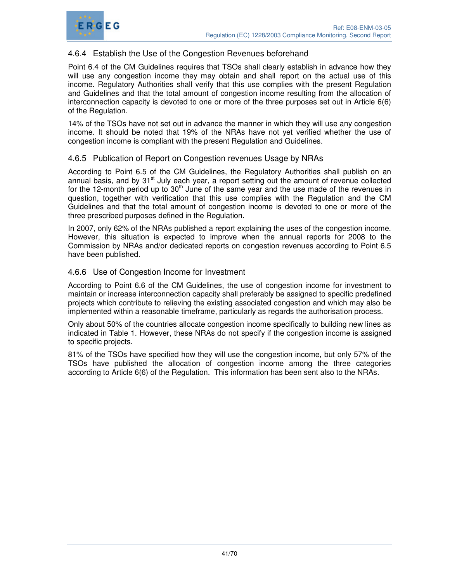



# 4.6.4 Establish the Use of the Congestion Revenues beforehand

Point 6.4 of the CM Guidelines requires that TSOs shall clearly establish in advance how they will use any congestion income they may obtain and shall report on the actual use of this income. Regulatory Authorities shall verify that this use complies with the present Regulation and Guidelines and that the total amount of congestion income resulting from the allocation of interconnection capacity is devoted to one or more of the three purposes set out in Article 6(6) of the Regulation.

14% of the TSOs have not set out in advance the manner in which they will use any congestion income. It should be noted that 19% of the NRAs have not yet verified whether the use of congestion income is compliant with the present Regulation and Guidelines.

# 4.6.5 Publication of Report on Congestion revenues Usage by NRAs

According to Point 6.5 of the CM Guidelines, the Regulatory Authorities shall publish on an annual basis, and by 31<sup>st</sup> July each year, a report setting out the amount of revenue collected for the 12-month period up to  $30<sup>th</sup>$  June of the same year and the use made of the revenues in question, together with verification that this use complies with the Regulation and the CM Guidelines and that the total amount of congestion income is devoted to one or more of the three prescribed purposes defined in the Regulation.

In 2007, only 62% of the NRAs published a report explaining the uses of the congestion income. However, this situation is expected to improve when the annual reports for 2008 to the Commission by NRAs and/or dedicated reports on congestion revenues according to Point 6.5 have been published.

### 4.6.6 Use of Congestion Income for Investment

According to Point 6.6 of the CM Guidelines, the use of congestion income for investment to maintain or increase interconnection capacity shall preferably be assigned to specific predefined projects which contribute to relieving the existing associated congestion and which may also be implemented within a reasonable timeframe, particularly as regards the authorisation process.

Only about 50% of the countries allocate congestion income specifically to building new lines as indicated in Table 1. However, these NRAs do not specify if the congestion income is assigned to specific projects.

81% of the TSOs have specified how they will use the congestion income, but only 57% of the TSOs have published the allocation of congestion income among the three categories according to Article 6(6) of the Regulation. This information has been sent also to the NRAs.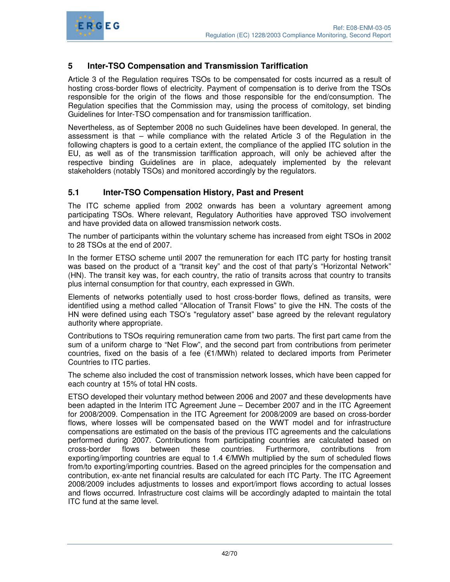

# **5 Inter-TSO Compensation and Transmission Tariffication**

Article 3 of the Regulation requires TSOs to be compensated for costs incurred as a result of hosting cross-border flows of electricity. Payment of compensation is to derive from the TSOs responsible for the origin of the flows and those responsible for the end/consumption. The Regulation specifies that the Commission may, using the process of comitology, set binding Guidelines for Inter-TSO compensation and for transmission tariffication.

Nevertheless, as of September 2008 no such Guidelines have been developed. In general, the assessment is that – while compliance with the related Article 3 of the Regulation in the following chapters is good to a certain extent, the compliance of the applied ITC solution in the EU, as well as of the transmission tariffication approach, will only be achieved after the respective binding Guidelines are in place, adequately implemented by the relevant stakeholders (notably TSOs) and monitored accordingly by the regulators.

# **5.1 Inter-TSO Compensation History, Past and Present**

The ITC scheme applied from 2002 onwards has been a voluntary agreement among participating TSOs. Where relevant, Regulatory Authorities have approved TSO involvement and have provided data on allowed transmission network costs.

The number of participants within the voluntary scheme has increased from eight TSOs in 2002 to 28 TSOs at the end of 2007.

In the former ETSO scheme until 2007 the remuneration for each ITC party for hosting transit was based on the product of a "transit key" and the cost of that party's "Horizontal Network" (HN). The transit key was, for each country, the ratio of transits across that country to transits plus internal consumption for that country, each expressed in GWh.

Elements of networks potentially used to host cross-border flows, defined as transits, were identified using a method called "Allocation of Transit Flows" to give the HN. The costs of the HN were defined using each TSO's "regulatory asset" base agreed by the relevant regulatory authority where appropriate.

Contributions to TSOs requiring remuneration came from two parts. The first part came from the sum of a uniform charge to "Net Flow", and the second part from contributions from perimeter countries, fixed on the basis of a fee  $(E1/MWh)$  related to declared imports from Perimeter Countries to ITC parties.

The scheme also included the cost of transmission network losses, which have been capped for each country at 15% of total HN costs.

ETSO developed their voluntary method between 2006 and 2007 and these developments have been adapted in the Interim ITC Agreement June – December 2007 and in the ITC Agreement for 2008/2009. Compensation in the ITC Agreement for 2008/2009 are based on cross-border flows, where losses will be compensated based on the WWT model and for infrastructure compensations are estimated on the basis of the previous ITC agreements and the calculations performed during 2007. Contributions from participating countries are calculated based on cross-border flows between these countries. Furthermore, contributions from exporting/importing countries are equal to 1.4 €/MWh multiplied by the sum of scheduled flows from/to exporting/importing countries. Based on the agreed principles for the compensation and contribution, ex-ante net financial results are calculated for each ITC Party. The ITC Agreement 2008/2009 includes adjustments to losses and export/import flows according to actual losses and flows occurred. Infrastructure cost claims will be accordingly adapted to maintain the total ITC fund at the same level.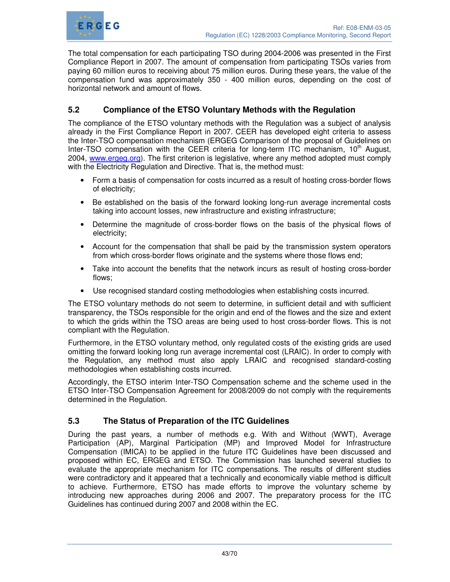

The total compensation for each participating TSO during 2004-2006 was presented in the First Compliance Report in 2007. The amount of compensation from participating TSOs varies from paying 60 million euros to receiving about 75 million euros. During these years, the value of the compensation fund was approximately 350 - 400 million euros, depending on the cost of horizontal network and amount of flows.

# **5.2 Compliance of the ETSO Voluntary Methods with the Regulation**

The compliance of the ETSO voluntary methods with the Regulation was a subject of analysis already in the First Compliance Report in 2007. CEER has developed eight criteria to assess the Inter-TSO compensation mechanism (ERGEG Comparison of the proposal of Guidelines on Inter-TSO compensation with the CEER criteria for long-term ITC mechanism, 10<sup>th</sup> August, 2004, www.ergeg.org). The first criterion is legislative, where any method adopted must comply with the Electricity Regulation and Directive. That is, the method must:

- Form a basis of compensation for costs incurred as a result of hosting cross-border flows of electricity;
- Be established on the basis of the forward looking long-run average incremental costs taking into account losses, new infrastructure and existing infrastructure;
- Determine the magnitude of cross-border flows on the basis of the physical flows of electricity;
- Account for the compensation that shall be paid by the transmission system operators from which cross-border flows originate and the systems where those flows end;
- Take into account the benefits that the network incurs as result of hosting cross-border flows;
- Use recognised standard costing methodologies when establishing costs incurred.

The ETSO voluntary methods do not seem to determine, in sufficient detail and with sufficient transparency, the TSOs responsible for the origin and end of the flowes and the size and extent to which the grids within the TSO areas are being used to host cross-border flows. This is not compliant with the Regulation.

Furthermore, in the ETSO voluntary method, only regulated costs of the existing grids are used omitting the forward looking long run average incremental cost (LRAIC). In order to comply with the Regulation, any method must also apply LRAIC and recognised standard-costing methodologies when establishing costs incurred.

Accordingly, the ETSO interim Inter-TSO Compensation scheme and the scheme used in the ETSO Inter-TSO Compensation Agreement for 2008/2009 do not comply with the requirements determined in the Regulation.

# **5.3 The Status of Preparation of the ITC Guidelines**

During the past years, a number of methods e.g. With and Without (WWT), Average Participation (AP), Marginal Participation (MP) and Improved Model for Infrastructure Compensation (IMICA) to be applied in the future ITC Guidelines have been discussed and proposed within EC, ERGEG and ETSO. The Commission has launched several studies to evaluate the appropriate mechanism for ITC compensations. The results of different studies were contradictory and it appeared that a technically and economically viable method is difficult to achieve. Furthermore, ETSO has made efforts to improve the voluntary scheme by introducing new approaches during 2006 and 2007. The preparatory process for the ITC Guidelines has continued during 2007 and 2008 within the EC.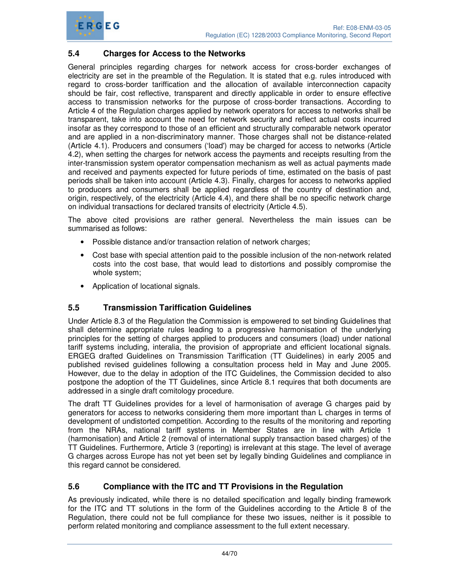

# **5.4 Charges for Access to the Networks**

General principles regarding charges for network access for cross-border exchanges of electricity are set in the preamble of the Regulation. It is stated that e.g. rules introduced with regard to cross-border tariffication and the allocation of available interconnection capacity should be fair, cost reflective, transparent and directly applicable in order to ensure effective access to transmission networks for the purpose of cross-border transactions. According to Article 4 of the Regulation charges applied by network operators for access to networks shall be transparent, take into account the need for network security and reflect actual costs incurred insofar as they correspond to those of an efficient and structurally comparable network operator and are applied in a non-discriminatory manner. Those charges shall not be distance-related (Article 4.1). Producers and consumers ('load') may be charged for access to networks (Article 4.2), when setting the charges for network access the payments and receipts resulting from the inter-transmission system operator compensation mechanism as well as actual payments made and received and payments expected for future periods of time, estimated on the basis of past periods shall be taken into account (Article 4.3). Finally, charges for access to networks applied to producers and consumers shall be applied regardless of the country of destination and, origin, respectively, of the electricity (Article 4.4), and there shall be no specific network charge on individual transactions for declared transits of electricity (Article 4.5).

The above cited provisions are rather general. Nevertheless the main issues can be summarised as follows:

- Possible distance and/or transaction relation of network charges;
- Cost base with special attention paid to the possible inclusion of the non-network related costs into the cost base, that would lead to distortions and possibly compromise the whole system;
- Application of locational signals.

# **5.5 Transmission Tariffication Guidelines**

Under Article 8.3 of the Regulation the Commission is empowered to set binding Guidelines that shall determine appropriate rules leading to a progressive harmonisation of the underlying principles for the setting of charges applied to producers and consumers (load) under national tariff systems including, interalia, the provision of appropriate and efficient locational signals. ERGEG drafted Guidelines on Transmission Tariffication (TT Guidelines) in early 2005 and published revised guidelines following a consultation process held in May and June 2005. However, due to the delay in adoption of the ITC Guidelines, the Commission decided to also postpone the adoption of the TT Guidelines, since Article 8.1 requires that both documents are addressed in a single draft comitology procedure.

The draft TT Guidelines provides for a level of harmonisation of average G charges paid by generators for access to networks considering them more important than L charges in terms of development of undistorted competition. According to the results of the monitoring and reporting from the NRAs, national tariff systems in Member States are in line with Article 1 (harmonisation) and Article 2 (removal of international supply transaction based charges) of the TT Guidelines. Furthermore, Article 3 (reporting) is irrelevant at this stage. The level of average G charges across Europe has not yet been set by legally binding Guidelines and compliance in this regard cannot be considered.

#### **5.6 Compliance with the ITC and TT Provisions in the Regulation**

As previously indicated, while there is no detailed specification and legally binding framework for the ITC and TT solutions in the form of the Guidelines according to the Article 8 of the Regulation, there could not be full compliance for these two issues, neither is it possible to perform related monitoring and compliance assessment to the full extent necessary.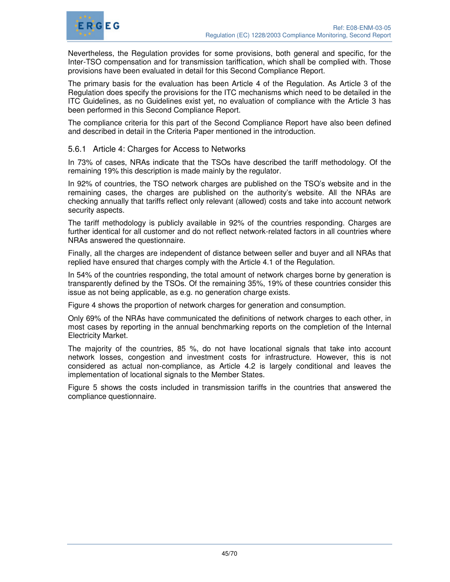

Nevertheless, the Regulation provides for some provisions, both general and specific, for the Inter-TSO compensation and for transmission tariffication, which shall be complied with. Those provisions have been evaluated in detail for this Second Compliance Report.

The primary basis for the evaluation has been Article 4 of the Regulation. As Article 3 of the Regulation does specify the provisions for the ITC mechanisms which need to be detailed in the ITC Guidelines, as no Guidelines exist yet, no evaluation of compliance with the Article 3 has been performed in this Second Compliance Report.

The compliance criteria for this part of the Second Compliance Report have also been defined and described in detail in the Criteria Paper mentioned in the introduction.

#### 5.6.1 Article 4: Charges for Access to Networks

In 73% of cases, NRAs indicate that the TSOs have described the tariff methodology. Of the remaining 19% this description is made mainly by the regulator.

In 92% of countries, the TSO network charges are published on the TSO's website and in the remaining cases, the charges are published on the authority's website. All the NRAs are checking annually that tariffs reflect only relevant (allowed) costs and take into account network security aspects.

The tariff methodology is publicly available in 92% of the countries responding. Charges are further identical for all customer and do not reflect network-related factors in all countries where NRAs answered the questionnaire.

Finally, all the charges are independent of distance between seller and buyer and all NRAs that replied have ensured that charges comply with the Article 4.1 of the Regulation.

In 54% of the countries responding, the total amount of network charges borne by generation is transparently defined by the TSOs. Of the remaining 35%, 19% of these countries consider this issue as not being applicable, as e.g. no generation charge exists.

Figure 4 shows the proportion of network charges for generation and consumption.

Only 69% of the NRAs have communicated the definitions of network charges to each other, in most cases by reporting in the annual benchmarking reports on the completion of the Internal Electricity Market.

The majority of the countries, 85 %, do not have locational signals that take into account network losses, congestion and investment costs for infrastructure. However, this is not considered as actual non-compliance, as Article 4.2 is largely conditional and leaves the implementation of locational signals to the Member States.

Figure 5 shows the costs included in transmission tariffs in the countries that answered the compliance questionnaire.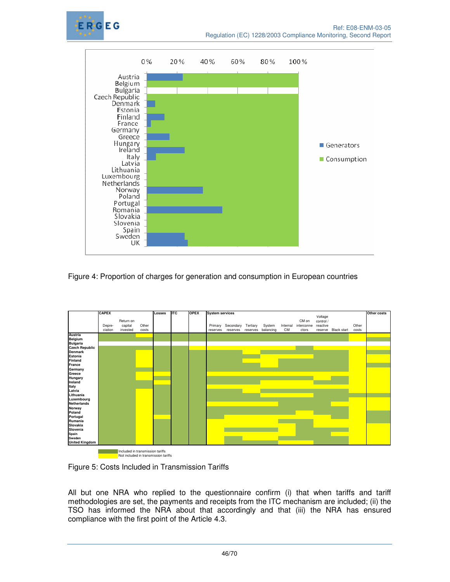



Figure 4: Proportion of charges for generation and consumption in European countries



Figure 5: Costs Included in Transmission Tariffs

All but one NRA who replied to the questionnaire confirm (i) that when tariffs and tariff methodologies are set, the payments and receipts from the ITC mechanism are included; (ii) the TSO has informed the NRA about that accordingly and that (iii) the NRA has ensured compliance with the first point of the Article 4.3.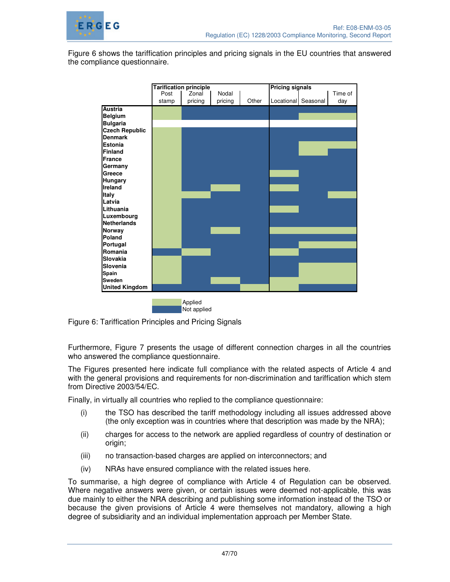

Figure 6 shows the tariffication principles and pricing signals in the EU countries that answered the compliance questionnaire.



Figure 6: Tariffication Principles and Pricing Signals

Furthermore, Figure 7 presents the usage of different connection charges in all the countries who answered the compliance questionnaire.

The Figures presented here indicate full compliance with the related aspects of Article 4 and with the general provisions and requirements for non-discrimination and tariffication which stem from Directive 2003/54/EC.

Finally, in virtually all countries who replied to the compliance questionnaire:

- (i) the TSO has described the tariff methodology including all issues addressed above (the only exception was in countries where that description was made by the NRA);
- (ii) charges for access to the network are applied regardless of country of destination or origin;
- (iii) no transaction-based charges are applied on interconnectors; and
- (iv) NRAs have ensured compliance with the related issues here.

To summarise, a high degree of compliance with Article 4 of Regulation can be observed. Where negative answers were given, or certain issues were deemed not-applicable, this was due mainly to either the NRA describing and publishing some information instead of the TSO or because the given provisions of Article 4 were themselves not mandatory, allowing a high degree of subsidiarity and an individual implementation approach per Member State.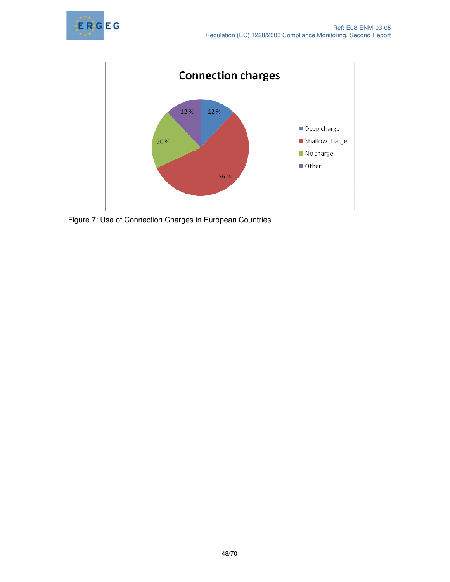



Figure 7: Use of Connection Charges in European Countries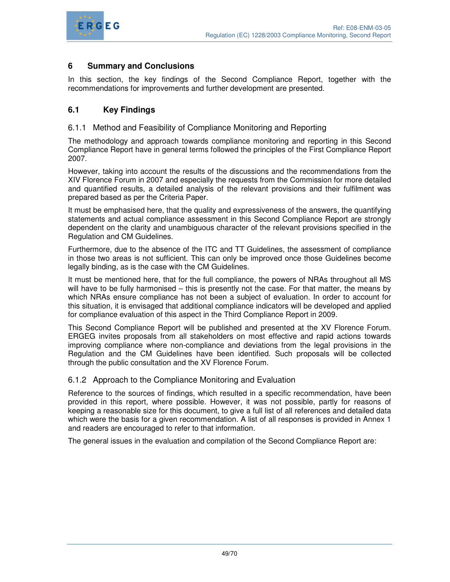

# **6 Summary and Conclusions**

In this section, the key findings of the Second Compliance Report, together with the recommendations for improvements and further development are presented.

# **6.1 Key Findings**

#### 6.1.1 Method and Feasibility of Compliance Monitoring and Reporting

The methodology and approach towards compliance monitoring and reporting in this Second Compliance Report have in general terms followed the principles of the First Compliance Report 2007.

However, taking into account the results of the discussions and the recommendations from the XIV Florence Forum in 2007 and especially the requests from the Commission for more detailed and quantified results, a detailed analysis of the relevant provisions and their fulfilment was prepared based as per the Criteria Paper.

It must be emphasised here, that the quality and expressiveness of the answers, the quantifying statements and actual compliance assessment in this Second Compliance Report are strongly dependent on the clarity and unambiguous character of the relevant provisions specified in the Regulation and CM Guidelines.

Furthermore, due to the absence of the ITC and TT Guidelines, the assessment of compliance in those two areas is not sufficient. This can only be improved once those Guidelines become legally binding, as is the case with the CM Guidelines.

It must be mentioned here, that for the full compliance, the powers of NRAs throughout all MS will have to be fully harmonised – this is presently not the case. For that matter, the means by which NRAs ensure compliance has not been a subject of evaluation. In order to account for this situation, it is envisaged that additional compliance indicators will be developed and applied for compliance evaluation of this aspect in the Third Compliance Report in 2009.

This Second Compliance Report will be published and presented at the XV Florence Forum. ERGEG invites proposals from all stakeholders on most effective and rapid actions towards improving compliance where non-compliance and deviations from the legal provisions in the Regulation and the CM Guidelines have been identified. Such proposals will be collected through the public consultation and the XV Florence Forum.

#### 6.1.2 Approach to the Compliance Monitoring and Evaluation

Reference to the sources of findings, which resulted in a specific recommendation, have been provided in this report, where possible. However, it was not possible, partly for reasons of keeping a reasonable size for this document, to give a full list of all references and detailed data which were the basis for a given recommendation. A list of all responses is provided in Annex 1 and readers are encouraged to refer to that information.

The general issues in the evaluation and compilation of the Second Compliance Report are: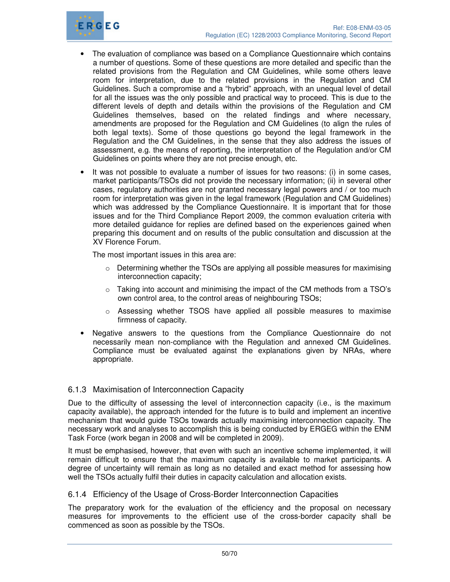

- The evaluation of compliance was based on a Compliance Questionnaire which contains a number of questions. Some of these questions are more detailed and specific than the related provisions from the Regulation and CM Guidelines, while some others leave room for interpretation, due to the related provisions in the Regulation and CM Guidelines. Such a compromise and a "hybrid" approach, with an unequal level of detail for all the issues was the only possible and practical way to proceed. This is due to the different levels of depth and details within the provisions of the Regulation and CM Guidelines themselves, based on the related findings and where necessary, amendments are proposed for the Regulation and CM Guidelines (to align the rules of both legal texts). Some of those questions go beyond the legal framework in the Regulation and the CM Guidelines, in the sense that they also address the issues of assessment, e.g. the means of reporting, the interpretation of the Regulation and/or CM Guidelines on points where they are not precise enough, etc.
- It was not possible to evaluate a number of issues for two reasons: (i) in some cases, market participants/TSOs did not provide the necessary information; (ii) in several other cases, regulatory authorities are not granted necessary legal powers and / or too much room for interpretation was given in the legal framework (Regulation and CM Guidelines) which was addressed by the Compliance Questionnaire. It is important that for those issues and for the Third Compliance Report 2009, the common evaluation criteria with more detailed guidance for replies are defined based on the experiences gained when preparing this document and on results of the public consultation and discussion at the XV Florence Forum.

The most important issues in this area are:

- $\circ$  Determining whether the TSOs are applying all possible measures for maximising interconnection capacity;
- o Taking into account and minimising the impact of the CM methods from a TSO's own control area, to the control areas of neighbouring TSOs;
- o Assessing whether TSOS have applied all possible measures to maximise firmness of capacity.
- Negative answers to the questions from the Compliance Questionnaire do not necessarily mean non-compliance with the Regulation and annexed CM Guidelines. Compliance must be evaluated against the explanations given by NRAs, where appropriate.

# 6.1.3 Maximisation of Interconnection Capacity

Due to the difficulty of assessing the level of interconnection capacity (i.e., is the maximum capacity available), the approach intended for the future is to build and implement an incentive mechanism that would guide TSOs towards actually maximising interconnection capacity. The necessary work and analyses to accomplish this is being conducted by ERGEG within the ENM Task Force (work began in 2008 and will be completed in 2009).

It must be emphasised, however, that even with such an incentive scheme implemented, it will remain difficult to ensure that the maximum capacity is available to market participants. A degree of uncertainty will remain as long as no detailed and exact method for assessing how well the TSOs actually fulfil their duties in capacity calculation and allocation exists.

# 6.1.4 Efficiency of the Usage of Cross-Border Interconnection Capacities

The preparatory work for the evaluation of the efficiency and the proposal on necessary measures for improvements to the efficient use of the cross-border capacity shall be commenced as soon as possible by the TSOs.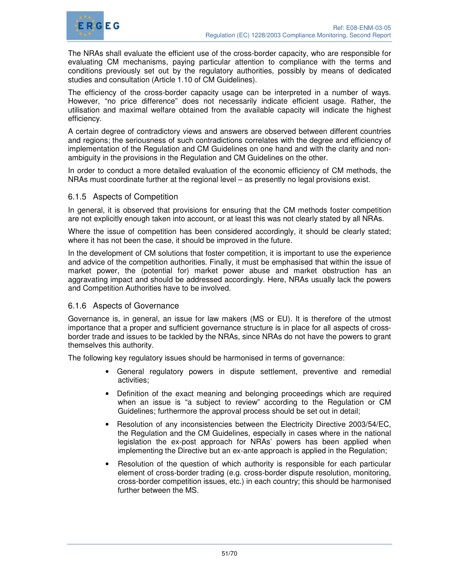

The NRAs shall evaluate the efficient use of the cross-border capacity, who are responsible for evaluating CM mechanisms, paying particular attention to compliance with the terms and conditions previously set out by the regulatory authorities, possibly by means of dedicated studies and consultation (Article 1.10 of CM Guidelines).

The efficiency of the cross-border capacity usage can be interpreted in a number of ways. However, "no price difference" does not necessarily indicate efficient usage. Rather, the utilisation and maximal welfare obtained from the available capacity will indicate the highest efficiency.

A certain degree of contradictory views and answers are observed between different countries and regions; the seriousness of such contradictions correlates with the degree and efficiency of implementation of the Regulation and CM Guidelines on one hand and with the clarity and nonambiguity in the provisions in the Regulation and CM Guidelines on the other.

In order to conduct a more detailed evaluation of the economic efficiency of CM methods, the NRAs must coordinate further at the regional level – as presently no legal provisions exist.

#### 6.1.5 Aspects of Competition

In general, it is observed that provisions for ensuring that the CM methods foster competition are not explicitly enough taken into account, or at least this was not clearly stated by all NRAs.

Where the issue of competition has been considered accordingly, it should be clearly stated; where it has not been the case, it should be improved in the future.

In the development of CM solutions that foster competition, it is important to use the experience and advice of the competition authorities. Finally, it must be emphasised that within the issue of market power, the (potential for) market power abuse and market obstruction has an aggravating impact and should be addressed accordingly. Here, NRAs usually lack the powers and Competition Authorities have to be involved.

#### 6.1.6 Aspects of Governance

Governance is, in general, an issue for law makers (MS or EU). It is therefore of the utmost importance that a proper and sufficient governance structure is in place for all aspects of crossborder trade and issues to be tackled by the NRAs, since NRAs do not have the powers to grant themselves this authority.

The following key regulatory issues should be harmonised in terms of governance:

- General regulatory powers in dispute settlement, preventive and remedial activities;
- Definition of the exact meaning and belonging proceedings which are required when an issue is "a subject to review" according to the Regulation or CM Guidelines; furthermore the approval process should be set out in detail;
- Resolution of any inconsistencies between the Electricity Directive 2003/54/EC, the Regulation and the CM Guidelines, especially in cases where in the national legislation the ex-post approach for NRAs' powers has been applied when implementing the Directive but an ex-ante approach is applied in the Regulation;
- Resolution of the question of which authority is responsible for each particular element of cross-border trading (e.g. cross-border dispute resolution, monitoring, cross-border competition issues, etc.) in each country; this should be harmonised further between the MS.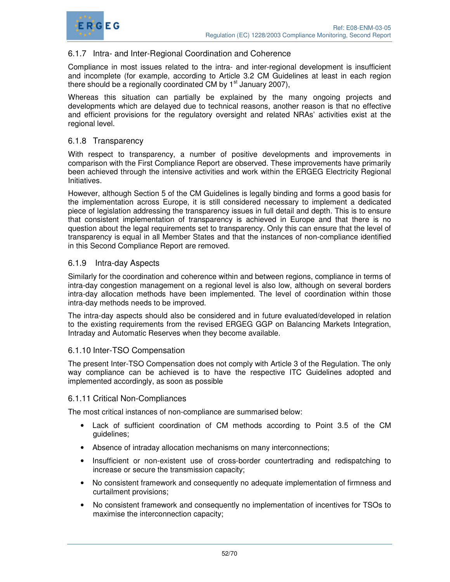

# 6.1.7 Intra- and Inter-Regional Coordination and Coherence

Compliance in most issues related to the intra- and inter-regional development is insufficient and incomplete (for example, according to Article 3.2 CM Guidelines at least in each region there should be a regionally coordinated CM by  $1<sup>st</sup>$  January 2007),

Whereas this situation can partially be explained by the many ongoing projects and developments which are delayed due to technical reasons, another reason is that no effective and efficient provisions for the regulatory oversight and related NRAs' activities exist at the regional level.

### 6.1.8 Transparency

With respect to transparency, a number of positive developments and improvements in comparison with the First Compliance Report are observed. These improvements have primarily been achieved through the intensive activities and work within the ERGEG Electricity Regional Initiatives.

However, although Section 5 of the CM Guidelines is legally binding and forms a good basis for the implementation across Europe, it is still considered necessary to implement a dedicated piece of legislation addressing the transparency issues in full detail and depth. This is to ensure that consistent implementation of transparency is achieved in Europe and that there is no question about the legal requirements set to transparency. Only this can ensure that the level of transparency is equal in all Member States and that the instances of non-compliance identified in this Second Compliance Report are removed.

### 6.1.9 Intra-day Aspects

Similarly for the coordination and coherence within and between regions, compliance in terms of intra-day congestion management on a regional level is also low, although on several borders intra-day allocation methods have been implemented. The level of coordination within those intra-day methods needs to be improved.

The intra-day aspects should also be considered and in future evaluated/developed in relation to the existing requirements from the revised ERGEG GGP on Balancing Markets Integration, Intraday and Automatic Reserves when they become available.

#### 6.1.10 Inter-TSO Compensation

The present Inter-TSO Compensation does not comply with Article 3 of the Regulation. The only way compliance can be achieved is to have the respective ITC Guidelines adopted and implemented accordingly, as soon as possible

#### 6.1.11 Critical Non-Compliances

The most critical instances of non-compliance are summarised below:

- Lack of sufficient coordination of CM methods according to Point 3.5 of the CM guidelines;
- Absence of intraday allocation mechanisms on many interconnections;
- Insufficient or non-existent use of cross-border countertrading and redispatching to increase or secure the transmission capacity;
- No consistent framework and consequently no adequate implementation of firmness and curtailment provisions;
- No consistent framework and consequently no implementation of incentives for TSOs to maximise the interconnection capacity;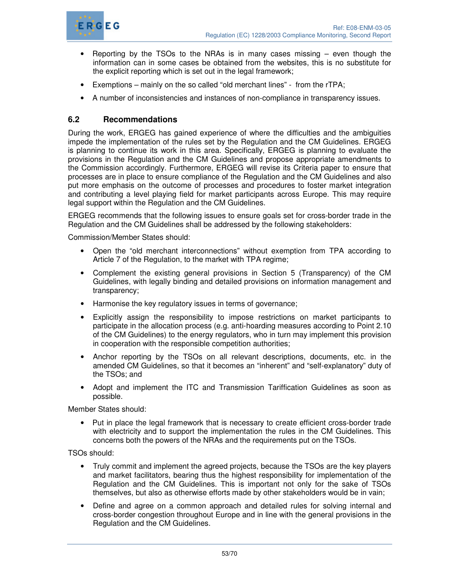

- Reporting by the TSOs to the NRAs is in many cases missing  $-$  even though the information can in some cases be obtained from the websites, this is no substitute for the explicit reporting which is set out in the legal framework;
- Exemptions mainly on the so called "old merchant lines" from the rTPA;
- A number of inconsistencies and instances of non-compliance in transparency issues.

# **6.2 Recommendations**

During the work, ERGEG has gained experience of where the difficulties and the ambiguities impede the implementation of the rules set by the Regulation and the CM Guidelines. ERGEG is planning to continue its work in this area. Specifically, ERGEG is planning to evaluate the provisions in the Regulation and the CM Guidelines and propose appropriate amendments to the Commission accordingly. Furthermore, ERGEG will revise its Criteria paper to ensure that processes are in place to ensure compliance of the Regulation and the CM Guidelines and also put more emphasis on the outcome of processes and procedures to foster market integration and contributing a level playing field for market participants across Europe. This may require legal support within the Regulation and the CM Guidelines.

ERGEG recommends that the following issues to ensure goals set for cross-border trade in the Regulation and the CM Guidelines shall be addressed by the following stakeholders:

Commission/Member States should:

- Open the "old merchant interconnections" without exemption from TPA according to Article 7 of the Regulation, to the market with TPA regime;
- Complement the existing general provisions in Section 5 (Transparency) of the CM Guidelines, with legally binding and detailed provisions on information management and transparency;
- Harmonise the key regulatory issues in terms of governance;
- Explicitly assign the responsibility to impose restrictions on market participants to participate in the allocation process (e.g. anti-hoarding measures according to Point 2.10 of the CM Guidelines) to the energy regulators, who in turn may implement this provision in cooperation with the responsible competition authorities;
- Anchor reporting by the TSOs on all relevant descriptions, documents, etc. in the amended CM Guidelines, so that it becomes an "inherent" and "self-explanatory" duty of the TSOs; and
- Adopt and implement the ITC and Transmission Tariffication Guidelines as soon as possible.

Member States should:

• Put in place the legal framework that is necessary to create efficient cross-border trade with electricity and to support the implementation the rules in the CM Guidelines. This concerns both the powers of the NRAs and the requirements put on the TSOs.

TSOs should:

- Truly commit and implement the agreed projects, because the TSOs are the key players and market facilitators, bearing thus the highest responsibility for implementation of the Regulation and the CM Guidelines. This is important not only for the sake of TSOs themselves, but also as otherwise efforts made by other stakeholders would be in vain;
- Define and agree on a common approach and detailed rules for solving internal and cross-border congestion throughout Europe and in line with the general provisions in the Regulation and the CM Guidelines.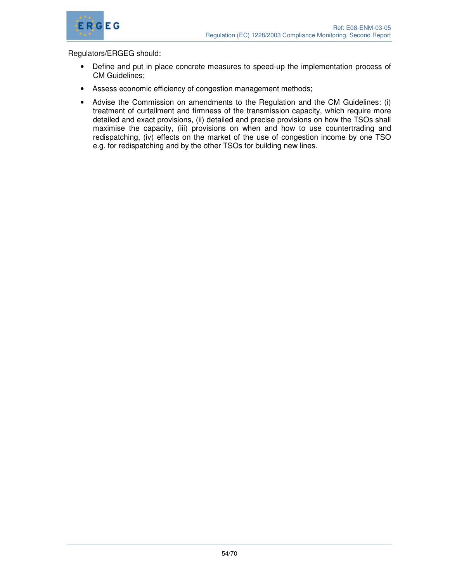

#### Regulators/ERGEG should:

- Define and put in place concrete measures to speed-up the implementation process of CM Guidelines;
- Assess economic efficiency of congestion management methods;
- Advise the Commission on amendments to the Regulation and the CM Guidelines: (i) treatment of curtailment and firmness of the transmission capacity, which require more detailed and exact provisions, (ii) detailed and precise provisions on how the TSOs shall maximise the capacity, (iii) provisions on when and how to use countertrading and redispatching, (iv) effects on the market of the use of congestion income by one TSO e.g. for redispatching and by the other TSOs for building new lines.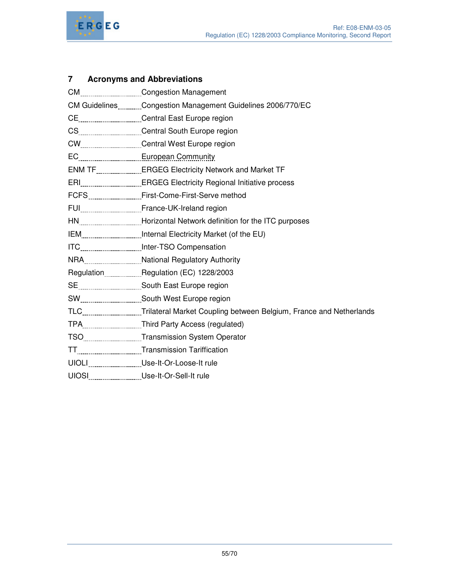

# **7 Acronyms and Abbreviations**

| CM GuidelinesCongestion Management Guidelines 2006/770/EC             |
|-----------------------------------------------------------------------|
| CECentral East Europe region                                          |
|                                                                       |
|                                                                       |
|                                                                       |
| ENM TF _______________ERGEG Electricity Network and Market TF         |
|                                                                       |
|                                                                       |
|                                                                       |
| HNHorizontal Network definition for the ITC purposes                  |
| IEMInternal Electricity Market (of the EU)                            |
|                                                                       |
| NRANational Regulatory Authority                                      |
| RegulationRegulation (EC) 1228/2003                                   |
|                                                                       |
|                                                                       |
| TLCTrilateral Market Coupling between Belgium, France and Netherlands |
| TPAThird Party Access (regulated)                                     |
| TSOTransmission System Operator                                       |
| TTTransmission Tariffication                                          |
| UIOLI _________________ Use-It-Or-Loose-It rule                       |
| UIOSI ___________________Use-It-Or-Sell-It rule                       |
|                                                                       |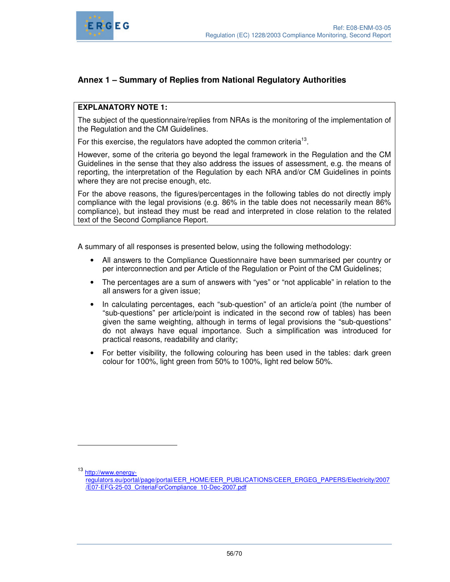

# **Annex 1 – Summary of Replies from National Regulatory Authorities**

#### **EXPLANATORY NOTE 1:**

The subject of the questionnaire/replies from NRAs is the monitoring of the implementation of the Regulation and the CM Guidelines.

For this exercise, the regulators have adopted the common criteria<sup>13</sup>.

However, some of the criteria go beyond the legal framework in the Regulation and the CM Guidelines in the sense that they also address the issues of assessment, e.g. the means of reporting, the interpretation of the Regulation by each NRA and/or CM Guidelines in points where they are not precise enough, etc.

For the above reasons, the figures/percentages in the following tables do not directly imply compliance with the legal provisions (e.g. 86% in the table does not necessarily mean 86% compliance), but instead they must be read and interpreted in close relation to the related text of the Second Compliance Report.

A summary of all responses is presented below, using the following methodology:

- All answers to the Compliance Questionnaire have been summarised per country or per interconnection and per Article of the Regulation or Point of the CM Guidelines;
- The percentages are a sum of answers with "yes" or "not applicable" in relation to the all answers for a given issue;
- In calculating percentages, each "sub-question" of an article/a point (the number of "sub-questions" per article/point is indicated in the second row of tables) has been given the same weighting, although in terms of legal provisions the "sub-questions" do not always have equal importance. Such a simplification was introduced for practical reasons, readability and clarity;
- For better visibility, the following colouring has been used in the tables: dark green colour for 100%, light green from 50% to 100%, light red below 50%.

 $\overline{a}$ 

<sup>13</sup> http://www.energy-

regulators.eu/portal/page/portal/EER\_HOME/EER\_PUBLICATIONS/CEER\_ERGEG\_PAPERS/Electricity/2007 /E07-EFG-25-03\_CriteriaForCompliance\_10-Dec-2007.pdf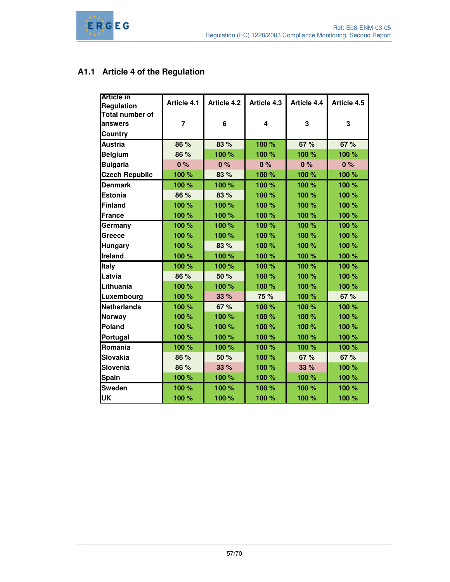# **A1.1 Article 4 of the Regulation**

| <b>Article in</b>      | Article 4.1    | <b>Article 4.2</b> | Article 4.3 | Article 4.4 | Article 4.5 |
|------------------------|----------------|--------------------|-------------|-------------|-------------|
| <b>Regulation</b>      |                |                    |             |             |             |
| <b>Total number of</b> |                |                    |             |             |             |
| lanswers               | $\overline{7}$ | 6                  | 4           | 3           | 3           |
| <b>Country</b>         |                |                    |             |             |             |
| <b>Austria</b>         | 86 %           | 83 %               | 100 %       | 67 %        | 67 %        |
| <b>Belgium</b>         | 86 %           | 100 %              | 100 %       | 100 %       | 100 %       |
| <b>Bulgaria</b>        | 0%             | 0%                 | 0%          | 0%          | 0%          |
| <b>Czech Republic</b>  | 100 %          | 83 %               | 100 %       | 100 %       | 100 %       |
| <b>Denmark</b>         | 100 %          | 100 %              | 100 %       | 100 %       | 100 %       |
| Estonia                | 86 %           | 83 %               | 100 %       | 100 %       | 100 %       |
| <b>Finland</b>         | 100 %          | 100 %              | 100 %       | 100 %       | 100 %       |
| France                 | 100 %          | 100 %              | 100 %       | 100 %       | 100 %       |
| Germany                | 100 %          | 100 %              | 100 %       | 100 %       | 100 %       |
| <b>Greece</b>          | 100 %          | 100 %              | 100 %       | 100 %       | 100 %       |
| <b>Hungary</b>         | 100 %          | 83 %               | 100 %       | 100 %       | 100 %       |
| Ireland                | 100 %          | 100 %              | 100 %       | 100 %       | 100 %       |
| <b>Italy</b>           | 100 %          | 100 %              | 100 %       | 100 %       | 100 %       |
| Latvia                 | 86 %           | 50 %               | 100 %       | 100 %       | 100 %       |
| <b>Lithuania</b>       | 100 %          | 100 %              | 100 %       | 100 %       | 100 %       |
| Luxembourg             | 100 %          | 33 %               | 75 %        | 100 %       | 67 %        |
| Netherlands            | 100 %          | 67 %               | 100 %       | 100 %       | 100 %       |
| Norway                 | 100 %          | 100 %              | 100 %       | 100 %       | 100 %       |
| Poland                 | 100 %          | 100 %              | 100 %       | 100 %       | 100 %       |
| Portugal               | 100 %          | 100 %              | 100 %       | 100 %       | 100 %       |
| Romania                | 100 %          | 100 %              | 100 %       | 100 %       | 100 %       |
| Slovakia               | 86 %           | 50 %               | 100 %       | 67 %        | 67 %        |
| Slovenia               | 86 %           | 33 %               | 100 %       | 33 %        | 100 %       |
| <b>Spain</b>           | 100 %          | 100 %              | 100 %       | 100 %       | 100 %       |
| Sweden                 | 100 %          | 100 %              | 100 %       | 100 %       | 100 %       |
| UK                     | 100 %          | 100 %              | 100 %       | 100 %       | 100 %       |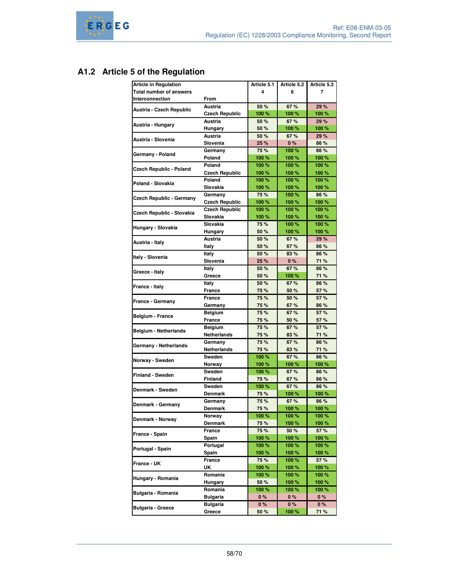# **A1.2 Article 5 of the Regulation**

| <b>Article in Regulation</b>    |                       | Article 5.1 | Article 5.2 | Article 5.3 |
|---------------------------------|-----------------------|-------------|-------------|-------------|
| <b>Total number of answers</b>  |                       | 4           | 6           | 7           |
| Interconnection                 | From                  |             |             |             |
|                                 | Austria               | 50 %        | 67%         | 29 %        |
| Austria - Czech Republic        | <b>Czech Republic</b> | 100 %       | 100 %       | 100 %       |
|                                 | Austria               | 50 %        | 67%         | 29 %        |
| Austria - Hungary               |                       | 50 %        | 100 %       | 100 %       |
|                                 | Hungary<br>Austria    | 50 %        |             |             |
| Austria - Slovenia              |                       |             | 67%         | 29 %        |
|                                 | Slovenia              | 25 %        | 0%          | 86 %        |
| Germany - Poland                | Germany               | 75 %        | 100%        | 86 %        |
|                                 | Poland                | 100 %       | 100 %       | 100 %       |
| Czech Republic - Poland         | Poland                | 100%        | 100%        | 100%        |
|                                 | Czech Republic        | 100 %       | 100 %       | 100%        |
| Poland - Slovakia               | Poland                | 100%        | 100%        | 100 %       |
|                                 | Slovakia              | 100 %       | 100 %       | 100 %       |
| <b>Czech Republic - Germany</b> | Germany               | 75 %        | 100 %       | 86 %        |
|                                 | <b>Czech Republic</b> | 100 %       | 100 %       | 100 %       |
|                                 | <b>Czech Republic</b> | 100%        | 100%        | 100%        |
| Czech Republic - Slovakia       | Slovakia              | 100 %       | 100 %       | 100 %       |
|                                 | Slovakia              | 75 %        | 100%        | 100 %       |
| Hungary - Slovakia              | Hungary               | 50 %        | 100 %       | 100 %       |
|                                 | Austria               | 50 %        | 67%         | 29 %        |
| Austria - Italy                 | Italy                 | 50 %        | 67 %        | 86 %        |
|                                 | Italy                 | 50 %        | 83 %        | 86 %        |
| Italy - Slovenia                | Slovenia              | 25 %        | 0%          | 71 %        |
|                                 | Italy                 | 50 %        | 67 %        | 86 %        |
| Greece - Italy                  | Greece                | 50 %        | 100%        | 71 %        |
|                                 |                       | 50 %        | 67%         | 86 %        |
| France - Italy                  | Italy                 |             |             |             |
|                                 | France                | 75 %        | 50 %        | 57 %        |
| France - Germany                | <b>France</b>         | 75 %        | 50 %        | 57%         |
|                                 | Germany               | 75 %        | 67%         | 86 %        |
| Belgium - France                | Belgium               | 75 %        | 67%         | 57 %        |
|                                 | France                | 75 %        | 50 %        | 57 %        |
| <b>Belgium - Netherlands</b>    | Belgium               | 75 %        | 67%         | 57 %        |
|                                 | Netherlands           | 75 %        | 83 %        | 71 %        |
| Germany - Netherlands           | Germany               | 75 %        | 67%         | 86 %        |
|                                 | <b>Netherlands</b>    | 75 %        | 83%         | 71 %        |
| Norway - Sweden                 | Sweden                | 100 %       | 67%         | 86 %        |
|                                 | Norway                | 100 %       | 100%        | 100 %       |
| <b>Finland - Sweden</b>         | Sweden                | 100 %       | 67 %        | 86 %        |
|                                 | <b>Finland</b>        | 75 %        | 67 %        | 86 %        |
| Denmark - Sweden                | Sweden                | 100 %       | 67 %        | 86 %        |
|                                 | <b>Denmark</b>        | 75 %        | 100%        | 100 %       |
|                                 | Germany               | 75 %        | 67 %        | 86 %        |
| Denmark - Germany               | Denmark               | 75 %        | 100 %       | 100 %       |
|                                 | Norway                | 100 %       | 100 %       | 100 %       |
| Denmark - Norway                | Denmark               | 75 %        | 100 %       | 100 %       |
|                                 | France                | 75 %        | 50 %        | 57 %        |
| France - Spain                  | Spain                 | 100 %       | 100 %       | 100 %       |
|                                 | Portugal              | 100 %       | 100%        | 100 %       |
| Portugal - Spain                |                       | 100 %       | 100 %       |             |
|                                 | Spain                 |             |             | 100 %       |
| France - UK                     | France                | 75 %        | 100 %       | 57 %        |
|                                 | UΚ                    | 100 %       | 100 %       | 100 %       |
| Hungary - Romania               | Romania               | 100 %       | 100 %       | 100 %       |
|                                 | Hungary               | 50 %        | 100%        | 100 %       |
| Bulgaria - Romania              | Romania               | 100 %       | 100 %       | 100 %       |
|                                 | <b>Bulgaria</b>       | 0%          | 0%          | $0\%$       |
| <b>Bulgaria - Greece</b>        | <b>Bulgaria</b>       | 0%          | 0%          | 0%          |
|                                 | Greece                | 50 %        | 100%        | 71 %        |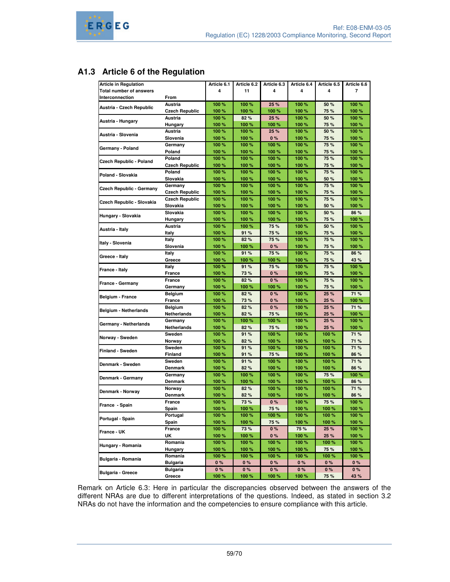# **A1.3 Article 6 of the Regulation**

| <b>Article in Regulation</b>    |                       | Article 6.1 | Article 6.2 | Article 6.3 | Article 6.4 | Article 6.5 | Article 6.6 |
|---------------------------------|-----------------------|-------------|-------------|-------------|-------------|-------------|-------------|
| <b>Total number of answers</b>  |                       | 4           | 11          | 4           | 4           | 4           | 7           |
| Interconnection                 | From                  |             |             |             |             |             |             |
|                                 | <b>Austria</b>        |             |             |             |             |             |             |
| Austria - Czech Republic        |                       | 100 %       | 100 %       | 25 %        | 100 %       | 50 %        | 100 %       |
|                                 | <b>Czech Republic</b> | 100 %       | 100 %       | 100 %       | 100 %       | 75 %        | 100 %       |
| Austria - Hungary               | Austria               | 100 %       | 82%         | 25 %        | 100 %       | 50 %        | 100 %       |
|                                 | Hungary               | 100 %       | 100 %       | 100 %       | 100 %       | 75 %        | 100 %       |
| Austria - Slovenia              | Austria               | 100 %       | 100 %       | 25 %        | 100 %       | 50 %        | 100 %       |
|                                 | Slovenia              | 100 %       | 100 %       | 0%          | 100 %       | 75 %        | 100 %       |
| Germany - Poland                | Germany               | 100 %       | 100 %       | 100 %       | 100 %       | 75 %        | 100 %       |
|                                 | Poland                | 100 %       | 100 %       | 100%        | 100 %       | 75 %        | 100 %       |
|                                 | Poland                | 100 %       | 100 %       | 100 %       | 100 %       | 75 %        | 100 %       |
| Czech Republic - Poland         | <b>Czech Republic</b> | 100 %       | 100 %       | 100 %       | 100 %       | 75 %        | 100 %       |
|                                 | Poland                | 100 %       | 100 %       | 100%        | 100 %       | 75 %        | 100 %       |
| Poland - Slovakia               | Slovakia              | 100 %       | 100 %       | 100 %       | 100 %       | 50 %        | 100 %       |
|                                 | Germany               | 100 %       | 100 %       | 100 %       | 100 %       | 75 %        | 100 %       |
| <b>Czech Republic - Germany</b> | <b>Czech Republic</b> | 100 %       | 100 %       | 100 %       | 100 %       | 75 %        | 100 %       |
|                                 | <b>Czech Republic</b> | 100 %       | 100 %       | 100 %       | 100 %       | 75 %        | 100 %       |
| Czech Republic - Slovakia       |                       |             |             |             |             |             |             |
|                                 | Slovakia              | 100 %       | 100 %       | 100 %       | 100 %       | 50 %        | 100 %       |
| Hungary - Slovakia              | Slovakia              | 100 %       | 100 %       | 100 %       | 100 %       | 50 %        | 86 %        |
|                                 | Hungary               | 100 %       | 100 %       | 100 %       | 100 %       | 75 %        | 100 %       |
| Austria - Italy                 | Austria               | 100 %       | 100 %       | 75 %        | 100 %       | 50 %        | 100 %       |
|                                 | Italy                 | 100 %       | 91 %        | 75 %        | 100 %       | 75 %        | 100 %       |
| Italy - Slovenia                | Italy                 | 100 %       | 82%         | 75 %        | 100 %       | 75 %        | 100 %       |
|                                 | Slovenia              | 100 %       | 100 %       | 0%          | 100 %       | 75 %        | 100 %       |
|                                 | Italy                 | 100%        | 91 %        | 75 %        | 100 %       | 75 %        | 86 %        |
| Greece - Italy                  | Greece                | 100 %       | 100 %       | 100 %       | 100 %       | 75 %        | 43 %        |
|                                 | Italy                 | 100 %       | 91%         | 75 %        | 100 %       | 75 %        | 100 %       |
| France - Italy                  | France                | 100 %       | 73%         | 0%          | 100 %       | 75 %        | 100 %       |
|                                 | France                | 100%        | 82%         | 0%          | 100 %       | 75 %        | 100 %       |
| France - Germany                | Germany               | 100 %       | 100 %       | 100 %       | 100 %       | 75 %        | 100 %       |
|                                 |                       | 100 %       | 82%         | 0%          | 100 %       | 25 %        | 71 %        |
| <b>Belgium - France</b>         | Belgium               |             |             |             |             |             |             |
|                                 | France                | 100 %       | 73%         | $0\%$       | 100 %       | 25 %        | 100 %       |
| <b>Belgium - Netherlands</b>    | Belgium               | 100 %       | 82%         | 0%          | 100 %       | 25 %        | 71 %        |
|                                 | Netherlands           | 100 %       | 82%         | 75 %        | 100 %       | 25 %        | 100 %       |
| Germany - Netherlands           | Germany               | 100 %       | 100 %       | 100 %       | 100 %       | 25 %        | 100 %       |
|                                 | Netherlands           | 100 %       | 82%         | 75 %        | 100 %       | 25 %        | 100 %       |
| Norway - Sweden                 | Sweden                | 100 %       | 91 %        | 100 %       | 100 %       | 100%        | 71 %        |
|                                 | Norway                | 100 %       | 82%         | 100 %       | 100 %       | 100 %       | 71 %        |
|                                 | Sweden                | 100 %       | 91 %        | 100 %       | 100 %       | 100 %       | 71 %        |
| <b>Finland - Sweden</b>         | Finland               | 100 %       | 91%         | 75 %        | 100 %       | 100 %       | 86 %        |
|                                 | Sweden                | 100 %       | 91 %        | 100 %       | 100 %       | 100 %       | 71 %        |
| Denmark - Sweden                | Denmark               | 100 %       | 82%         | 100 %       | 100 %       | 100 %       | 86 %        |
|                                 | Germany               | 100 %       | 100 %       | 100 %       | 100 %       | 75 %        | 100 %       |
| Denmark - Germany               | Denmark               | 100 %       | 100 %       | 100 %       | 100 %       | 100%        | 86 %        |
|                                 | Norway                | 100 %       | 82%         | 100 %       | 100 %       | 100 %       | 71 %        |
| Denmark - Norway                |                       | 100 %       |             | 100 %       | 100 %       |             | 86 %        |
|                                 | Denmark               |             | 82%         |             |             | 100 %       |             |
| France - Spain                  | France                | 100 %       | 73 %        | 0%          | 100 %       | 75 %        | 100 %       |
|                                 | <b>Spain</b>          | 100 %       | 100 %       | 75 %        | 100 %       | 100 %       | 100 %       |
| Portugal - Spain                | Portugal              | 100 %       | 100 %       | 100 %       | 100 %       | 100 %       | 100 %       |
|                                 | Spain                 | 100 %       | 100 %       | 75 %        | 100 %       | 100 %       | 100 %       |
| France - UK                     | France                | 100 %       | 73 %        | 0%          | 75 %        | 25 %        | 100 %       |
|                                 | UK                    | 100 %       | 100 %       | 0%          | 100 %       | 25 %        | 100 %       |
|                                 | Romania               | 100 %       | 100 %       | 100 %       | 100 %       | 100 %       | 100 %       |
| Hungary - Romania               | Hungary               | 100 %       | 100 %       | 100 %       | 100 %       | 75 %        | 100 %       |
|                                 | Romania               | 100 %       | 100 %       | 100 %       | 100 %       | 100 %       | 100 %       |
| Bulgaria - Romania              | <b>Bulgaria</b>       | $0\%$       | $0\%$       | 0%          | $0\%$       | 0%          | 0%          |
|                                 | <b>Bulgaria</b>       | 0%          | 0%          | 0%          | 0%          | 0%          | 0%          |
| <b>Bulgaria - Greece</b>        | Greece                | 100 %       | 100 %       | 100 %       | 100 %       | 75 %        | 43 %        |
|                                 |                       |             |             |             |             |             |             |

Remark on Article 6.3: Here in particular the discrepancies observed between the answers of the different NRAs are due to different interpretations of the questions. Indeed, as stated in section 3.2 NRAs do not have the information and the competencies to ensure compliance with this article.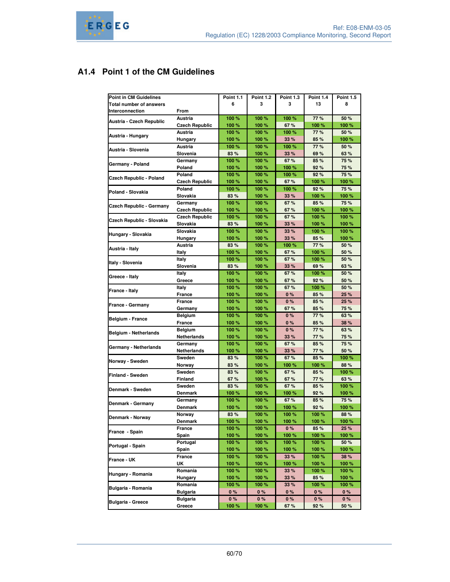# **A1.4 Point 1 of the CM Guidelines**

| <b>Point in CM Guidelines</b>   |                       | <b>Point 1.1</b> | <b>Point 1.2</b> | <b>Point 1.3</b> | <b>Point 1.4</b> | <b>Point 1.5</b> |
|---------------------------------|-----------------------|------------------|------------------|------------------|------------------|------------------|
| <b>Total number of answers</b>  |                       | 6                | 3                | 3                | 13               | 8                |
| Interconnection                 | From                  |                  |                  |                  |                  |                  |
|                                 | Austria               | 100 %            | 100 %            | 100 %            | 77 %             | 50 %             |
| Austria - Czech Republic        | <b>Czech Republic</b> | 100 %            | 100 %            | 67 %             | 100 %            | 100%             |
|                                 | Austria               | 100 %            | 100 %            | 100 %            | 77 %             | 50 %             |
| Austria - Hungary               | Hungary               | 100 %            | 100 %            | 33 %             | 85 %             | 100%             |
|                                 | Austria               | 100 %            | 100 %            | 100 %            | 77 %             | 50 %             |
| Austria - Slovenia              | Slovenia              | 83 %             | 100 %            | 33 %             | 69 %             | 63 %             |
|                                 | Germany               | 100 %            | 100 %            | 67 %             | 85 %             | 75 %             |
| Germany - Poland                | Poland                | 100 %            | 100 %            | 100 %            | 92%              | 75 %             |
|                                 | Poland                | 100 %            | 100 %            | 100 %            | 92%              | 75 %             |
| <b>Czech Republic - Poland</b>  | <b>Czech Republic</b> | 100 %            | 100 %            | 67%              | 100 %            | 100%             |
|                                 | Poland                | 100 %            | 100%             | 100 %            | 92%              | 75 %             |
| Poland - Slovakia               | Slovakia              | 83 %             | 100 %            | 33 %             | 100 %            | 100%             |
|                                 | Germany               | 100 %            | 100 %            | 67 %             | 85 %             | 75 %             |
| <b>Czech Republic - Germany</b> | <b>Czech Republic</b> | 100 %            | 100 %            | 67%              | 100 %            | 100%             |
|                                 | <b>Czech Republic</b> | 100 %            | 100 %            | 67 %             | 100 %            | 100 %            |
| Czech Republic - Slovakia       | Slovakia              | 83 %             | 100 %            | 33 %             | 100 %            | 100 %            |
|                                 | Slovakia              | 100 %            | 100 %            | 33 %             | 100 %            | 100%             |
| Hungary - Slovakia              |                       | 100 %            | 100 %            | 33 %             | 85 %             | 100 %            |
|                                 | Hungary               | 83%              | 100 %            | 100 %            | 77 %             | 50 %             |
| Austria - Italy                 | Austria               |                  |                  |                  |                  |                  |
|                                 | Italy                 | 100 %            | 100 %            | 67%              | 100 %            | 50 %             |
| Italy - Slovenia                | Italy                 | 100 %            | 100 %            | 67%              | 100 %            | 50 %             |
|                                 | Slovenia              | 83 %             | 100 %            | 33 %             | 69%              | 63 %             |
| Greece - Italy                  | Italy                 | 100 %            | 100 %            | 67%              | 100 %            | 50 %             |
|                                 | Greece                | 100 %            | 100 %            | 67%              | 92%              | 50 %             |
| France - Italy                  | Italy                 | 100 %            | 100 %            | 67%              | 100 %            | 50 %             |
|                                 | France                | 100 %            | 100 %            | 0%               | 85 %             | 25 %             |
| France - Germany                | France                | 100 %            | 100 %            | 0%               | 85 %             | 25 %             |
|                                 | Germany               | 100 %            | 100 %            | 67 %             | 85 %             | 75 %             |
| <b>Belgium - France</b>         | Belgium               | 100 %            | 100 %            | 0%               | 77 %             | 63 %             |
|                                 | France                | 100 %            | 100 %            | 0%               | 85 %             | 38 %             |
| <b>Belgium - Netherlands</b>    | Belgium               | 100 %            | 100 %            | 0%               | 77 %             | 63 %             |
|                                 | Netherlands           | 100 %            | 100 %            | 33 %             | 77 %             | 75 %             |
|                                 | Germany               | 100 %            | 100 %            | 67 %             | 85 %             | 75 %             |
| Germany - Netherlands           | Netherlands           | 100 %            | 100 %            | 33 %             | 77 %             | 50 %             |
|                                 | Sweden                | 83 %             | 100 %            | 67 %             | 85 %             | 100 %            |
| Norway - Sweden                 | Norway                | 83%              | 100 %            | 100 %            | 100 %            | 88 %             |
|                                 | Sweden                | 83%              | 100 %            | 67%              | 85 %             | 100%             |
| <b>Finland - Sweden</b>         | Finland               | 67%              | 100 %            | 67%              | 77 %             | 63 %             |
|                                 | Sweden                | 83%              | 100 %            | 67 %             | 85 %             | 100%             |
| Denmark - Sweden                | Denmark               | 100 %            | 100 %            | 100 %            | 92%              | 100 %            |
|                                 | Germany               | 100 %            | 100 %            | 67%              | 85 %             | 75 %             |
| Denmark - Germany               | Denmark               | 100 %            | 100 %            | 100 %            | 92%              | 100%             |
|                                 | Norway                | 83 %             | 100 %            | 100 %            | 100 %            | 88 %             |
| Denmark - Norway                | Denmark               | 100 %            | 100 %            | 100 %            | 100 %            | 100%             |
|                                 |                       |                  |                  |                  |                  |                  |
| France - Spain                  | France                | 100 %            | 100 %            | $0\%$            | 85 %<br>100 %    | 25 %<br>100%     |
|                                 | Spain                 | 100 %            | 100 %            | 100 %            |                  |                  |
| Portugal - Spain                | Portugal              | 100 %            | 100 %            | 100 %            | 100 %            | 50 %             |
|                                 | Spain                 | 100 %            | 100 %            | 100 %            | 100 %            | 100%             |
| France - UK                     | France                | 100 %            | 100 %            | 33 %             | 100 %            | 38 %             |
|                                 | UK                    | 100 %            | 100 %            | 100 %            | 100 %            | 100 %            |
| Hungary - Romania               | Romania               | 100 %            | 100 %            | 33 %             | 100 %            | 100 %            |
|                                 | Hungary               | 100 %            | 100 %            | 33 %             | 85 %             | 100%             |
| Bulgaria - Romania              | Romania               | 100 %            | 100 %            | 33 %             | 100 %            | 100 %            |
|                                 | <b>Bulgaria</b>       | $0\%$            | 0 %              | $0\%$            | 0%               | 0%               |
| <b>Bulgaria - Greece</b>        | <b>Bulgaria</b>       | 0%               | 0%               | 0%               | 0%               | 0%               |
|                                 | Greece                | 100 %            | 100 %            | 67%              | 92 %             | 50 %             |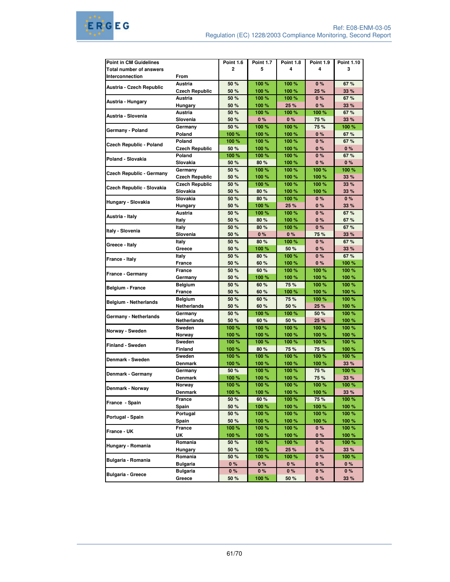| <b>Point in CM Guidelines</b>   |                       | <b>Point 1.6</b> | <b>Point 1.7</b> | <b>Point 1.8</b> | <b>Point 1.9</b> | <b>Point 1.10</b> |
|---------------------------------|-----------------------|------------------|------------------|------------------|------------------|-------------------|
| <b>Total number of answers</b>  |                       | $\overline{2}$   | 5                | 4                | 4                | 3                 |
| Interconnection                 | From                  |                  |                  |                  |                  |                   |
|                                 | <b>Austria</b>        | 50 %             | 100 %            | 100%             | 0%               | 67%               |
| Austria - Czech Republic        | <b>Czech Republic</b> | 50 %             | 100 %            | 100 %            | 25 %             | 33 %              |
|                                 | Austria               | 50 %             | 100 %            | 100 %            | 0%               | 67%               |
| Austria - Hungary               |                       |                  |                  |                  |                  |                   |
|                                 | Hungary               | 50 %             | 100 %            | 25 %             | 0%               | 33 %              |
| Austria - Slovenia              | Austria               | 50 %             | 100 %            | 100%             | 100%             | 67%               |
|                                 | Slovenia              | 50 %             | 0%               | 0%               | 75 %             | 33 %              |
| Germany - Poland                | Germany               | 50 %             | 100 %            | 100 %            | 75 %             | 100 %             |
|                                 | Poland                | 100 %            | 100 %            | 100 %            | 0%               | 67%               |
| Czech Republic - Poland         | Poland                | 100 %            | 100 %            | 100 %            | 0%               | 67%               |
|                                 | <b>Czech Republic</b> | 50 %             | 100 %            | 100 %            | 0%               | 0%                |
| Poland - Slovakia               | Poland                | 100 %            | 100 %            | 100 %            | 0%               | 67%               |
|                                 | Slovakia              | 50 %             | 80%              | 100 %            | 0%               | 0%                |
|                                 | Germany               | 50 %             | 100 %            | 100%             | 100%             | 100 %             |
| <b>Czech Republic - Germany</b> | <b>Czech Republic</b> | 50 %             | 100 %            | 100 %            | 100 %            | 33%               |
|                                 | <b>Czech Republic</b> | 50 %             | 100 %            | 100 %            | 100 %            | 33 %              |
| Czech Republic - Slovakia       | Slovakia              | 50 %             |                  | 100 %            | 100 %            | 33 %              |
|                                 | Slovakia              |                  | 80 %             |                  |                  | 0%                |
| Hungary - Slovakia              |                       | 50 %             | 80 %             | 100 %            | 0%               |                   |
|                                 | Hungary               | 50 %             | 100 %            | 25 %             | 0%               | 33 %              |
| Austria - Italy                 | Austria               | 50 %             | 100 %            | 100 %            | 0%               | 67%               |
|                                 | Italy                 | 50 %             | 80 %             | 100 %            | 0%               | 67%               |
| Italy - Slovenia                | Italy                 | 50 %             | 80%              | 100%             | 0%               | 67 %              |
|                                 | Slovenia              | 50 %             | 0%               | 0%               | 75 %             | 33 %              |
| Greece - Italy                  | Italy                 | 50 %             | 80%              | 100 %            | 0%               | 67%               |
|                                 | Greece                | 50 %             | 100 %            | 50 %             | 0%               | 33 %              |
| France - Italy                  | Italy                 | 50 %             | 80%              | 100 %            | 0%               | 67%               |
|                                 | <b>France</b>         | 50 %             | 60 %             | 100 %            | 0%               | 100 %             |
| France - Germany                | France                | 50 %             | 60%              | 100 %            | 100%             | 100 %             |
|                                 | Germany               | 50 %             | 100 %            | 100 %            | 100 %            | 100 %             |
|                                 |                       | 50 %             | 60%              | 75 %             | 100 %            | 100 %             |
| Belgium - France                | <b>Belgium</b>        |                  |                  |                  |                  |                   |
|                                 | France                | 50 %             | 60 %             | 100 %            | 100 %            | 100 %             |
| Belgium - Netherlands           | <b>Belgium</b>        | 50 %             | 60%              | 75%              | 100%             | 100 %             |
|                                 | Netherlands           | 50 %             | 60%              | 50 %             | 25 %             | 100 %             |
| Germany - Netherlands           | Germany               | 50 %             | 100 %            | 100 %            | 50 %             | 100 %             |
|                                 | Netherlands           | 50 %             | 60 %             | 50 %             | 25 %             | 100 %             |
|                                 | Sweden                | 100 %            | 100 %            | 100 %            | 100%             | 100 %             |
| Norway - Sweden                 | Norway                | 100 %            | 100 %            | 100 %            | 100 %            | 100 %             |
|                                 | Sweden                | 100 %            | 100 %            | 100 %            | 100%             | 100 %             |
| Finland - Sweden                | <b>Finland</b>        | 100 %            | 80%              | 75%              | 75 %             | 100 %             |
|                                 | Sweden                | 100 %            | 100 %            | 100 %            | 100 %            | 100 %             |
| Denmark - Sweden                | Denmark               | 100 %            | 100 %            | 100 %            | 100 %            | 33 %              |
|                                 | Germany               | 50 %             | 100 %            | 100 %            | 75 %             | 100 %             |
| Denmark - Germany               |                       |                  |                  |                  |                  |                   |
|                                 | Denmark               | 100 %            | 100 %            | 100 %            | 75 %             | 33 %              |
| Denmark - Norway                | Norway                | 100 %            | 100 %            | 100 %            | 100 %            | 100 %             |
|                                 | Denmark               | 100 %            | 100 %            | 100 %            | 100 %            | 33 %              |
| France - Spain                  | France                | 50 %             | 60 %             | 100 %            | 75 %             | 100 %             |
|                                 | Spain                 | 50 %             | 100 %            | 100 %            | 100 %            | 100 %             |
| Portugal - Spain                | Portugal              | 50 %             | 100 %            | 100 %            | 100 %            | 100 %             |
|                                 | Spain                 | 50 %             | 100 %            | 100 %            | 100 %            | 100 %             |
|                                 | France                | 100 %            | 100 %            | 100 %            | 0 %              | 100 %             |
| France - UK                     | UK                    | 100 %            | 100 %            | 100 %            | 0%               | 100 %             |
|                                 | Romania               | 50 %             | 100 %            | 100 %            | 0%               | 100 %             |
| Hungary - Romania               | Hungary               | 50 %             | 100 %            | 25 %             | 0%               | 33 %              |
|                                 |                       |                  |                  |                  |                  |                   |
| Bulgaria - Romania              | Romania               | 50 %             | 100 %            | 100 %            | 0%               | 100 %             |
|                                 | <b>Bulgaria</b>       | $0\%$            | $0\%$            | 0%               | 0%               | 0%                |
| <b>Bulgaria - Greece</b>        | <b>Bulgaria</b>       | 0%               | 0%               | 0%               | 0%               | 0%                |
|                                 | Greece                | 50 %             | 100 %            | 50 %             | 0%               | 33 %              |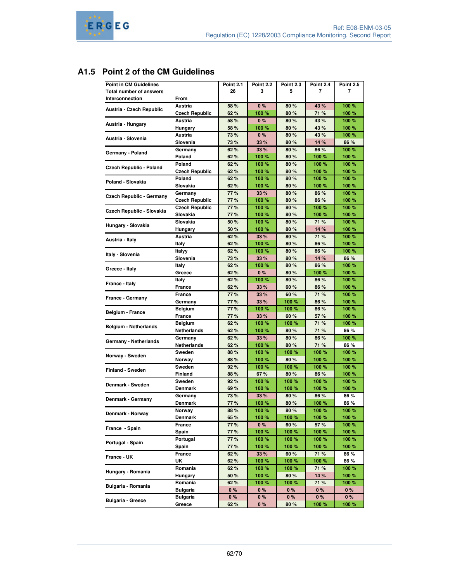# **A1.5 Point 2 of the CM Guidelines**

| <b>Point in CM Guidelines</b>   |                       | <b>Point 2.1</b> | <b>Point 2.2</b> | <b>Point 2.3</b> | Point 2.4 | <b>Point 2.5</b> |
|---------------------------------|-----------------------|------------------|------------------|------------------|-----------|------------------|
| <b>Total number of answers</b>  |                       | 26               | 3                | 5                | 7         | 7                |
| Interconnection                 | From                  |                  |                  |                  |           |                  |
|                                 | Austria               | 58 %             | 0%               | 80 %             | 43 %      | 100 %            |
| Austria - Czech Republic        |                       |                  |                  |                  |           |                  |
|                                 | <b>Czech Republic</b> | 62%              | 100 %            | 80%              | 71 %      | 100 %            |
| Austria - Hungary               | Austria               | 58 %             | 0%               | 80%              | 43 %      | 100%             |
|                                 | Hungary               | 58 %             | 100 %            | 80 %             | 43 %      | 100 %            |
| Austria - Slovenia              | Austria               | 73%              | 0%               | 80%              | 43 %      | 100 %            |
|                                 | Slovenia              | 73%              | 33 %             | 80%              | 14 %      | 86 %             |
|                                 | Germany               | 62%              | 33 %             | 80%              | 86 %      | 100 %            |
| Germany - Poland                | Poland                | 62%              | 100 %            | 80%              | 100 %     | 100%             |
|                                 | Poland                | 62%              | 100 %            | 80%              | 100 %     | 100 %            |
| <b>Czech Republic - Poland</b>  | <b>Czech Republic</b> | 62%              | 100 %            | 80%              | 100 %     | 100 %            |
|                                 | Poland                | 62%              | 100 %            | 80 %             | 100 %     | 100 %            |
| Poland - Slovakia               | Slovakia              | 62%              | 100 %            | 80%              | 100 %     | 100 %            |
|                                 | Germany               | 77%              | 33 %             | 80%              | 86 %      | 100 %            |
| <b>Czech Republic - Germany</b> |                       |                  |                  |                  |           |                  |
|                                 | <b>Czech Republic</b> | 77%              | 100 %            | 80%              | 86 %      | 100 %            |
| Czech Republic - Slovakia       | <b>Czech Republic</b> | 77%              | 100 %            | 80%              | 100 %     | 100 %            |
|                                 | Slovakia              | 77%              | 100 %            | 80 %             | 100 %     | 100 %            |
| Hungary - Slovakia              | Slovakia              | 50 %             | 100 %            | 80%              | 71 %      | 100 %            |
|                                 | Hungary               | 50 %             | 100 %            | 80 %             | 14 %      | 100 %            |
|                                 | Austria               | 62%              | 33 %             | 80%              | 71 %      | 100%             |
| Austria - Italy                 | Italy                 | 62%              | 100 %            | 80%              | 86 %      | 100 %            |
|                                 | Italyy                | 62%              | 100 %            | 80%              | 86 %      | 100 %            |
| Italy - Slovenia                | Slovenia              | 73%              | 33 %             | 80%              | 14 %      | 86 %             |
|                                 | Italy                 | 62%              | 100 %            | 80%              | 86 %      | 100 %            |
| Greece - Italy                  | Greece                | 62%              | 0%               | 80%              | 100 %     | 100 %            |
| France - Italy                  |                       | 62%              | 100 %            | 80 %             | 86 %      | 100 %            |
|                                 | Italy                 |                  |                  |                  |           |                  |
|                                 | <b>France</b>         | 62%              | 33 %             | 60 %             | 86 %      | 100 %            |
| France - Germany                | France                | 77%              | 33 %             | 60%              | 71 %      | 100 %            |
|                                 | Germany               | 77%              | 33 %             | 100 %            | 86 %      | 100 %            |
| Belgium - France                | Belgium               | 77%              | 100 %            | 100 %            | 86 %      | 100 %            |
|                                 | <b>France</b>         | 77%              | 33 %             | 60 %             | 57 %      | 100 %            |
| <b>Belgium - Netherlands</b>    | <b>Belgium</b>        | 62%              | 100 %            | 100 %            | 71 %      | 100 %            |
|                                 | Netherlands           | 62%              | 100 %            | 80 %             | 71 %      | 86 %             |
|                                 | Germany               | 62%              | 33%              | 80%              | 86 %      | 100 %            |
| <b>Germany - Netherlands</b>    | Netherlands           | 62%              | 100 %            | 80 %             | 71 %      | 86 %             |
|                                 | Sweden                | 88%              | 100 %            | 100 %            | 100 %     | 100 %            |
| Norway - Sweden                 | Norway                | 88%              | 100 %            | 80 %             | 100 %     | 100 %            |
|                                 | Sweden                | 92%              | 100 %            | 100 %            | 100 %     | 100 %            |
| <b>Finland - Sweden</b>         |                       |                  |                  |                  |           |                  |
|                                 | Finland               | 88%              | 67%              | 80%              | 86 %      | 100 %            |
| Denmark - Sweden                | Sweden                | 92%              | 100 %            | 100 %            | 100 %     | 100 %            |
|                                 | Denmark               | 69%              | 100 %            | 100 %            | 100 %     | 100 %            |
| Denmark - Germany               | Germany               | 73%              | 33 %             | 80%              | 86 %      | 86 %             |
|                                 | <b>Denmark</b>        | 77%              | 100 %            | 80%              | 100 %     | 86 %             |
| Denmark - Norway                | Norway                | 88%              | 100 %            | 80%              | 100 %     | 100 %            |
|                                 | <b>Denmark</b>        | 65 %             | 100 %            | 100 %            | 100 %     | 100 %            |
|                                 | France                | 77%              | 0%               | 60 %             | 57 %      | 100 %            |
| France - Spain                  | Spain                 | 77%              | 100 %            | 100 %            | 100 %     | 100 %            |
|                                 | Portugal              | 77%              | 100 %            | 100 %            | 100 %     | 100 %            |
| Portugal - Spain                | Spain                 | 77%              | 100 %            | 100 %            | 100 %     | 100 %            |
|                                 |                       |                  |                  | 60 %             |           |                  |
| France - UK                     | France                | 62%              | 33 %             |                  | 71 %      | 86 %             |
|                                 | UK                    | 62%              | 100 %            | 100 %            | 100 %     | 86 %             |
| Hungary - Romania               | Romania               | 62 %             | 100 %            | 100 %            | 71 %      | 100 %            |
|                                 | Hungary               | 50 %             | 100 %            | 80 %             | 14 %      | 100 %            |
| Bulgaria - Romania              | Romania               | 62%              | 100 %            | 100 %            | 71 %      | 100 %            |
|                                 | Bulgaria              | $0\%$            | 0%               | 0%               | 0%        | $0\%$            |
|                                 | <b>Bulgaria</b>       | 0%               | $0\%$            | 0%               | 0%        | 0%               |
| Bulgaria - Greece               | Greece                | 62 %             | 0%               | 80%              | 100 %     | 100 %            |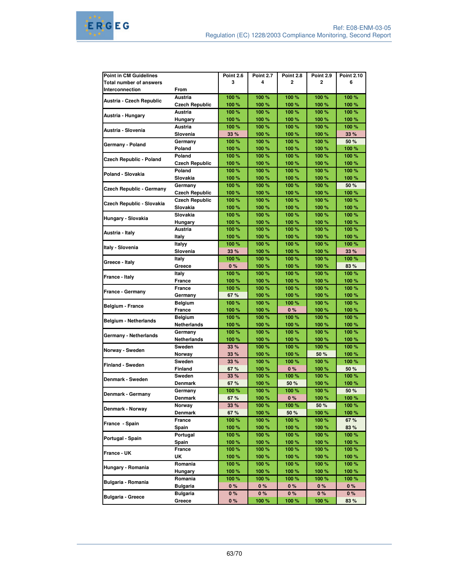| <b>Point in CM Guidelines</b> |                          | <b>Point 2.6</b> | <b>Point 2.7</b> | <b>Point 2.8</b> | <b>Point 2.9</b> | <b>Point 2.10</b> |
|-------------------------------|--------------------------|------------------|------------------|------------------|------------------|-------------------|
| Total number of answers       |                          | 3                | 4                | $\mathbf{2}$     | 2                | 6                 |
| Interconnection               | From                     |                  |                  |                  |                  |                   |
|                               | Austria                  | 100 %            | 100 %            | 100 %            | 100 %            | 100 %             |
| Austria - Czech Republic      | <b>Czech Republic</b>    | 100 %            | 100 %            | 100 %            | 100 %            | 100 %             |
|                               | Austria                  | 100 %            | 100 %            | 100 %            | 100 %            | 100 %             |
| Austria - Hungary             | Hungary                  | 100 %            | 100 %            | 100 %            | 100 %            | 100 %             |
|                               | Austria                  | 100 %            | 100 %            | 100 %            | 100 %            | 100 %             |
| Austria - Slovenia            | Slovenia                 | 33 %             | 100 %            | 100 %            | 100 %            | 33 %              |
|                               | Germany                  | 100 %            | 100 %            | 100 %            | 100 %            | 50 %              |
| Germany - Poland              | Poland                   | 100 %            | 100 %            | 100 %            | 100 %            | 100 %             |
|                               | Poland                   | 100 %            | 100 %            | 100 %            | 100 %            | 100 %             |
| Czech Republic - Poland       | <b>Czech Republic</b>    | 100 %            | 100 %            | 100 %            | 100 %            | 100 %             |
|                               | Poland                   | 100 %            | 100 %            | 100 %            | 100 %            | 100 %             |
| Poland - Slovakia             | Slovakia                 | 100 %            | 100 %            | 100 %            | 100 %            | 100 %             |
|                               | Germany                  | 100 %            | 100 %            | 100 %            | 100 %            | 50 %              |
| Czech Republic - Germany      | <b>Czech Republic</b>    | 100 %            | 100 %            | 100 %            | 100 %            | 100 %             |
|                               | <b>Czech Republic</b>    | 100 %            | 100 %            | 100 %            | 100 %            | 100 %             |
| Czech Republic - Slovakia     | Slovakia                 | 100 %            | 100 %            | 100 %            | 100 %            | 100 %             |
|                               | Slovakia                 | 100 %            | 100 %            | 100 %            | 100 %            | 100 %             |
| Hungary - Slovakia            | Hungary                  | 100 %            | 100 %            | 100 %            | 100 %            | 100 %             |
|                               | Austria                  | 100 %            | 100 %            | 100 %            | 100 %            | 100 %             |
| Austria - Italy               | Italy                    | 100 %            | 100 %            | 100 %            | 100 %            | 100 %             |
|                               | Italyy                   | 100 %            | 100 %            | 100 %            | 100 %            | 100 %             |
| Italy - Slovenia              | Slovenia                 | 33 %             | 100 %            | 100 %            | 100 %            | 33 %              |
|                               | Italy                    | 100 %            | 100 %            | 100 %            | 100 %            | 100 %             |
| Greece - Italy                | Greece                   | 0%               | 100 %            | 100 %            | 100 %            | 83 %              |
| France - Italy                | Italy                    | 100 %            | 100 %            | 100 %            | 100 %            | 100 %             |
|                               | France                   | 100 %            | 100 %            | 100 %            | 100%             | 100 %             |
| <b>France - Germany</b>       | France                   | 100 %            | 100 %            | 100 %            | 100 %            | 100 %             |
|                               | Germany                  | 67 %             | 100 %            | 100 %            | 100 %            | 100 %             |
|                               | <b>Belgium</b>           | 100 %            | 100 %            | 100 %            | 100 %            | 100 %             |
| Belgium - France              | France                   | 100 %            | 100 %            | 0%               | 100 %            | 100 %             |
|                               | <b>Belgium</b>           | 100 %            | 100 %            | 100 %            | 100 %            | 100 %             |
| <b>Belgium - Netherlands</b>  | <b>Netherlands</b>       | 100 %            | 100 %            | 100 %            | 100 %            | 100 %             |
|                               |                          | 100 %            | 100 %            | 100 %            | 100 %            | 100 %             |
| Germany - Netherlands         | Germany<br>Netherlands   | 100 %            | 100 %            | 100 %            | 100 %            | 100 %             |
|                               | Sweden                   | 33 %             | 100 %            | 100 %            | 100 %            | 100 %             |
| Norway - Sweden               |                          |                  |                  | 100 %            | 50 %             |                   |
|                               | Norway                   | 33 %             | 100 %            |                  | 100 %            | 100 %             |
| <b>Finland - Sweden</b>       | Sweden                   | 33 %             | 100 %            | 100 %            |                  | 100 %             |
|                               | <b>Finland</b><br>Sweden | 67%              | 100 %            | 0%               | 100 %            | 50 %<br>100 %     |
| Denmark - Sweden              |                          | 33 %             | 100 %            | 100 %            | 100 %            |                   |
|                               | <b>Denmark</b>           | 67 %             | 100 %            | 50 %             | 100 %            | 100 %             |
| Denmark - Germany             | Germany                  | 100 %            | 100 %            | 100 %            | 100 %            | 50 %              |
|                               | Denmark                  | 67%              | 100 %            | 0%               | 100 %            | 100 %             |
| Denmark - Norway              | Norway                   | 33 %             | 100 %            | 100 %            | 50 %             | 100 %             |
|                               | <b>Denmark</b>           | 67 %             | 100 %            | 50 %             | 100 %            | 100 %             |
| France - Spain                | France                   | 100 %            | 100 %            | 100 %            | 100 %            | 67 %              |
|                               | Spain                    | 100 %            | 100 %            | 100 %            | 100 %            | 83 %              |
| Portugal - Spain              | Portugal                 | 100 %            | 100 %            | 100 %            | 100 %            | 100 %             |
|                               | Spain                    | 100 %            | 100 %            | 100 %            | 100 %            | 100 %             |
| France - UK                   | France                   | 100 %            | 100 %            | 100 %            | 100 %            | 100 %             |
|                               | UK                       | 100 %            | 100 %            | 100 %            | 100 %            | 100 %             |
| Hungary - Romania             | Romania                  | 100 %            | 100 %            | 100 %            | 100 %            | 100 %             |
|                               | Hungary                  | 100 %            | 100 %            | 100 %            | 100 %            | 100 %             |
| Bulgaria - Romania            | Romania                  | 100 %            | 100 %            | 100 %            | 100 %            | 100 %             |
|                               | Bulgaria                 | $0\%$            | $0\%$            | $0\%$            | $0\%$            | $0\%$             |
|                               | <b>Bulgaria</b>          | 0%               | 0%               | 0%               | 0%               | 0%                |
| <b>Bulgaria - Greece</b>      | Greece                   | 0%               | 100 %            | 100 %            | 100 %            | 83 %              |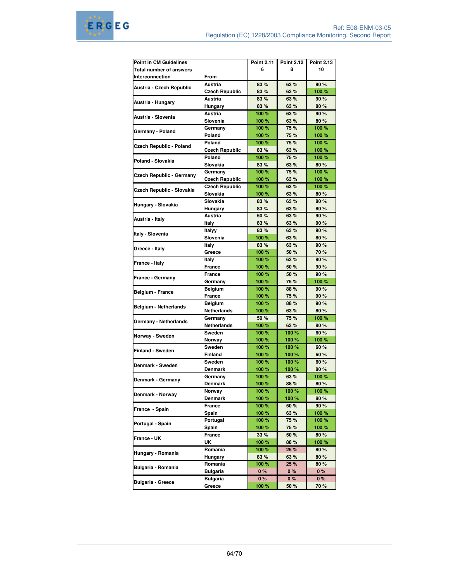| <b>Point in CM Guidelines</b>  |                       | <b>Point 2.11</b> | <b>Point 2.12</b> | <b>Point 2.13</b> |
|--------------------------------|-----------------------|-------------------|-------------------|-------------------|
| <b>Total number of answers</b> |                       | 6                 | 8                 | 10                |
| Interconnection                | From                  |                   |                   |                   |
|                                |                       |                   |                   |                   |
| Austria - Czech Republic       | Austria               | 83 %              | 63 %              | 90%               |
|                                | <b>Czech Republic</b> | 83 %              | 63 %              | 100 %             |
| Austria - Hungary              | Austria               | 83 %              | 63 %              | 90%               |
|                                | Hungary               | 83 %              | 63 %              | 80%               |
| Austria - Slovenia             | Austria               | 100%              | 63 %              | 90%               |
|                                | Slovenia              | 100 %             | 63 %              | 80%               |
|                                | Germany               | 100 %             | 75 %              | 100 %             |
| Germany - Poland               | Poland                | 100 %             | 75 %              | 100 %             |
|                                | Poland                | 100 %             | 75 %              | 100 %             |
| <b>Czech Republic - Poland</b> | <b>Czech Republic</b> | 83 %              | 63 %              | 100 %             |
|                                | Poland                | 100%              | 75 %              | 100 %             |
| Poland - Slovakia              | Slovakia              | 83 %              | 63 %              | 80 %              |
|                                |                       |                   |                   |                   |
| Czech Republic - Germany       | Germany               | 100 %             | 75 %              | 100 %             |
|                                | <b>Czech Republic</b> | 100 %             | 63 %              | 100 %             |
| Czech Republic - Slovakia      | <b>Czech Republic</b> | 100%              | 63 %              | 100 %             |
|                                | Slovakia              | 100 %             | 63 %              | 80 %              |
|                                | Slovakia              | 83 %              | 63 %              | 80 %              |
| Hungary - Slovakia             | <b>Hungary</b>        | 83 %              | 63 %              | 80%               |
|                                | Austria               | 50 %              | 63 %              | 90 %              |
| Austria - Italy                | Italy                 | 83 %              | 63 %              | 90 %              |
|                                |                       |                   | 63 %              | 90%               |
| Italy - Slovenia               | Italyy                | 83 %              |                   |                   |
|                                | Slovenia              | 100 %             | 63 %              | 80%               |
| Greece - Italy                 | Italy                 | 83 %              | 63 %              | 90%               |
|                                | Greece                | 100 %             | 50 %              | 70 %              |
| France - Italy                 | Italy                 | 100 %             | 63 %              | 90%               |
|                                | <b>France</b>         | 100 %             | 50 %              | 90 %              |
|                                | France                | 100 %             | 50 %              | 90 %              |
| France - Germany               | Germany               | 100 %             | 75 %              | 100 %             |
|                                | <b>Belgium</b>        | 100%              | 88 %              | 90 %              |
| Belgium - France               | France                | 100 %             | 75 %              | 90 %              |
|                                |                       | 100%              | 88 %              | 90%               |
| <b>Belgium - Netherlands</b>   | <b>Belgium</b>        |                   |                   |                   |
|                                | <b>Netherlands</b>    | 100 %             | 63 %              | 80 %              |
| Germany - Netherlands          | Germany               | 50 %              | 75 %              | 100 %             |
|                                | Netherlands           | 100 %             | 63 %              | 80 %              |
| Norway - Sweden                | Sweden                | 100 %             | 100 %             | 60 %              |
|                                | Norway                | 100 %             | 100 %             | 100 %             |
| <b>Finland - Sweden</b>        | Sweden                | 100 %             | 100%              | 60%               |
|                                | Finland               | 100 %             | 100 %             | 60 %              |
|                                | Sweden                | 100 %             | 100 %             | 60%               |
| Denmark - Sweden               | <b>Denmark</b>        | 100 %             | 100%              | 80%               |
|                                | Germany               | 100 %             | 63 %              | 100 %             |
| Denmark - Germany              | <b>Denmark</b>        | 100 %             | 88 %              | 80%               |
|                                |                       |                   |                   |                   |
| Denmark - Norway               | Norway                | 100 %             | 100 %             | 100 %             |
|                                | Denmark               | 100 %             | 100 %             | 80 %              |
| France - Spain                 | France                | 100 %             | 50 %              | 90 %              |
|                                | Spain                 | 100 %             | 63 %              | 100 %             |
| Portugal - Spain               | Portugal              | 100 %             | 75 %              | 100 %             |
|                                | Spain                 | 100 %             | 75 %              | 100 %             |
|                                | France                | 33 %              | 50 %              | 80 %              |
| France - UK                    | UK                    | 100 %             | 88 %              | 100 %             |
|                                | Romania               | 100 %             | 25 %              | 80 %              |
| Hungary - Romania              |                       |                   |                   | 80 %              |
|                                | Hungary               | 83 %              | 63 %              |                   |
| Bulgaria - Romania             | Romania               | 100 %             | 25 %              | 80 %              |
|                                | <b>Bulgaria</b>       | 0 %               | 0%                | $0\%$             |
| <b>Bulgaria - Greece</b>       | <b>Bulgaria</b>       | $0\%$             | 0%                | 0%                |
|                                | Greece                | 100 %             | 50 %              | 70 %              |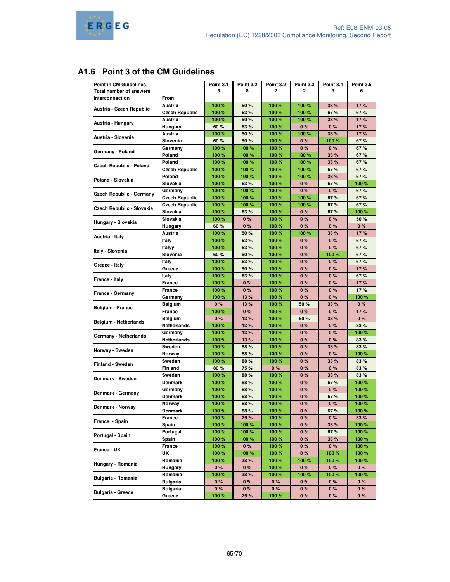# **A1.6 Point 3 of the CM Guidelines**

| Point in CM Guidelines         |                       | Point 3.1      | <b>Point 3.2</b> | <b>Point 3.2</b> | <b>Point 3.3</b> | Point 3.4 | <b>Point 3.5</b> |
|--------------------------------|-----------------------|----------------|------------------|------------------|------------------|-----------|------------------|
| <b>Total number of answers</b> |                       | 5              | 8                | 2                | $\overline{2}$   | 3         | 6                |
| Interconnection                | From                  |                |                  |                  |                  |           |                  |
|                                | Austria               | 100 %          | 50 %             | 100 %            | 100%             | 33 %      | 17%              |
| Austria - Czech Republic       | <b>Czech Republic</b> | 100 %          | 63%              | 100 %            | 100%             | 67%       | 67%              |
|                                | Austria               | 100 %          | 50 %             | 100 %            | 100 %            | 33 %      | 17%              |
| Austria - Hungary              |                       |                |                  |                  |                  |           |                  |
|                                | Hungary               | 60 %           | 63%              | 100 %            | 0%               | 0%        | 17%              |
| Austria - Slovenia             | Austria               | 100 %          | 50 %             | 100 %            | 100%             | 33 %      | 17%              |
|                                | Slovenia              | 60 %           | 50 %             | 100 %            | $0\%$            | 100 %     | 67%              |
| Germany - Poland               | Germany               | 100 %          | 100 %            | 100 %            | 0%               | 0%        | 67 %             |
|                                | Poland                | 100 %          | 100 %            | 100 %            | 100 %            | 33 %      | 67%              |
| Czech Republic - Poland        | Poland                | 100 %          | 100 %            | 100 %            | 100%             | 33 %      | 67%              |
|                                | <b>Czech Republic</b> | 100 %          | 100 %            | 100%             | 100%             | 67%       | 67%              |
| Poland - Slovakia              | Poland                | 100 %          | 100 %            | 100 %            | 100 %            | 33%       | 67 %             |
|                                | Slovakia              | 100 %          | 63%              | 100 %            | 0%               | 67%       | 100 %            |
|                                | Germany               | 100 %          | 100 %            | 100 %            | 0%               | 0%        | 67%              |
| Czech Republic - Germany       | <b>Czech Republic</b> | 100 %          | 100 %            | 100 %            | 100 %            | 67%       | 67%              |
|                                | <b>Czech Republic</b> | 100 %          | 100 %            | 100 %            | 100%             | 67%       | 67%              |
| Czech Republic - Slovakia      | Slovakia              | 100 %          | 63 %             | 100 %            | $0\%$            | 67%       | 100 %            |
|                                | Slovakia              | 100 %          | 0%               | 100 %            | 0%               | 0%        | 50 %             |
| Hungary - Slovakia             | Hungary               | 60 %           | 0%               | 100 %            | 0%               | 0%        | $0\%$            |
|                                | Austria               | 100%           | 50 %             | 100 %            | 100%             | 33 %      | 17%              |
| Austria - Italy                |                       |                |                  |                  |                  |           |                  |
|                                | Italy                 | 100 %          | 63%              | 100 %            | 0%               | 0%        | 67%              |
| Italy - Slovenia               | Italyy                | 100 %          | 63 %             | 100 %            | $0\%$            | 0%        | 67%              |
|                                | Slovenia              | 60 %           | 50 %             | 100 %            | 0%               | 100%      | 67%              |
| Greece - Italy                 | <b>Italy</b>          | 100 %          | 63 %             | 100 %            | 0%               | 0%        | 67%              |
|                                | Greece                | 100 %          | 50 %             | 100 %            | 0%               | 0%        | 17%              |
| France - Italy                 | Italy                 | 100 %          | 63 %             | 100%             | $0\%$            | $0\%$     | 67%              |
|                                | France                | 100 %          | 0%               | 100 %            | 0%               | 0%        | 17%              |
| France - Germany               | France                | 100 %          | 0%               | 100 %            | 0%               | 0%        | 17%              |
|                                | Germany               | 100 %          | 13%              | 100 %            | 0%               | 0%        | 100 %            |
|                                | Belgium               | 0%             | 13%              | 100 %            | 50 %             | 33 %      | $0\%$            |
| <b>Belgium - France</b>        | France                | 100 %          | 0%               | 100 %            | 0%               | 0%        | 17%              |
|                                | <b>Belgium</b>        | 0%             | 13%              | 100 %            | 50 %             | 33 %      | $0\%$            |
| Belgium - Netherlands          | Netherlands           | 100 %          | 13%              | 100 %            | 0%               | 0%        | 83%              |
|                                | Germany               | 100 %          | 13%              | 100 %            | 0%               | 0%        | 100 %            |
| Germany - Netherlands          | Netherlands           | 100 %          | 13 %             | 100 %            | 0%               | 0%        | 83 %             |
|                                | Sweden                | 100 %          | 88%              | 100 %            | 0%               | 33 %      | 83%              |
| Norway - Sweden                |                       |                |                  |                  |                  |           |                  |
|                                | Norway                | 100 %<br>100 % | 88%              | 100 %            | 0%               | 0%        | 100 %<br>83%     |
| Finland - Sweden               | Sweden                |                | 88 %             | 100 %            | 0%               | 33 %      |                  |
|                                | Finland               | 80 %           | 75 %             | 0%               | 0%               | 0%        | 83 %             |
| Denmark - Sweden               | Sweden                | 100 %          | 88 %             | 100 %            | 0%               | 33 %      | 83%              |
|                                | <b>Denmark</b>        | 100 %          | 88 %             | 100 %            | 0%               | 67%       | 100 %            |
| Denmark - Germany              | Germany               | 100 %          | 88 %             | 100 %            | 0%               | 0%        | 100 %            |
|                                | <b>Denmark</b>        | 100 %          | 88%              | 100%             | 0%               | 67%       | 100 %            |
| Denmark - Norway               | Norway                | 100 %          | 88 %             | 100 %            | 0%               | 0%        | 100 %            |
|                                | Denmark               | 100 %          | 88 %             | 100 %            | 0 %              | 67 %      | 100 %            |
|                                | France                | 100 %          | 25 %             | 100 %            | $0\%$            | 0%        | 33%              |
| France - Spain                 | Spain                 | 100 %          | 100 %            | 100 %            | 0%               | 33 %      | 100 %            |
|                                | Portugal              | 100 %          | 100 %            | 100 %            | 0%               | 67%       | 100 %            |
| Portugal - Spain               | Spain                 | 100 %          | 100 %            | 100 %            | 0%               | 33 %      | 100 %            |
|                                | France                | 100 %          | $0\%$            | 100 %            | $0\%$            | $0\%$     | 100 %            |
| France - UK                    | UK                    | 100 %          | 100 %            | 100 %            | 0%               | 100 %     | 100 %            |
|                                | Romania               |                | 38 %             |                  | 100 %            |           |                  |
| Hungary - Romania              |                       | 100 %          |                  | 100 %            |                  | 100 %     | 100 %            |
|                                | Hungary               | $0\%$          | $0\%$            | 100 %            | $0\%$            | $0\%$     | $0\%$            |
| Bulgaria - Romania             | Romania               | 100 %          | 38 %             | 100 %            | 100 %            | 100 %     | 100 %            |
|                                | <b>Bulgaria</b>       | $0\%$          | $0\%$            | $0\%$            | $0\%$            | $0\%$     | 0%               |
| <b>Bulgaria - Greece</b>       | <b>Bulgaria</b>       | $0\%$          | 0%               | 0%               | 0%               | 0%        | $0\%$            |
|                                | Greece                | 100 %          | 25 %             | 100 %            | $0\%$            | $0\%$     | $0\%$            |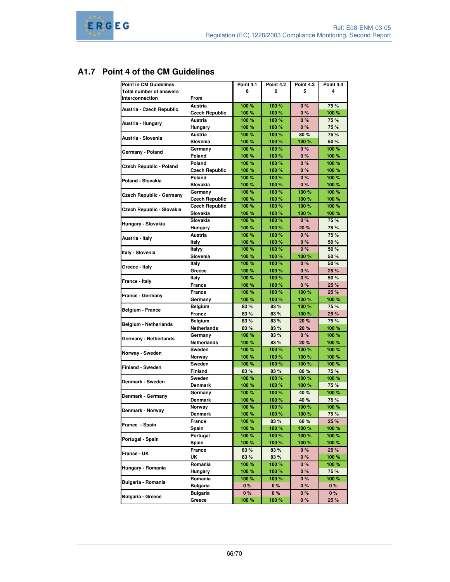# **A1.7 Point 4 of the CM Guidelines**

| <b>Point in CM Guidelines</b>   |                       | Point 4.1 | <b>Point 4.2</b> | Point 4.3 | Point 4.4 |
|---------------------------------|-----------------------|-----------|------------------|-----------|-----------|
| <b>Total number of answers</b>  |                       | 6         | 6                | 5         | 4         |
| <b>Interconnection</b>          | From                  |           |                  |           |           |
|                                 | Austria               | 100%      | 100 %            | 0%        | 75 %      |
| Austria - Czech Republic        |                       |           |                  |           |           |
|                                 | <b>Czech Republic</b> | 100 %     | 100 %            | 0%        | 100 %     |
| Austria - Hungary               | Austria               | 100 %     | 100 %            | 0%        | 75 %      |
|                                 | Hungary               | 100 %     | 100 %            | 0%        | 75 %      |
| Austria - Slovenia              | Austria               | 100 %     | 100%             | 80%       | 75 %      |
|                                 | Slovenia              | 100 %     | 100 %            | 100 %     | 50 %      |
|                                 | Germany               | 100%      | 100 %            | 0%        | 100 %     |
| Germany - Poland                | Poland                | 100 %     | 100 %            | 0%        | 100 %     |
|                                 | Poland                | 100 %     | 100 %            | 0%        | 100 %     |
| Czech Republic - Poland         | <b>Czech Republic</b> | 100 %     | 100 %            | 0%        | 100 %     |
|                                 | Poland                | 100%      | 100%             | 0%        | 100 %     |
| Poland - Slovakia               | Slovakia              |           |                  |           |           |
|                                 |                       | 100 %     | 100 %            | 0%        | 100 %     |
| <b>Czech Republic - Germany</b> | Germany               | 100%      | 100%             | 100 %     | 100%      |
|                                 | <b>Czech Republic</b> | 100 %     | 100 %            | 100 %     | 100 %     |
| Czech Republic - Slovakia       | <b>Czech Republic</b> | 100%      | 100%             | 100 %     | 100 %     |
|                                 | Slovakia              | 100 %     | 100 %            | 100 %     | 100 %     |
|                                 | Slovakia              | 100 %     | 100 %            | 0%        | 75 %      |
| Hungary - Slovakia              | Hungary               | 100%      | 100 %            | 20%       | 75 %      |
|                                 | Austria               | 100 %     | 100%             | 0%        | 75 %      |
| Austria - Italy                 | Italy                 | 100 %     | 100 %            | 0%        | 50 %      |
|                                 |                       |           |                  |           |           |
| Italy - Slovenia                | Italvv                | 100%      | 100 %            | 0%        | 50 %      |
|                                 | Slovenia              | 100 %     | 100 %            | 100 %     | 50 %      |
| Greece - Italy                  | Italy                 | 100 %     | 100%             | 0%        | 50 %      |
|                                 | Greece                | 100 %     | 100 %            | 0%        | 25 %      |
| France - Italy                  | Italy                 | 100 %     | 100 %            | 0%        | 50 %      |
|                                 | France                | 100 %     | 100 %            | 0%        | 25 %      |
|                                 | <b>France</b>         | 100 %     | 100 %            | 100 %     | 25 %      |
| France - Germany                | Germany               | 100 %     | 100 %            | 100 %     | 100 %     |
|                                 | Belgium               | 83 %      | 83 %             | 100 %     | 75 %      |
| <b>Belgium - France</b>         |                       | 83%       | 83%              | 100 %     | 25 %      |
|                                 | France                |           |                  |           |           |
| <b>Belgium - Netherlands</b>    | Belgium               | 83%       | 83%              | 20 %      | 75 %      |
|                                 | Netherlands           | 83%       | 83%              | 20 %      | 100 %     |
| Germany - Netherlands           | Germany               | 100 %     | 83%              | 0%        | 100 %     |
|                                 | Netherlands           | 100 %     | 83%              | 20 %      | 100 %     |
| Norway - Sweden                 | Sweden                | 100 %     | 100%             | 100 %     | 100 %     |
|                                 | Norway                | 100 %     | 100 %            | 100 %     | 100 %     |
|                                 | Sweden                | 100 %     | 100 %            | 100 %     | 100 %     |
| <b>Finland - Sweden</b>         | Finland               | 83%       | 83%              | 80 %      | 75 %      |
|                                 | Sweden                | 100 %     | 100%             | 100 %     | 100%      |
| Denmark - Sweden                | Denmark               | 100 %     | 100 %            | 100 %     | 75 %      |
|                                 | Germany               | 100%      | 100 %            | 40 %      | 100 %     |
| Denmark - Germany               |                       |           |                  |           |           |
|                                 | <b>Denmark</b>        | 100 %     | 100 %            | 40 %      | 75 %      |
| Denmark - Norway                | Norway                | 100 %     | 100 %            | 100 %     | 100 %     |
|                                 | Denmark               | 100 %     | 100 %            | 100 %     | 75 %      |
| France - Spain                  | France                | 100 %     | 83%              | 60 %      | 25 %      |
|                                 | Spain                 | 100 %     | 100 %            | 100 %     | 100 %     |
|                                 | Portugal              | 100 %     | 100 %            | 100 %     | 100 %     |
| Portugal - Spain                | Spain                 | 100 %     | 100 %            | 100 %     | 100 %     |
|                                 | France                | 83 %      | 83 %             | $0\%$     | 25 %      |
| France - UK                     | UK                    | 83%       | 83%              | 0%        | 100 %     |
|                                 |                       |           | 100 %            |           |           |
| Hungary - Romania               | Romania               | 100 %     |                  | 0 %       | 100 %     |
|                                 | Hungary               | 100 %     | 100 %            | 0 %       | 75 %      |
| Bulgaria - Romania              | Romania               | 100 %     | 100 %            | $0\%$     | 100 %     |
|                                 | <b>Bulgaria</b>       | 0%        | 0 %              | 0%        | 0%        |
| <b>Bulgaria - Greece</b>        | <b>Bulgaria</b>       | $0\%$     | $0\%$            | 0 %       | 0%        |
|                                 | Greece                | 100 %     | 100 %            | 0 %       | 25 %      |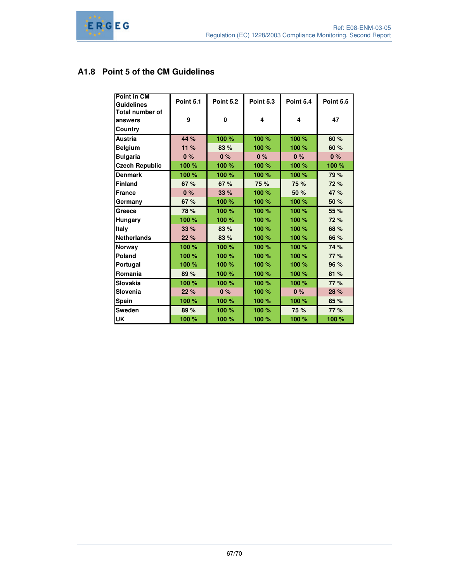# **A1.8 Point 5 of the CM Guidelines**

| <b>Point in CM</b>     |                  | <b>Point 5.2</b> | <b>Point 5.3</b> | Point 5.4 |                  |
|------------------------|------------------|------------------|------------------|-----------|------------------|
| <b>Guidelines</b>      | <b>Point 5.1</b> |                  |                  |           | <b>Point 5.5</b> |
| <b>Total number of</b> |                  |                  |                  |           |                  |
| answers                | 9                | 0                | 4                | 4         | 47               |
| Country                |                  |                  |                  |           |                  |
| <b>Austria</b>         | 44 %             | 100 %            | 100 %            | 100 %     | 60 %             |
| <b>Belgium</b>         | 11%              | 83 %             | 100 %            | 100 %     | 60 %             |
| <b>Bulgaria</b>        | 0%               | 0%               | 0%               | 0%        | 0%               |
| <b>Czech Republic</b>  | 100 %            | 100 %            | 100 %            | 100 %     | 100 %            |
| <b>Denmark</b>         | 100 %            | 100 %            | 100 %            | 100 %     | 79 %             |
| <b>Finland</b>         | 67%              | 67%              | 75 %             | 75 %      | 72 %             |
| <b>France</b>          | 0%               | 33%              | 100 %            | 50 %      | 47 %             |
| Germany                | 67%              | 100 %            | 100 %            | 100 %     | 50 %             |
| Greece                 | 78 %             | 100 %            | 100 %            | 100 %     | 55 %             |
| Hungary                | 100 %            | 100 %            | 100 %            | 100 %     | 72 %             |
| Italy                  | 33%              | 83 %             | 100 %            | 100 %     | 68 %             |
| <b>Netherlands</b>     | 22%              | 83 %             | 100 %            | 100 %     | 66 %             |
| Norway                 | 100 %            | 100 %            | 100 %            | 100 %     | 74 %             |
| Poland                 | 100 %            | 100 %            | 100 %            | 100 %     | 77 %             |
| Portugal               | 100 %            | 100 %            | 100 %            | 100 %     | 96 %             |
| Romania                | 89%              | 100 %            | 100 %            | 100 %     | 81%              |
| Slovakia               | 100 %            | 100 %            | 100 %            | 100 %     | 77 %             |
| Slovenia               | 22 %             | 0%               | 100 %            | 0%        | 28 %             |
| Spain                  | 100 %            | 100 %            | 100 %            | 100 %     | 85 %             |
| Sweden                 | 89%              | 100 %            | 100 %            | 75 %      | 77 %             |
| UK                     | 100 %            | 100 %            | 100 %            | 100 %     | 100 %            |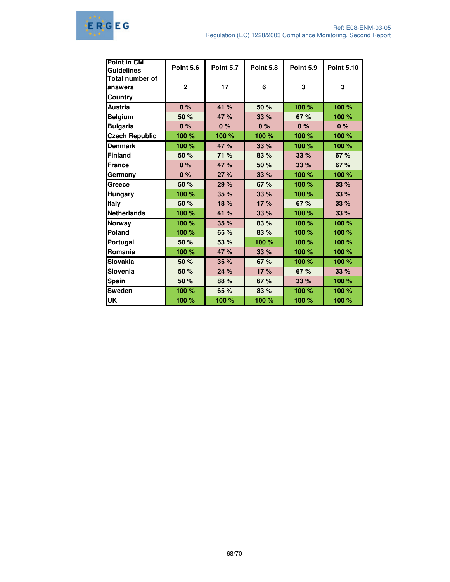

| <b>Point in CM</b>     |                  |                  |                  |                  |                   |
|------------------------|------------------|------------------|------------------|------------------|-------------------|
| Guidelines             | <b>Point 5.6</b> | <b>Point 5.7</b> | <b>Point 5.8</b> | <b>Point 5.9</b> | <b>Point 5.10</b> |
| <b>Total number of</b> |                  |                  |                  |                  |                   |
| answers                | $\mathbf{2}$     | 17               | 6                | 3                | 3                 |
| <b>Country</b>         |                  |                  |                  |                  |                   |
| <b>Austria</b>         | 0%               | 41 %             | 50 %             | 100 %            | 100 %             |
| <b>Belgium</b>         | 50 %             | 47 %             | 33 %             | 67 %             | 100 %             |
| <b>Bulgaria</b>        | 0%               | 0%               | 0%               | 0%               | 0%                |
| <b>Czech Republic</b>  | 100 %            | 100 %            | 100 %            | 100 %            | 100 %             |
| <b>Denmark</b>         | 100 %            | 47 %             | 33 %             | 100 %            | 100 %             |
| Finland                | 50 %             | 71 %             | 83 %             | 33%              | 67 %              |
| <b>France</b>          | 0%               | 47 %             | 50 %             | 33 %             | 67 %              |
| Germany                | 0%               | 27%              | 33 %             | 100 %            | 100 %             |
| Greece                 | 50 %             | 29 %             | 67 %             | 100 %            | 33%               |
| <b>Hungary</b>         | 100 %            | 35%              | 33%              | 100 %            | 33 %              |
| <b>Italy</b>           | 50 %             | 18 %             | 17%              | 67%              | 33 %              |
| Netherlands            | 100 %            | 41 %             | 33 %             | 100 %            | 33%               |
| <b>Norway</b>          | 100 %            | 35%              | 83 %             | 100 %            | 100 %             |
| Poland                 | 100 %            | 65 %             | 83 %             | 100 %            | 100 %             |
| Portugal               | 50 %             | 53 %             | 100 %            | 100 %            | 100 %             |
| Romania                | 100 %            | 47 %             | 33 %             | 100 %            | 100 %             |
| Slovakia               | 50 %             | 35%              | 67 %             | 100 %            | 100 %             |
| Slovenia               | 50 %             | 24 %             | 17%              | 67%              | 33%               |
| <b>Spain</b>           | 50 %             | 88 %             | 67 %             | 33%              | 100 %             |
| <b>Sweden</b>          | 100 %            | 65 %             | 83 %             | 100 %            | 100 %             |
| <b>UK</b>              | 100 %            | 100 %            | 100 %            | 100 %            | 100 %             |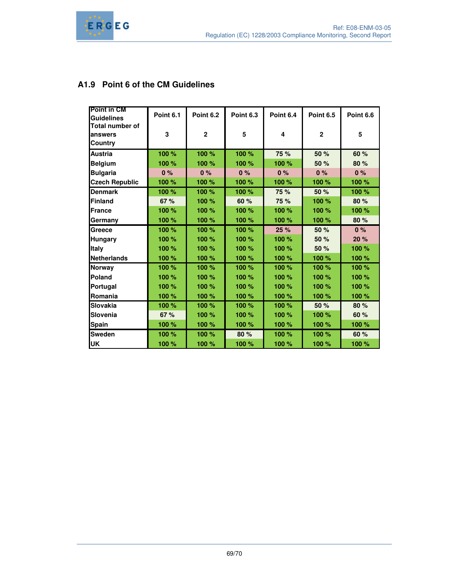

# **A1.9 Point 6 of the CM Guidelines**

| <b>Point in CM</b>     |           |                  |                  |           |                  |                  |
|------------------------|-----------|------------------|------------------|-----------|------------------|------------------|
| <b>Guidelines</b>      | Point 6.1 | <b>Point 6.2</b> | <b>Point 6.3</b> | Point 6.4 | <b>Point 6.5</b> | <b>Point 6.6</b> |
| <b>Total number of</b> |           |                  |                  |           |                  |                  |
| lanswers               | 3         | $\overline{2}$   | 5                | 4         | $\overline{2}$   | 5                |
| Country                |           |                  |                  |           |                  |                  |
| <b>Austria</b>         | 100 %     | 100 %            | 100 %            | 75 %      | 50 %             | 60 %             |
| <b>Belgium</b>         | 100 %     | 100 %            | 100 %            | 100 %     | 50 %             | 80 %             |
| <b>Bulgaria</b>        | 0%        | 0%               | 0%               | 0%        | 0%               | 0%               |
| <b>Czech Republic</b>  | 100 %     | 100 %            | 100 %            | 100 %     | 100 %            | 100 %            |
| <b>Denmark</b>         | 100 %     | 100 %            | 100 %            | 75 %      | 50 %             | 100 %            |
| <b>Finland</b>         | 67 %      | 100 %            | 60 %             | 75 %      | 100 %            | 80 %             |
| <b>France</b>          | 100 %     | 100 %            | 100 %            | 100 %     | 100 %            | 100 %            |
| Germany                | 100 %     | 100 %            | 100 %            | 100 %     | 100 %            | 80 %             |
| Greece                 | 100 %     | 100 %            | 100 %            | 25 %      | 50 %             | 0%               |
| <b>Hungary</b>         | 100 %     | 100 %            | 100 %            | 100 %     | 50 %             | 20 %             |
| <b>Italy</b>           | 100 %     | 100 %            | 100 %            | 100 %     | 50 %             | 100 %            |
| <b>Netherlands</b>     | 100 %     | 100 %            | 100 %            | 100 %     | 100 %            | 100 %            |
| <b>Norway</b>          | 100 %     | 100 %            | 100 %            | 100 %     | 100 %            | 100 %            |
| Poland                 | 100 %     | 100 %            | 100 %            | 100 %     | 100 %            | 100 %            |
| Portugal               | 100 %     | 100 %            | 100 %            | 100 %     | 100 %            | 100 %            |
| <b>IRomania</b>        | 100 %     | 100 %            | 100 %            | 100 %     | 100 %            | 100 %            |
| Slovakia               | 100 %     | 100 %            | 100 %            | 100 %     | 50 %             | 80 %             |
| Slovenia               | 67 %      | 100 %            | 100 %            | 100 %     | 100 %            | 60 %             |
| <b>Spain</b>           | 100 %     | 100 %            | 100 %            | 100 %     | 100 %            | 100 %            |
| <b>Sweden</b>          | 100 %     | 100 %            | 80 %             | 100 %     | 100 %            | 60 %             |
| <b>UK</b>              | 100 %     | 100 %            | 100 %            | 100 %     | 100 %            | 100 %            |